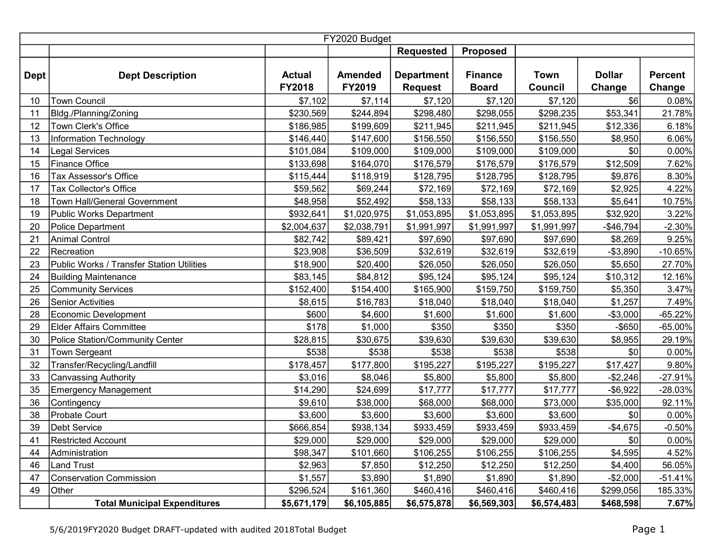|             |                                           |                                | FY2020 Budget            |                                     |                                |                               |                         |                          |
|-------------|-------------------------------------------|--------------------------------|--------------------------|-------------------------------------|--------------------------------|-------------------------------|-------------------------|--------------------------|
|             |                                           |                                |                          | <b>Requested</b>                    | <b>Proposed</b>                |                               |                         |                          |
| <b>Dept</b> | <b>Dept Description</b>                   | <b>Actual</b><br><b>FY2018</b> | <b>Amended</b><br>FY2019 | <b>Department</b><br><b>Request</b> | <b>Finance</b><br><b>Board</b> | <b>Town</b><br><b>Council</b> | <b>Dollar</b><br>Change | <b>Percent</b><br>Change |
| 10          | <b>Town Council</b>                       | \$7,102                        | \$7,114                  | \$7,120                             | \$7,120                        | \$7,120                       | \$6                     | 0.08%                    |
| 11          | Bldg./Planning/Zoning                     | \$230,569                      | \$244,894                | \$298,480                           | \$298,055                      | \$298,235                     | \$53,341                | 21.78%                   |
| 12          | Town Clerk's Office                       | \$186,985                      | \$199,609                | \$211,945                           | \$211,945                      | \$211,945                     | \$12,336                | 6.18%                    |
| 13          | Information Technology                    | \$146,440                      | \$147,600                | \$156,550                           | \$156,550                      | \$156,550                     | \$8,950                 | 6.06%                    |
| 14          | Legal Services                            | \$101,084                      | \$109,000                | \$109,000                           | \$109,000                      | \$109,000                     | \$0                     | 0.00%                    |
| 15          | Finance Office                            | \$133,698                      | \$164,070                | \$176,579                           | \$176,579                      | \$176,579                     | \$12,509                | 7.62%                    |
| 16          | Tax Assessor's Office                     | \$115,444                      | \$118,919                | \$128,795                           | \$128,795                      | \$128,795                     | \$9,876                 | 8.30%                    |
| 17          | <b>Tax Collector's Office</b>             | \$59,562                       | \$69,244                 | \$72,169                            | \$72,169                       | \$72,169                      | \$2,925                 | 4.22%                    |
| 18          | Town Hall/General Government              | \$48,958                       | \$52,492                 | \$58,133                            | \$58,133                       | \$58,133                      | \$5,641                 | 10.75%                   |
| 19          | Public Works Department                   | \$932,641                      | \$1,020,975              | \$1,053,895                         | \$1,053,895                    | \$1,053,895                   | \$32,920                | 3.22%                    |
| 20          | Police Department                         | \$2,004,637                    | \$2,038,791              | \$1,991,997                         | \$1,991,997                    | \$1,991,997                   | $-$46,794$              | $-2.30%$                 |
| 21          | <b>Animal Control</b>                     | \$82,742                       | \$89,421                 | \$97,690                            | \$97,690                       | \$97,690                      | \$8,269                 | 9.25%                    |
| 22          | Recreation                                | \$23,908                       | \$36,509                 | \$32,619                            | \$32,619                       | \$32,619                      | $-$ \$3,890             | $-10.65%$                |
| 23          | Public Works / Transfer Station Utilities | \$18,900                       | \$20,400                 | \$26,050                            | \$26,050                       | \$26,050                      | \$5,650                 | 27.70%                   |
| 24          | <b>Building Maintenance</b>               | \$83,145                       | \$84,812                 | \$95,124                            | \$95,124                       | \$95,124                      | \$10,312                | 12.16%                   |
| 25          | <b>Community Services</b>                 | \$152,400                      | \$154,400                | \$165,900                           | \$159,750                      | \$159,750                     | \$5,350                 | 3.47%                    |
| 26          | <b>Senior Activities</b>                  | \$8,615                        | \$16,783                 | \$18,040                            | \$18,040                       | \$18,040                      | \$1,257                 | 7.49%                    |
| 28          | Economic Development                      | \$600                          | \$4,600                  | \$1,600                             | \$1,600                        | \$1,600                       | $-$3,000$               | $-65.22%$                |
| 29          | <b>Elder Affairs Committee</b>            | \$178                          | \$1,000                  | \$350                               | \$350                          | \$350                         | $-$ \$650               | $-65.00%$                |
| 30          | Police Station/Community Center           | \$28,815                       | \$30,675                 | \$39,630                            | \$39,630                       | \$39,630                      | \$8,955                 | 29.19%                   |
| 31          | <b>Town Sergeant</b>                      | \$538                          | \$538                    | \$538                               | \$538                          | \$538                         | \$0                     | 0.00%                    |
| 32          | Transfer/Recycling/Landfill               | \$178,457                      | \$177,800                | \$195,227                           | \$195,227                      | \$195,227                     | \$17,427                | 9.80%                    |
| 33          | <b>Canvassing Authority</b>               | \$3,016                        | \$8,046                  | \$5,800                             | \$5,800                        | \$5,800                       | $-$2,246$               | $-27.91%$                |
| 35          | <b>Emergency Management</b>               | \$14,290                       | \$24,699                 | \$17,777                            | \$17,777                       | \$17,777                      | $-$ \$6,922             | $-28.03%$                |
| 36          | Contingency                               | \$9,610                        | \$38,000                 | \$68,000                            | \$68,000                       | \$73,000                      | \$35,000                | 92.11%                   |
| 38          | Probate Court                             | \$3,600                        | \$3,600                  | \$3,600                             | \$3,600                        | \$3,600                       | \$0                     | 0.00%                    |
| 39          | <b>Debt Service</b>                       | \$666,854                      | \$938,134                | \$933,459                           | \$933,459                      | \$933,459                     | $-$4,675$               | $-0.50%$                 |
| 41          | <b>Restricted Account</b>                 | \$29,000                       | \$29,000                 | \$29,000                            | \$29,000                       | \$29,000                      | \$0                     | $0.00\%$                 |
| 44          | Administration                            | \$98,347                       | \$101,660                | \$106,255                           | \$106,255                      | \$106,255                     | \$4,595                 | 4.52%                    |
| 46          | <b>Land Trust</b>                         | \$2,963                        | \$7,850                  | \$12,250                            | \$12,250                       | \$12,250                      | \$4,400                 | 56.05%                   |
| 47          | <b>Conservation Commission</b>            | \$1,557                        | \$3,890                  | \$1,890                             | \$1,890                        | \$1,890                       | $-$2,000$               | $-51.41%$                |
| 49          | Other                                     | \$296,524                      | \$161,360                | \$460,416                           | \$460,416                      | \$460,416                     | \$299,056               | 185.33%                  |
|             | <b>Total Municipal Expenditures</b>       | \$5,671,179                    | \$6,105,885              | \$6,575,878                         | \$6,569,303                    | \$6,574,483                   | \$468,598               | 7.67%                    |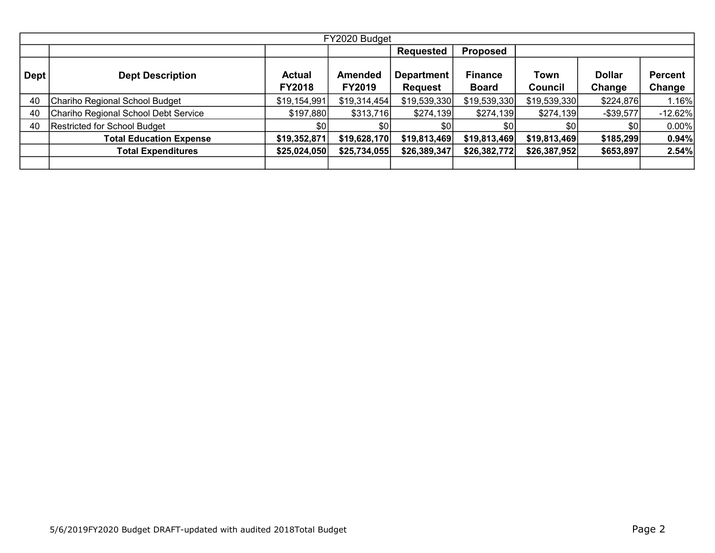|                   | FY2020 Budget                        |                                |                                 |                                     |                                |                  |                         |                          |  |  |  |  |  |
|-------------------|--------------------------------------|--------------------------------|---------------------------------|-------------------------------------|--------------------------------|------------------|-------------------------|--------------------------|--|--|--|--|--|
|                   |                                      |                                |                                 | <b>Requested</b>                    | <b>Proposed</b>                |                  |                         |                          |  |  |  |  |  |
| Dept <sup>1</sup> | <b>Dept Description</b>              | <b>Actual</b><br><b>FY2018</b> | <b>Amended</b><br><b>FY2019</b> | <b>Department</b><br><b>Request</b> | <b>Finance</b><br><b>Board</b> | Town<br>Council  | <b>Dollar</b><br>Change | <b>Percent</b><br>Change |  |  |  |  |  |
| 40                | Chariho Regional School Budget       | \$19,154,991                   | \$19,314,454                    | \$19,539,330                        | \$19,539,330                   | \$19,539,330     | \$224,876               | $1.16\%$                 |  |  |  |  |  |
| 40                | Chariho Regional School Debt Service | \$197,880                      | \$313,716                       | \$274,139                           | \$274,139                      | \$274,139        | $-$ \$39,577            | $-12.62%$                |  |  |  |  |  |
| 40                | Restricted for School Budget         | \$0                            | \$0                             | \$01                                | \$0                            | \$0 <sub>1</sub> | \$0                     | $0.00\%$                 |  |  |  |  |  |
|                   | <b>Total Education Expense</b>       | \$19,352,871                   | \$19,628,170                    | \$19,813,469                        | \$19,813,469                   | \$19,813,469     | \$185,299               | 0.94%                    |  |  |  |  |  |
|                   | <b>Total Expenditures</b>            | \$25,024,050                   | \$25,734,055                    | \$26,389,347                        | \$26,382,772                   | \$26,387,952     | \$653,897               | 2.54%                    |  |  |  |  |  |
|                   |                                      |                                |                                 |                                     |                                |                  |                         |                          |  |  |  |  |  |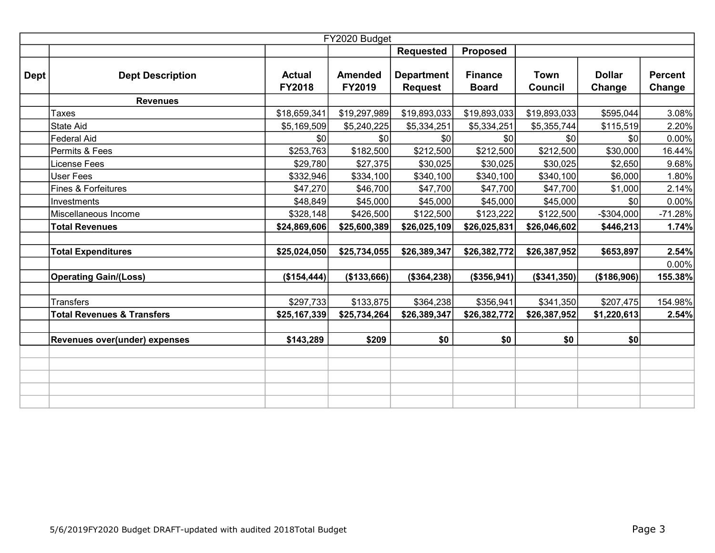|             |                                       |                                | FY2020 Budget                   |                                     |                                |                               |                         |                          |
|-------------|---------------------------------------|--------------------------------|---------------------------------|-------------------------------------|--------------------------------|-------------------------------|-------------------------|--------------------------|
|             |                                       |                                |                                 | <b>Requested</b>                    | <b>Proposed</b>                |                               |                         |                          |
| <b>Dept</b> | <b>Dept Description</b>               | <b>Actual</b><br><b>FY2018</b> | <b>Amended</b><br><b>FY2019</b> | <b>Department</b><br><b>Request</b> | <b>Finance</b><br><b>Board</b> | <b>Town</b><br><b>Council</b> | <b>Dollar</b><br>Change | <b>Percent</b><br>Change |
|             | <b>Revenues</b>                       |                                |                                 |                                     |                                |                               |                         |                          |
|             | <b>Taxes</b>                          | \$18,659,341                   | \$19,297,989                    | \$19,893,033                        | \$19,893,033                   | \$19,893,033                  | \$595,044               | 3.08%                    |
|             | State Aid                             | \$5,169,509                    | \$5,240,225                     | \$5,334,251                         | \$5,334,251                    | \$5,355,744                   | \$115,519               | 2.20%                    |
|             | Federal Aid                           | \$0                            | \$0                             | \$0                                 | \$0                            | \$0                           | \$0                     | 0.00%                    |
|             | Permits & Fees                        | \$253,763                      | \$182,500                       | \$212,500                           | \$212,500                      | \$212,500                     | \$30,000                | 16.44%                   |
|             | License Fees                          | \$29,780                       | \$27,375                        | \$30,025                            | \$30,025                       | \$30,025                      | \$2,650                 | 9.68%                    |
|             | <b>User Fees</b>                      | \$332,946                      | \$334,100                       | \$340,100                           | \$340,100                      | \$340,100                     | \$6,000                 | 1.80%                    |
|             | Fines & Forfeitures                   | \$47,270                       | \$46,700                        | \$47,700                            | \$47,700                       | \$47,700                      | \$1,000                 | 2.14%                    |
|             | Investments                           | \$48,849                       | \$45,000                        | \$45,000                            | \$45,000                       | \$45,000                      | 30                      | 0.00%                    |
|             | Miscellaneous Income                  | \$328,148                      | \$426,500                       | \$122,500                           | \$123,222                      | \$122,500                     | $-$304,000$             | $-71.28%$                |
|             | <b>Total Revenues</b>                 | \$24,869,606                   | \$25,600,389                    | \$26,025,109                        | \$26,025,831                   | \$26,046,602                  | \$446,213               | 1.74%                    |
|             |                                       |                                |                                 |                                     |                                |                               |                         |                          |
|             | <b>Total Expenditures</b>             | \$25,024,050                   | \$25,734,055                    | \$26,389,347                        | \$26,382,772                   | \$26,387,952                  | \$653,897               | 2.54%                    |
|             |                                       |                                |                                 |                                     |                                |                               |                         | 0.00%                    |
|             | <b>Operating Gain/(Loss)</b>          | (\$154, 444)                   | (\$133,666)                     | (\$364,238)                         | (\$356,941)                    | (\$341,350)                   | (\$186,906)             | 155.38%                  |
|             |                                       |                                |                                 |                                     |                                |                               |                         |                          |
|             | Transfers                             | \$297,733                      | \$133,875                       | \$364,238                           | \$356,941                      | \$341,350                     | \$207,475               | 154.98%                  |
|             | <b>Total Revenues &amp; Transfers</b> | \$25,167,339                   | \$25,734,264                    | \$26,389,347                        | \$26,382,772                   | \$26,387,952                  | \$1,220,613             | 2.54%                    |
|             |                                       |                                |                                 |                                     |                                |                               |                         |                          |
|             | Revenues over(under) expenses         | \$143,289                      | \$209                           | \$0                                 | \$0                            | \$0                           | \$0                     |                          |
|             |                                       |                                |                                 |                                     |                                |                               |                         |                          |
|             |                                       |                                |                                 |                                     |                                |                               |                         |                          |
|             |                                       |                                |                                 |                                     |                                |                               |                         |                          |
|             |                                       |                                |                                 |                                     |                                |                               |                         |                          |
|             |                                       |                                |                                 |                                     |                                |                               |                         |                          |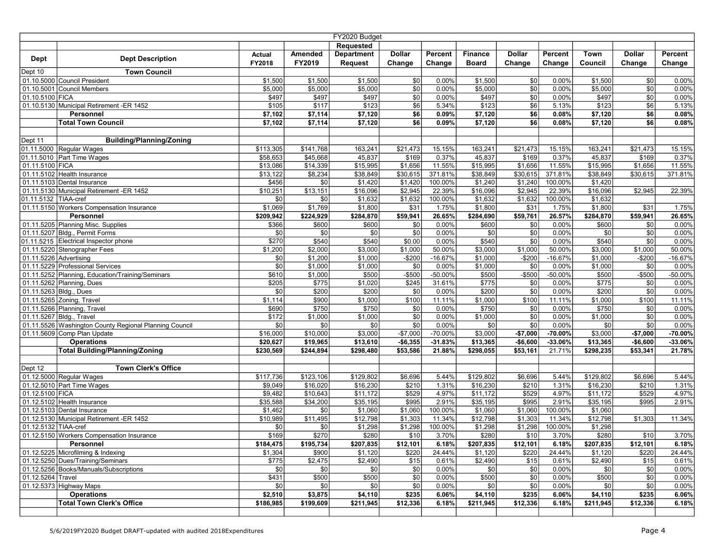| Requested<br><b>Department</b><br><b>Dollar</b><br>Amended<br><b>Dollar</b><br>Percent<br><b>Finance</b><br>Percent<br>Town<br><b>Dollar</b><br>Percent<br>Actual<br><b>Dept Description</b><br><b>Dept</b><br>FY2018<br>FY2019<br>Change<br>Council<br>Request<br>Change<br>Change<br><b>Board</b><br>Change<br>Change<br>Change<br>Dept 10<br><b>Town Council</b><br>01.10.5000 Council President<br>$\frac{6}{3}$<br>$\overline{50}$<br>\$1,500<br>\$1,500<br>\$1,500<br>0.00%<br>\$1,500<br>0.00%<br>\$1,500<br>\$0<br>0.00%<br>$\overline{50}$<br>$\overline{50}$<br>\$5,000<br>\$5,000<br>0.00%<br>\$5,000<br>\$0<br>0.00%<br>01.10.5001 Council Members<br>\$5,000<br>0.00%<br>\$5,000<br>$\overline{30}$<br>01.10.5100 FICA<br>\$497<br>\$497<br>\$497<br>$ $ \$0<br>0.00%<br>\$497<br>0.00%<br>\$497<br>\$0<br>0.00%<br>$\overline{$6}$<br>\$6<br>01.10.5130 Municipal Retirement -ER 1452<br>\$117<br>\$123<br>\$123<br>\$123<br>\$6<br>5.13%<br>\$105<br>5.34%<br>5.13%<br>\$6<br>Personnel<br>\$7,114<br>\$6<br>0.09%<br>\$7,120<br>\$6<br>0.08%<br>\$7,102<br>\$7,120<br>0.08%<br>\$7,120<br>s6<br><b>Total Town Council</b><br>\$7,102<br>\$7,114<br>\$7,120<br>\$6<br>0.09%<br>\$7,120<br>0.08%<br>\$7,120<br>\$6<br>0.08%<br><b>Building/Planning/Zoning</b><br>Dept 11<br>01.11.5000 Regular Wages<br>\$21,473<br>15.15%<br>15.15%<br>\$113,305<br>\$141,768<br>163,241<br>15.15%<br>163,241<br>\$21,473<br>163,241<br>\$21,473<br>01.11.5010 Part Time Wages<br>\$169<br>0.37%<br>\$58,653<br>\$45,668<br>45,837<br>\$169<br>0.37%<br>45,837<br>0.37%<br>45,837<br>\$169<br>11.55%<br>01.11.5100 FICA<br>\$13,086<br>\$14,339<br>\$1,656<br>11.55%<br>\$15,995<br>\$1,656<br>11.55%<br>\$1,656<br>\$15,995<br>\$15,995<br>01.11.5102 Health Insurance<br>\$13,122<br>$\overline{$8,234}$<br>371.81%<br>\$38,849<br>\$30,615<br>371.81%<br>371.81%<br>\$38,849<br>\$30,615<br>\$38,849<br>\$30,615<br>01.11.5103 Dental Insurance<br>\$456<br>\$0<br>\$1,420<br>\$1,420<br>100.00%<br>\$1,240<br>\$1,240<br>100.00%<br>\$1,420<br>01.11.5130 Municipal Retirement -ER 1452<br>\$2,945<br>22.39%<br>\$16,096<br>\$2,945<br>22.39%<br>22.39%<br>\$10,251<br>\$13,151<br>\$16,096<br>\$16,096<br>\$2,945<br>01.11.5132 TIAA-cref<br>\$0<br>\$0<br>\$1,632<br>\$1,632<br>100.00%<br>\$1,632<br>\$1,632<br>100.00%<br>\$1,632<br>01.11.5150 Workers Compensation Insurance<br>\$1,069<br>\$1,769<br>\$31<br>\$1,800<br>\$31<br>1.75%<br>1.75%<br>\$1,800<br>1.75%<br>\$1,800<br>\$31<br>Personnel<br>\$209,942<br>\$224,929<br>26.65%<br>\$284,690<br>\$59,761<br>26.57%<br>\$284,870<br>26.65%<br>\$284,870<br>\$59,941<br>\$59,941<br>\$0<br>01.11.5205 Planning Misc. Supplies<br>\$600<br>\$600<br>$ $ \$0<br>0.00%<br>\$600<br>0.00%<br>\$600<br>\$0<br>$0.00\%$<br>\$366<br>$\overline{50}$<br>01.11.5207 Bldg., Permit Forms<br>\$0<br>\$0<br>0.00%<br>\$0<br>\$0<br>0.00%<br>\$0<br> \$0 <br>\$0<br>0.00%<br>\$270<br>\$540<br>$\sqrt{50}$<br>01.11.5215 Electrical Inspector phone<br>\$540<br>\$0.00<br>0.00%<br>\$540<br>0.00%<br>\$540<br>\$0<br>0.00%<br>01.11.5220 Stenographer Fees<br>\$1,200<br>\$2,000<br>\$1,000<br>50.00%<br>\$3,000<br>\$1,000<br>50.00%<br>\$3,000<br>$\sqrt{31,000}$<br>50.00%<br>\$3,000<br>$-16.67%$<br>01.11.5226 Advertising<br>\$0<br>\$1,200<br>\$1,000<br>$-$200$<br>$-16.67%$<br>\$1,000<br>$-$200$<br>$-16.67%$<br>\$1,000<br>$-$200$<br>01.11.5229 Professional Services<br>\$0<br>\$1,000<br>\$0<br>0.00%<br>\$1,000<br>\$1,000<br>\$0<br>0.00%<br>0.00%<br>\$1,000<br>\$0<br>01.11.5252 Planning, Education/Training/Seminars<br>\$610<br>\$1,000<br>\$500<br>$-$500$<br>$-50.00%$<br>\$500<br>$-$ \$500<br>$-50.00%$<br>\$500<br>$-$ \$500<br>-50.00%<br>\$775<br>\$1,020<br>\$245<br>31.61%<br>\$775<br>\$0<br>0.00%<br>\$775<br>0.00%<br>01.11.5262 Planning, Dues<br>\$205<br>\$0<br>\$0<br>01.11.5263 Bldg., Dues<br>\$0<br>\$200<br>\$200<br>\$0<br>\$200<br>0.00%<br>\$200<br>\$0<br>0.00%<br>0.00%<br>01.11.5265 Zoning, Travel<br>\$900<br>\$100<br>\$1,000<br>\$100<br>\$100<br>11.11%<br>\$1,114<br>\$1,000<br>11.11%<br>11.11%<br>\$1,000<br>\$750<br>$\frac{1}{150}$<br>$\overline{30}$<br>$\frac{1}{150}$<br>$\overline{\$0}$<br>01.11.5266 Planning, Travel<br>\$690<br>0.00%<br>0.00%<br>\$750<br>\$0<br>0.00%<br>$\overline{30}$<br>0.00%<br>01.11.5267 Bldg., Travel<br>\$172<br>\$1,000<br>\$1,000<br>\$0<br>\$1,000<br>0.00%<br>\$1,000<br>\$0<br>0.00%<br>$\sqrt{50}$<br>\$0<br>01.11.5526 Washington County Regional Planning Council<br>\$0<br>\$0<br>0.00%<br>0.00%<br>\$0<br>\$0<br>0.00%<br>\$0<br>\$0<br>01.11.5609 Comp Plan Update<br>\$16,000<br>\$10,000<br>\$3,000<br>$-$7,000$<br>\$3,000<br>$-$7,000$<br>\$3,000<br>$-$7,000$<br>-70.00%<br>$-70.00%$<br>$-70.00%$<br><b>Operations</b><br>\$20,627<br>$-$6,355$<br>$-31.83%$<br>\$13,365<br>$-$6,600$<br>$-33.06%$<br>-33.06%<br>\$19,965<br>\$13,610<br>\$13,365<br>$-$6,600$<br><b>Total Building/Planning/Zoning</b><br>\$53,586<br>21.88%<br>\$298,055<br>\$53,161<br>21.78%<br>\$230,569<br>\$244,894<br>\$298,480<br>21.71%<br>\$298,235<br>\$53,341<br><b>Town Clerk's Office</b><br>Dept 12<br>01.12.5000 Regular Wages<br>\$129,802<br>5.44%<br>\$117,736<br>\$123,106<br>\$129,802<br>\$6,696<br>5.44%<br>\$6,696<br>5.44%<br>\$129,802<br>\$6,696<br>01.12.5010 Part Time Wages<br>\$9,049<br>\$210<br>1.31%<br>\$16,230<br>\$210<br>1.31%<br>\$16,020<br>\$16,230<br>1.31%<br>\$16,230<br>\$210<br>01.12.5100 FICA<br>\$9,482<br>\$529<br>4.97%<br>\$529<br>4.97%<br>\$529<br>4.97%<br>\$10,643<br>\$11,172<br>\$11,172<br>\$11,172<br>01.12.5102 Health Insurance<br>\$35,588<br>\$34,200<br>\$995<br>2.91%<br>\$35,195<br>\$995<br>2.91%<br>\$35,195<br>\$995<br>2.91%<br>\$35,195<br>01.12.5103 Dental Insurance<br>\$1,060<br>\$1,060<br>\$1,462<br>\$0<br>\$1,060<br>\$1,060<br>100.00%<br>100.00%<br>\$1,060<br>01.12.5130 Municipal Retirement -ER 1452<br>\$10,989<br>\$11,495<br>\$1,303<br>11.34%<br>\$12,798<br>\$1,303<br>11.34%<br>11.34%<br>\$12,798<br>\$12,798<br>\$1,303<br>\$0 <br>\$1,298<br>\$1,298<br>01.12.5132 TIAA-cref<br>\$0<br>\$1,298<br>100.00%<br>\$1,298<br>100.00%<br>\$1,298<br>\$169<br>s270<br>\$280<br>\$10<br>3.70%<br>\$280<br>\$10<br>3.70%<br>01.12.5150 Workers Compensation Insurance<br>3.70%<br>\$280<br>\$10<br>\$184,475<br>\$207,835<br>\$207,835<br>6.18%<br>Personnel<br>\$195,734<br>\$207,835<br>\$12,101<br>6.18%<br>\$12,101<br>6.18%<br>\$12,101<br>01.12.5225 Microfilming & Indexing<br>\$1,304<br>\$900<br>\$1,120<br>\$220<br>24.44%<br>\$1,120<br>\$220<br>24.44%<br>\$1,120<br>\$220<br>24.44%<br>01.12.5250 Dues/Training/Seminars<br>\$775<br>\$2,475<br>\$15<br>0.61%<br>\$2,490<br>\$15<br>0.61%<br>\$2,490<br>\$15<br>\$2,490<br>0.61%<br>$\overline{\$0}$<br>\$0<br>01.12.5256 Books/Manuals/Subscriptions<br>\$0<br>\$0<br>0.00%<br>\$0<br>0.00%<br>\$0<br>\$0<br>$0.00\%$<br>\$0<br>\$0<br>01.12.5264 Travel<br>\$431<br>\$500<br>\$500<br>\$0<br>0.00%<br>\$500<br>$0.00\%$<br>\$500<br>\$0<br>0.00%<br>\$0<br>01.12.5373 Highway Maps<br>\$0<br>\$0<br>\$0<br>\$0<br>0.00%<br> \$0 <br>\$0<br>\$0<br>$0.00\%$<br>0.00%<br><b>Operations</b><br>\$2,510<br>\$3,875<br>\$235<br>6.06%<br>\$4,110<br>\$235<br>6.06%<br>\$235<br>6.06%<br>\$4,110<br>\$4,110<br><b>Total Town Clerk's Office</b><br>\$12,336<br>\$186,985<br>\$199,609<br>6.18%<br>\$211,945<br>\$12,336<br>6.18%<br>\$12,336<br>\$211,945<br>\$211,945<br>6.18% | FY2020 Budget |  |  |  |  |  |  |  |  |  |  |  |
|------------------------------------------------------------------------------------------------------------------------------------------------------------------------------------------------------------------------------------------------------------------------------------------------------------------------------------------------------------------------------------------------------------------------------------------------------------------------------------------------------------------------------------------------------------------------------------------------------------------------------------------------------------------------------------------------------------------------------------------------------------------------------------------------------------------------------------------------------------------------------------------------------------------------------------------------------------------------------------------------------------------------------------------------------------------------------------------------------------------------------------------------------------------------------------------------------------------------------------------------------------------------------------------------------------------------------------------------------------------------------------------------------------------------------------------------------------------------------------------------------------------------------------------------------------------------------------------------------------------------------------------------------------------------------------------------------------------------------------------------------------------------------------------------------------------------------------------------------------------------------------------------------------------------------------------------------------------------------------------------------------------------------------------------------------------------------------------------------------------------------------------------------------------------------------------------------------------------------------------------------------------------------------------------------------------------------------------------------------------------------------------------------------------------------------------------------------------------------------------------------------------------------------------------------------------------------------------------------------------------------------------------------------------------------------------------------------------------------------------------------------------------------------------------------------------------------------------------------------------------------------------------------------------------------------------------------------------------------------------------------------------------------------------------------------------------------------------------------------------------------------------------------------------------------------------------------------------------------------------------------------------------------------------------------------------------------------------------------------------------------------------------------------------------------------------------------------------------------------------------------------------------------------------------------------------------------------------------------------------------------------------------------------------------------------------------------------------------------------------------------------------------------------------------------------------------------------------------------------------------------------------------------------------------------------------------------------------------------------------------------------------------------------------------------------------------------------------------------------------------------------------------------------------------------------------------------------------------------------------------------------------------------------------------------------------------------------------------------------------------------------------------------------------------------------------------------------------------------------------------------------------------------------------------------------------------------------------------------------------------------------------------------------------------------------------------------------------------------------------------------------------------------------------------------------------------------------------------------------------------------------------------------------------------------------------------------------------------------------------------------------------------------------------------------------------------------------------------------------------------------------------------------------------------------------------------------------------------------------------------------------------------------------------------------------------------------------------------------------------------------------------------------------------------------------------------------------------------------------------------------------------------------------------------------------------------------------------------------------------------------------------------------------------------------------------------------------------------------------------------------------------------------------------------------------------------------------------------------------------------------------------------------------------------------------------------------------------------------------------------------------------------------------------------------------------------------------------------------------------------------------------------------------------------------------------------------------------------------------------------------------------------------------------------------------------------------------------------------------------------------------------------------------------------------------------------------------------------------------------------------------------------------------------------------------------------------------------------------------------------------------------------------------------------------------------------------------------------------------------------------------------------------------------------------------------------------------------------------------------------------------------------------------------------------------------------------------------------------------------------------------------------------------------------------------------------------------------------------------------------------------------------------------------------------------------------------------------------------------------------------------------------------------------------------------------------------------------------------------------------------------------------------------------------------------------------------------------|---------------|--|--|--|--|--|--|--|--|--|--|--|
|                                                                                                                                                                                                                                                                                                                                                                                                                                                                                                                                                                                                                                                                                                                                                                                                                                                                                                                                                                                                                                                                                                                                                                                                                                                                                                                                                                                                                                                                                                                                                                                                                                                                                                                                                                                                                                                                                                                                                                                                                                                                                                                                                                                                                                                                                                                                                                                                                                                                                                                                                                                                                                                                                                                                                                                                                                                                                                                                                                                                                                                                                                                                                                                                                                                                                                                                                                                                                                                                                                                                                                                                                                                                                                                                                                                                                                                                                                                                                                                                                                                                                                                                                                                                                                                                                                                                                                                                                                                                                                                                                                                                                                                                                                                                                                                                                                                                                                                                                                                                                                                                                                                                                                                                                                                                                                                                                                                                                                                                                                                                                                                                                                                                                                                                                                                                                                                                                                                                                                                                                                                                                                                                                                                                                                                                                                                                                                                                                                                                                                                                                                                                                                                                                                                                                                                                                                                                                                                                                                                                                                                                                                                                                                                                                                                                                                                                                                                                                                                                  |               |  |  |  |  |  |  |  |  |  |  |  |
|                                                                                                                                                                                                                                                                                                                                                                                                                                                                                                                                                                                                                                                                                                                                                                                                                                                                                                                                                                                                                                                                                                                                                                                                                                                                                                                                                                                                                                                                                                                                                                                                                                                                                                                                                                                                                                                                                                                                                                                                                                                                                                                                                                                                                                                                                                                                                                                                                                                                                                                                                                                                                                                                                                                                                                                                                                                                                                                                                                                                                                                                                                                                                                                                                                                                                                                                                                                                                                                                                                                                                                                                                                                                                                                                                                                                                                                                                                                                                                                                                                                                                                                                                                                                                                                                                                                                                                                                                                                                                                                                                                                                                                                                                                                                                                                                                                                                                                                                                                                                                                                                                                                                                                                                                                                                                                                                                                                                                                                                                                                                                                                                                                                                                                                                                                                                                                                                                                                                                                                                                                                                                                                                                                                                                                                                                                                                                                                                                                                                                                                                                                                                                                                                                                                                                                                                                                                                                                                                                                                                                                                                                                                                                                                                                                                                                                                                                                                                                                                                  |               |  |  |  |  |  |  |  |  |  |  |  |
|                                                                                                                                                                                                                                                                                                                                                                                                                                                                                                                                                                                                                                                                                                                                                                                                                                                                                                                                                                                                                                                                                                                                                                                                                                                                                                                                                                                                                                                                                                                                                                                                                                                                                                                                                                                                                                                                                                                                                                                                                                                                                                                                                                                                                                                                                                                                                                                                                                                                                                                                                                                                                                                                                                                                                                                                                                                                                                                                                                                                                                                                                                                                                                                                                                                                                                                                                                                                                                                                                                                                                                                                                                                                                                                                                                                                                                                                                                                                                                                                                                                                                                                                                                                                                                                                                                                                                                                                                                                                                                                                                                                                                                                                                                                                                                                                                                                                                                                                                                                                                                                                                                                                                                                                                                                                                                                                                                                                                                                                                                                                                                                                                                                                                                                                                                                                                                                                                                                                                                                                                                                                                                                                                                                                                                                                                                                                                                                                                                                                                                                                                                                                                                                                                                                                                                                                                                                                                                                                                                                                                                                                                                                                                                                                                                                                                                                                                                                                                                                                  |               |  |  |  |  |  |  |  |  |  |  |  |
|                                                                                                                                                                                                                                                                                                                                                                                                                                                                                                                                                                                                                                                                                                                                                                                                                                                                                                                                                                                                                                                                                                                                                                                                                                                                                                                                                                                                                                                                                                                                                                                                                                                                                                                                                                                                                                                                                                                                                                                                                                                                                                                                                                                                                                                                                                                                                                                                                                                                                                                                                                                                                                                                                                                                                                                                                                                                                                                                                                                                                                                                                                                                                                                                                                                                                                                                                                                                                                                                                                                                                                                                                                                                                                                                                                                                                                                                                                                                                                                                                                                                                                                                                                                                                                                                                                                                                                                                                                                                                                                                                                                                                                                                                                                                                                                                                                                                                                                                                                                                                                                                                                                                                                                                                                                                                                                                                                                                                                                                                                                                                                                                                                                                                                                                                                                                                                                                                                                                                                                                                                                                                                                                                                                                                                                                                                                                                                                                                                                                                                                                                                                                                                                                                                                                                                                                                                                                                                                                                                                                                                                                                                                                                                                                                                                                                                                                                                                                                                                                  |               |  |  |  |  |  |  |  |  |  |  |  |
|                                                                                                                                                                                                                                                                                                                                                                                                                                                                                                                                                                                                                                                                                                                                                                                                                                                                                                                                                                                                                                                                                                                                                                                                                                                                                                                                                                                                                                                                                                                                                                                                                                                                                                                                                                                                                                                                                                                                                                                                                                                                                                                                                                                                                                                                                                                                                                                                                                                                                                                                                                                                                                                                                                                                                                                                                                                                                                                                                                                                                                                                                                                                                                                                                                                                                                                                                                                                                                                                                                                                                                                                                                                                                                                                                                                                                                                                                                                                                                                                                                                                                                                                                                                                                                                                                                                                                                                                                                                                                                                                                                                                                                                                                                                                                                                                                                                                                                                                                                                                                                                                                                                                                                                                                                                                                                                                                                                                                                                                                                                                                                                                                                                                                                                                                                                                                                                                                                                                                                                                                                                                                                                                                                                                                                                                                                                                                                                                                                                                                                                                                                                                                                                                                                                                                                                                                                                                                                                                                                                                                                                                                                                                                                                                                                                                                                                                                                                                                                                                  |               |  |  |  |  |  |  |  |  |  |  |  |
|                                                                                                                                                                                                                                                                                                                                                                                                                                                                                                                                                                                                                                                                                                                                                                                                                                                                                                                                                                                                                                                                                                                                                                                                                                                                                                                                                                                                                                                                                                                                                                                                                                                                                                                                                                                                                                                                                                                                                                                                                                                                                                                                                                                                                                                                                                                                                                                                                                                                                                                                                                                                                                                                                                                                                                                                                                                                                                                                                                                                                                                                                                                                                                                                                                                                                                                                                                                                                                                                                                                                                                                                                                                                                                                                                                                                                                                                                                                                                                                                                                                                                                                                                                                                                                                                                                                                                                                                                                                                                                                                                                                                                                                                                                                                                                                                                                                                                                                                                                                                                                                                                                                                                                                                                                                                                                                                                                                                                                                                                                                                                                                                                                                                                                                                                                                                                                                                                                                                                                                                                                                                                                                                                                                                                                                                                                                                                                                                                                                                                                                                                                                                                                                                                                                                                                                                                                                                                                                                                                                                                                                                                                                                                                                                                                                                                                                                                                                                                                                                  |               |  |  |  |  |  |  |  |  |  |  |  |
|                                                                                                                                                                                                                                                                                                                                                                                                                                                                                                                                                                                                                                                                                                                                                                                                                                                                                                                                                                                                                                                                                                                                                                                                                                                                                                                                                                                                                                                                                                                                                                                                                                                                                                                                                                                                                                                                                                                                                                                                                                                                                                                                                                                                                                                                                                                                                                                                                                                                                                                                                                                                                                                                                                                                                                                                                                                                                                                                                                                                                                                                                                                                                                                                                                                                                                                                                                                                                                                                                                                                                                                                                                                                                                                                                                                                                                                                                                                                                                                                                                                                                                                                                                                                                                                                                                                                                                                                                                                                                                                                                                                                                                                                                                                                                                                                                                                                                                                                                                                                                                                                                                                                                                                                                                                                                                                                                                                                                                                                                                                                                                                                                                                                                                                                                                                                                                                                                                                                                                                                                                                                                                                                                                                                                                                                                                                                                                                                                                                                                                                                                                                                                                                                                                                                                                                                                                                                                                                                                                                                                                                                                                                                                                                                                                                                                                                                                                                                                                                                  |               |  |  |  |  |  |  |  |  |  |  |  |
|                                                                                                                                                                                                                                                                                                                                                                                                                                                                                                                                                                                                                                                                                                                                                                                                                                                                                                                                                                                                                                                                                                                                                                                                                                                                                                                                                                                                                                                                                                                                                                                                                                                                                                                                                                                                                                                                                                                                                                                                                                                                                                                                                                                                                                                                                                                                                                                                                                                                                                                                                                                                                                                                                                                                                                                                                                                                                                                                                                                                                                                                                                                                                                                                                                                                                                                                                                                                                                                                                                                                                                                                                                                                                                                                                                                                                                                                                                                                                                                                                                                                                                                                                                                                                                                                                                                                                                                                                                                                                                                                                                                                                                                                                                                                                                                                                                                                                                                                                                                                                                                                                                                                                                                                                                                                                                                                                                                                                                                                                                                                                                                                                                                                                                                                                                                                                                                                                                                                                                                                                                                                                                                                                                                                                                                                                                                                                                                                                                                                                                                                                                                                                                                                                                                                                                                                                                                                                                                                                                                                                                                                                                                                                                                                                                                                                                                                                                                                                                                                  |               |  |  |  |  |  |  |  |  |  |  |  |
|                                                                                                                                                                                                                                                                                                                                                                                                                                                                                                                                                                                                                                                                                                                                                                                                                                                                                                                                                                                                                                                                                                                                                                                                                                                                                                                                                                                                                                                                                                                                                                                                                                                                                                                                                                                                                                                                                                                                                                                                                                                                                                                                                                                                                                                                                                                                                                                                                                                                                                                                                                                                                                                                                                                                                                                                                                                                                                                                                                                                                                                                                                                                                                                                                                                                                                                                                                                                                                                                                                                                                                                                                                                                                                                                                                                                                                                                                                                                                                                                                                                                                                                                                                                                                                                                                                                                                                                                                                                                                                                                                                                                                                                                                                                                                                                                                                                                                                                                                                                                                                                                                                                                                                                                                                                                                                                                                                                                                                                                                                                                                                                                                                                                                                                                                                                                                                                                                                                                                                                                                                                                                                                                                                                                                                                                                                                                                                                                                                                                                                                                                                                                                                                                                                                                                                                                                                                                                                                                                                                                                                                                                                                                                                                                                                                                                                                                                                                                                                                                  |               |  |  |  |  |  |  |  |  |  |  |  |
|                                                                                                                                                                                                                                                                                                                                                                                                                                                                                                                                                                                                                                                                                                                                                                                                                                                                                                                                                                                                                                                                                                                                                                                                                                                                                                                                                                                                                                                                                                                                                                                                                                                                                                                                                                                                                                                                                                                                                                                                                                                                                                                                                                                                                                                                                                                                                                                                                                                                                                                                                                                                                                                                                                                                                                                                                                                                                                                                                                                                                                                                                                                                                                                                                                                                                                                                                                                                                                                                                                                                                                                                                                                                                                                                                                                                                                                                                                                                                                                                                                                                                                                                                                                                                                                                                                                                                                                                                                                                                                                                                                                                                                                                                                                                                                                                                                                                                                                                                                                                                                                                                                                                                                                                                                                                                                                                                                                                                                                                                                                                                                                                                                                                                                                                                                                                                                                                                                                                                                                                                                                                                                                                                                                                                                                                                                                                                                                                                                                                                                                                                                                                                                                                                                                                                                                                                                                                                                                                                                                                                                                                                                                                                                                                                                                                                                                                                                                                                                                                  |               |  |  |  |  |  |  |  |  |  |  |  |
|                                                                                                                                                                                                                                                                                                                                                                                                                                                                                                                                                                                                                                                                                                                                                                                                                                                                                                                                                                                                                                                                                                                                                                                                                                                                                                                                                                                                                                                                                                                                                                                                                                                                                                                                                                                                                                                                                                                                                                                                                                                                                                                                                                                                                                                                                                                                                                                                                                                                                                                                                                                                                                                                                                                                                                                                                                                                                                                                                                                                                                                                                                                                                                                                                                                                                                                                                                                                                                                                                                                                                                                                                                                                                                                                                                                                                                                                                                                                                                                                                                                                                                                                                                                                                                                                                                                                                                                                                                                                                                                                                                                                                                                                                                                                                                                                                                                                                                                                                                                                                                                                                                                                                                                                                                                                                                                                                                                                                                                                                                                                                                                                                                                                                                                                                                                                                                                                                                                                                                                                                                                                                                                                                                                                                                                                                                                                                                                                                                                                                                                                                                                                                                                                                                                                                                                                                                                                                                                                                                                                                                                                                                                                                                                                                                                                                                                                                                                                                                                                  |               |  |  |  |  |  |  |  |  |  |  |  |
|                                                                                                                                                                                                                                                                                                                                                                                                                                                                                                                                                                                                                                                                                                                                                                                                                                                                                                                                                                                                                                                                                                                                                                                                                                                                                                                                                                                                                                                                                                                                                                                                                                                                                                                                                                                                                                                                                                                                                                                                                                                                                                                                                                                                                                                                                                                                                                                                                                                                                                                                                                                                                                                                                                                                                                                                                                                                                                                                                                                                                                                                                                                                                                                                                                                                                                                                                                                                                                                                                                                                                                                                                                                                                                                                                                                                                                                                                                                                                                                                                                                                                                                                                                                                                                                                                                                                                                                                                                                                                                                                                                                                                                                                                                                                                                                                                                                                                                                                                                                                                                                                                                                                                                                                                                                                                                                                                                                                                                                                                                                                                                                                                                                                                                                                                                                                                                                                                                                                                                                                                                                                                                                                                                                                                                                                                                                                                                                                                                                                                                                                                                                                                                                                                                                                                                                                                                                                                                                                                                                                                                                                                                                                                                                                                                                                                                                                                                                                                                                                  |               |  |  |  |  |  |  |  |  |  |  |  |
|                                                                                                                                                                                                                                                                                                                                                                                                                                                                                                                                                                                                                                                                                                                                                                                                                                                                                                                                                                                                                                                                                                                                                                                                                                                                                                                                                                                                                                                                                                                                                                                                                                                                                                                                                                                                                                                                                                                                                                                                                                                                                                                                                                                                                                                                                                                                                                                                                                                                                                                                                                                                                                                                                                                                                                                                                                                                                                                                                                                                                                                                                                                                                                                                                                                                                                                                                                                                                                                                                                                                                                                                                                                                                                                                                                                                                                                                                                                                                                                                                                                                                                                                                                                                                                                                                                                                                                                                                                                                                                                                                                                                                                                                                                                                                                                                                                                                                                                                                                                                                                                                                                                                                                                                                                                                                                                                                                                                                                                                                                                                                                                                                                                                                                                                                                                                                                                                                                                                                                                                                                                                                                                                                                                                                                                                                                                                                                                                                                                                                                                                                                                                                                                                                                                                                                                                                                                                                                                                                                                                                                                                                                                                                                                                                                                                                                                                                                                                                                                                  |               |  |  |  |  |  |  |  |  |  |  |  |
|                                                                                                                                                                                                                                                                                                                                                                                                                                                                                                                                                                                                                                                                                                                                                                                                                                                                                                                                                                                                                                                                                                                                                                                                                                                                                                                                                                                                                                                                                                                                                                                                                                                                                                                                                                                                                                                                                                                                                                                                                                                                                                                                                                                                                                                                                                                                                                                                                                                                                                                                                                                                                                                                                                                                                                                                                                                                                                                                                                                                                                                                                                                                                                                                                                                                                                                                                                                                                                                                                                                                                                                                                                                                                                                                                                                                                                                                                                                                                                                                                                                                                                                                                                                                                                                                                                                                                                                                                                                                                                                                                                                                                                                                                                                                                                                                                                                                                                                                                                                                                                                                                                                                                                                                                                                                                                                                                                                                                                                                                                                                                                                                                                                                                                                                                                                                                                                                                                                                                                                                                                                                                                                                                                                                                                                                                                                                                                                                                                                                                                                                                                                                                                                                                                                                                                                                                                                                                                                                                                                                                                                                                                                                                                                                                                                                                                                                                                                                                                                                  |               |  |  |  |  |  |  |  |  |  |  |  |
|                                                                                                                                                                                                                                                                                                                                                                                                                                                                                                                                                                                                                                                                                                                                                                                                                                                                                                                                                                                                                                                                                                                                                                                                                                                                                                                                                                                                                                                                                                                                                                                                                                                                                                                                                                                                                                                                                                                                                                                                                                                                                                                                                                                                                                                                                                                                                                                                                                                                                                                                                                                                                                                                                                                                                                                                                                                                                                                                                                                                                                                                                                                                                                                                                                                                                                                                                                                                                                                                                                                                                                                                                                                                                                                                                                                                                                                                                                                                                                                                                                                                                                                                                                                                                                                                                                                                                                                                                                                                                                                                                                                                                                                                                                                                                                                                                                                                                                                                                                                                                                                                                                                                                                                                                                                                                                                                                                                                                                                                                                                                                                                                                                                                                                                                                                                                                                                                                                                                                                                                                                                                                                                                                                                                                                                                                                                                                                                                                                                                                                                                                                                                                                                                                                                                                                                                                                                                                                                                                                                                                                                                                                                                                                                                                                                                                                                                                                                                                                                                  |               |  |  |  |  |  |  |  |  |  |  |  |
|                                                                                                                                                                                                                                                                                                                                                                                                                                                                                                                                                                                                                                                                                                                                                                                                                                                                                                                                                                                                                                                                                                                                                                                                                                                                                                                                                                                                                                                                                                                                                                                                                                                                                                                                                                                                                                                                                                                                                                                                                                                                                                                                                                                                                                                                                                                                                                                                                                                                                                                                                                                                                                                                                                                                                                                                                                                                                                                                                                                                                                                                                                                                                                                                                                                                                                                                                                                                                                                                                                                                                                                                                                                                                                                                                                                                                                                                                                                                                                                                                                                                                                                                                                                                                                                                                                                                                                                                                                                                                                                                                                                                                                                                                                                                                                                                                                                                                                                                                                                                                                                                                                                                                                                                                                                                                                                                                                                                                                                                                                                                                                                                                                                                                                                                                                                                                                                                                                                                                                                                                                                                                                                                                                                                                                                                                                                                                                                                                                                                                                                                                                                                                                                                                                                                                                                                                                                                                                                                                                                                                                                                                                                                                                                                                                                                                                                                                                                                                                                                  |               |  |  |  |  |  |  |  |  |  |  |  |
|                                                                                                                                                                                                                                                                                                                                                                                                                                                                                                                                                                                                                                                                                                                                                                                                                                                                                                                                                                                                                                                                                                                                                                                                                                                                                                                                                                                                                                                                                                                                                                                                                                                                                                                                                                                                                                                                                                                                                                                                                                                                                                                                                                                                                                                                                                                                                                                                                                                                                                                                                                                                                                                                                                                                                                                                                                                                                                                                                                                                                                                                                                                                                                                                                                                                                                                                                                                                                                                                                                                                                                                                                                                                                                                                                                                                                                                                                                                                                                                                                                                                                                                                                                                                                                                                                                                                                                                                                                                                                                                                                                                                                                                                                                                                                                                                                                                                                                                                                                                                                                                                                                                                                                                                                                                                                                                                                                                                                                                                                                                                                                                                                                                                                                                                                                                                                                                                                                                                                                                                                                                                                                                                                                                                                                                                                                                                                                                                                                                                                                                                                                                                                                                                                                                                                                                                                                                                                                                                                                                                                                                                                                                                                                                                                                                                                                                                                                                                                                                                  |               |  |  |  |  |  |  |  |  |  |  |  |
|                                                                                                                                                                                                                                                                                                                                                                                                                                                                                                                                                                                                                                                                                                                                                                                                                                                                                                                                                                                                                                                                                                                                                                                                                                                                                                                                                                                                                                                                                                                                                                                                                                                                                                                                                                                                                                                                                                                                                                                                                                                                                                                                                                                                                                                                                                                                                                                                                                                                                                                                                                                                                                                                                                                                                                                                                                                                                                                                                                                                                                                                                                                                                                                                                                                                                                                                                                                                                                                                                                                                                                                                                                                                                                                                                                                                                                                                                                                                                                                                                                                                                                                                                                                                                                                                                                                                                                                                                                                                                                                                                                                                                                                                                                                                                                                                                                                                                                                                                                                                                                                                                                                                                                                                                                                                                                                                                                                                                                                                                                                                                                                                                                                                                                                                                                                                                                                                                                                                                                                                                                                                                                                                                                                                                                                                                                                                                                                                                                                                                                                                                                                                                                                                                                                                                                                                                                                                                                                                                                                                                                                                                                                                                                                                                                                                                                                                                                                                                                                                  |               |  |  |  |  |  |  |  |  |  |  |  |
|                                                                                                                                                                                                                                                                                                                                                                                                                                                                                                                                                                                                                                                                                                                                                                                                                                                                                                                                                                                                                                                                                                                                                                                                                                                                                                                                                                                                                                                                                                                                                                                                                                                                                                                                                                                                                                                                                                                                                                                                                                                                                                                                                                                                                                                                                                                                                                                                                                                                                                                                                                                                                                                                                                                                                                                                                                                                                                                                                                                                                                                                                                                                                                                                                                                                                                                                                                                                                                                                                                                                                                                                                                                                                                                                                                                                                                                                                                                                                                                                                                                                                                                                                                                                                                                                                                                                                                                                                                                                                                                                                                                                                                                                                                                                                                                                                                                                                                                                                                                                                                                                                                                                                                                                                                                                                                                                                                                                                                                                                                                                                                                                                                                                                                                                                                                                                                                                                                                                                                                                                                                                                                                                                                                                                                                                                                                                                                                                                                                                                                                                                                                                                                                                                                                                                                                                                                                                                                                                                                                                                                                                                                                                                                                                                                                                                                                                                                                                                                                                  |               |  |  |  |  |  |  |  |  |  |  |  |
|                                                                                                                                                                                                                                                                                                                                                                                                                                                                                                                                                                                                                                                                                                                                                                                                                                                                                                                                                                                                                                                                                                                                                                                                                                                                                                                                                                                                                                                                                                                                                                                                                                                                                                                                                                                                                                                                                                                                                                                                                                                                                                                                                                                                                                                                                                                                                                                                                                                                                                                                                                                                                                                                                                                                                                                                                                                                                                                                                                                                                                                                                                                                                                                                                                                                                                                                                                                                                                                                                                                                                                                                                                                                                                                                                                                                                                                                                                                                                                                                                                                                                                                                                                                                                                                                                                                                                                                                                                                                                                                                                                                                                                                                                                                                                                                                                                                                                                                                                                                                                                                                                                                                                                                                                                                                                                                                                                                                                                                                                                                                                                                                                                                                                                                                                                                                                                                                                                                                                                                                                                                                                                                                                                                                                                                                                                                                                                                                                                                                                                                                                                                                                                                                                                                                                                                                                                                                                                                                                                                                                                                                                                                                                                                                                                                                                                                                                                                                                                                                  |               |  |  |  |  |  |  |  |  |  |  |  |
|                                                                                                                                                                                                                                                                                                                                                                                                                                                                                                                                                                                                                                                                                                                                                                                                                                                                                                                                                                                                                                                                                                                                                                                                                                                                                                                                                                                                                                                                                                                                                                                                                                                                                                                                                                                                                                                                                                                                                                                                                                                                                                                                                                                                                                                                                                                                                                                                                                                                                                                                                                                                                                                                                                                                                                                                                                                                                                                                                                                                                                                                                                                                                                                                                                                                                                                                                                                                                                                                                                                                                                                                                                                                                                                                                                                                                                                                                                                                                                                                                                                                                                                                                                                                                                                                                                                                                                                                                                                                                                                                                                                                                                                                                                                                                                                                                                                                                                                                                                                                                                                                                                                                                                                                                                                                                                                                                                                                                                                                                                                                                                                                                                                                                                                                                                                                                                                                                                                                                                                                                                                                                                                                                                                                                                                                                                                                                                                                                                                                                                                                                                                                                                                                                                                                                                                                                                                                                                                                                                                                                                                                                                                                                                                                                                                                                                                                                                                                                                                                  |               |  |  |  |  |  |  |  |  |  |  |  |
|                                                                                                                                                                                                                                                                                                                                                                                                                                                                                                                                                                                                                                                                                                                                                                                                                                                                                                                                                                                                                                                                                                                                                                                                                                                                                                                                                                                                                                                                                                                                                                                                                                                                                                                                                                                                                                                                                                                                                                                                                                                                                                                                                                                                                                                                                                                                                                                                                                                                                                                                                                                                                                                                                                                                                                                                                                                                                                                                                                                                                                                                                                                                                                                                                                                                                                                                                                                                                                                                                                                                                                                                                                                                                                                                                                                                                                                                                                                                                                                                                                                                                                                                                                                                                                                                                                                                                                                                                                                                                                                                                                                                                                                                                                                                                                                                                                                                                                                                                                                                                                                                                                                                                                                                                                                                                                                                                                                                                                                                                                                                                                                                                                                                                                                                                                                                                                                                                                                                                                                                                                                                                                                                                                                                                                                                                                                                                                                                                                                                                                                                                                                                                                                                                                                                                                                                                                                                                                                                                                                                                                                                                                                                                                                                                                                                                                                                                                                                                                                                  |               |  |  |  |  |  |  |  |  |  |  |  |
|                                                                                                                                                                                                                                                                                                                                                                                                                                                                                                                                                                                                                                                                                                                                                                                                                                                                                                                                                                                                                                                                                                                                                                                                                                                                                                                                                                                                                                                                                                                                                                                                                                                                                                                                                                                                                                                                                                                                                                                                                                                                                                                                                                                                                                                                                                                                                                                                                                                                                                                                                                                                                                                                                                                                                                                                                                                                                                                                                                                                                                                                                                                                                                                                                                                                                                                                                                                                                                                                                                                                                                                                                                                                                                                                                                                                                                                                                                                                                                                                                                                                                                                                                                                                                                                                                                                                                                                                                                                                                                                                                                                                                                                                                                                                                                                                                                                                                                                                                                                                                                                                                                                                                                                                                                                                                                                                                                                                                                                                                                                                                                                                                                                                                                                                                                                                                                                                                                                                                                                                                                                                                                                                                                                                                                                                                                                                                                                                                                                                                                                                                                                                                                                                                                                                                                                                                                                                                                                                                                                                                                                                                                                                                                                                                                                                                                                                                                                                                                                                  |               |  |  |  |  |  |  |  |  |  |  |  |
|                                                                                                                                                                                                                                                                                                                                                                                                                                                                                                                                                                                                                                                                                                                                                                                                                                                                                                                                                                                                                                                                                                                                                                                                                                                                                                                                                                                                                                                                                                                                                                                                                                                                                                                                                                                                                                                                                                                                                                                                                                                                                                                                                                                                                                                                                                                                                                                                                                                                                                                                                                                                                                                                                                                                                                                                                                                                                                                                                                                                                                                                                                                                                                                                                                                                                                                                                                                                                                                                                                                                                                                                                                                                                                                                                                                                                                                                                                                                                                                                                                                                                                                                                                                                                                                                                                                                                                                                                                                                                                                                                                                                                                                                                                                                                                                                                                                                                                                                                                                                                                                                                                                                                                                                                                                                                                                                                                                                                                                                                                                                                                                                                                                                                                                                                                                                                                                                                                                                                                                                                                                                                                                                                                                                                                                                                                                                                                                                                                                                                                                                                                                                                                                                                                                                                                                                                                                                                                                                                                                                                                                                                                                                                                                                                                                                                                                                                                                                                                                                  |               |  |  |  |  |  |  |  |  |  |  |  |
|                                                                                                                                                                                                                                                                                                                                                                                                                                                                                                                                                                                                                                                                                                                                                                                                                                                                                                                                                                                                                                                                                                                                                                                                                                                                                                                                                                                                                                                                                                                                                                                                                                                                                                                                                                                                                                                                                                                                                                                                                                                                                                                                                                                                                                                                                                                                                                                                                                                                                                                                                                                                                                                                                                                                                                                                                                                                                                                                                                                                                                                                                                                                                                                                                                                                                                                                                                                                                                                                                                                                                                                                                                                                                                                                                                                                                                                                                                                                                                                                                                                                                                                                                                                                                                                                                                                                                                                                                                                                                                                                                                                                                                                                                                                                                                                                                                                                                                                                                                                                                                                                                                                                                                                                                                                                                                                                                                                                                                                                                                                                                                                                                                                                                                                                                                                                                                                                                                                                                                                                                                                                                                                                                                                                                                                                                                                                                                                                                                                                                                                                                                                                                                                                                                                                                                                                                                                                                                                                                                                                                                                                                                                                                                                                                                                                                                                                                                                                                                                                  |               |  |  |  |  |  |  |  |  |  |  |  |
|                                                                                                                                                                                                                                                                                                                                                                                                                                                                                                                                                                                                                                                                                                                                                                                                                                                                                                                                                                                                                                                                                                                                                                                                                                                                                                                                                                                                                                                                                                                                                                                                                                                                                                                                                                                                                                                                                                                                                                                                                                                                                                                                                                                                                                                                                                                                                                                                                                                                                                                                                                                                                                                                                                                                                                                                                                                                                                                                                                                                                                                                                                                                                                                                                                                                                                                                                                                                                                                                                                                                                                                                                                                                                                                                                                                                                                                                                                                                                                                                                                                                                                                                                                                                                                                                                                                                                                                                                                                                                                                                                                                                                                                                                                                                                                                                                                                                                                                                                                                                                                                                                                                                                                                                                                                                                                                                                                                                                                                                                                                                                                                                                                                                                                                                                                                                                                                                                                                                                                                                                                                                                                                                                                                                                                                                                                                                                                                                                                                                                                                                                                                                                                                                                                                                                                                                                                                                                                                                                                                                                                                                                                                                                                                                                                                                                                                                                                                                                                                                  |               |  |  |  |  |  |  |  |  |  |  |  |
|                                                                                                                                                                                                                                                                                                                                                                                                                                                                                                                                                                                                                                                                                                                                                                                                                                                                                                                                                                                                                                                                                                                                                                                                                                                                                                                                                                                                                                                                                                                                                                                                                                                                                                                                                                                                                                                                                                                                                                                                                                                                                                                                                                                                                                                                                                                                                                                                                                                                                                                                                                                                                                                                                                                                                                                                                                                                                                                                                                                                                                                                                                                                                                                                                                                                                                                                                                                                                                                                                                                                                                                                                                                                                                                                                                                                                                                                                                                                                                                                                                                                                                                                                                                                                                                                                                                                                                                                                                                                                                                                                                                                                                                                                                                                                                                                                                                                                                                                                                                                                                                                                                                                                                                                                                                                                                                                                                                                                                                                                                                                                                                                                                                                                                                                                                                                                                                                                                                                                                                                                                                                                                                                                                                                                                                                                                                                                                                                                                                                                                                                                                                                                                                                                                                                                                                                                                                                                                                                                                                                                                                                                                                                                                                                                                                                                                                                                                                                                                                                  |               |  |  |  |  |  |  |  |  |  |  |  |
|                                                                                                                                                                                                                                                                                                                                                                                                                                                                                                                                                                                                                                                                                                                                                                                                                                                                                                                                                                                                                                                                                                                                                                                                                                                                                                                                                                                                                                                                                                                                                                                                                                                                                                                                                                                                                                                                                                                                                                                                                                                                                                                                                                                                                                                                                                                                                                                                                                                                                                                                                                                                                                                                                                                                                                                                                                                                                                                                                                                                                                                                                                                                                                                                                                                                                                                                                                                                                                                                                                                                                                                                                                                                                                                                                                                                                                                                                                                                                                                                                                                                                                                                                                                                                                                                                                                                                                                                                                                                                                                                                                                                                                                                                                                                                                                                                                                                                                                                                                                                                                                                                                                                                                                                                                                                                                                                                                                                                                                                                                                                                                                                                                                                                                                                                                                                                                                                                                                                                                                                                                                                                                                                                                                                                                                                                                                                                                                                                                                                                                                                                                                                                                                                                                                                                                                                                                                                                                                                                                                                                                                                                                                                                                                                                                                                                                                                                                                                                                                                  |               |  |  |  |  |  |  |  |  |  |  |  |
|                                                                                                                                                                                                                                                                                                                                                                                                                                                                                                                                                                                                                                                                                                                                                                                                                                                                                                                                                                                                                                                                                                                                                                                                                                                                                                                                                                                                                                                                                                                                                                                                                                                                                                                                                                                                                                                                                                                                                                                                                                                                                                                                                                                                                                                                                                                                                                                                                                                                                                                                                                                                                                                                                                                                                                                                                                                                                                                                                                                                                                                                                                                                                                                                                                                                                                                                                                                                                                                                                                                                                                                                                                                                                                                                                                                                                                                                                                                                                                                                                                                                                                                                                                                                                                                                                                                                                                                                                                                                                                                                                                                                                                                                                                                                                                                                                                                                                                                                                                                                                                                                                                                                                                                                                                                                                                                                                                                                                                                                                                                                                                                                                                                                                                                                                                                                                                                                                                                                                                                                                                                                                                                                                                                                                                                                                                                                                                                                                                                                                                                                                                                                                                                                                                                                                                                                                                                                                                                                                                                                                                                                                                                                                                                                                                                                                                                                                                                                                                                                  |               |  |  |  |  |  |  |  |  |  |  |  |
|                                                                                                                                                                                                                                                                                                                                                                                                                                                                                                                                                                                                                                                                                                                                                                                                                                                                                                                                                                                                                                                                                                                                                                                                                                                                                                                                                                                                                                                                                                                                                                                                                                                                                                                                                                                                                                                                                                                                                                                                                                                                                                                                                                                                                                                                                                                                                                                                                                                                                                                                                                                                                                                                                                                                                                                                                                                                                                                                                                                                                                                                                                                                                                                                                                                                                                                                                                                                                                                                                                                                                                                                                                                                                                                                                                                                                                                                                                                                                                                                                                                                                                                                                                                                                                                                                                                                                                                                                                                                                                                                                                                                                                                                                                                                                                                                                                                                                                                                                                                                                                                                                                                                                                                                                                                                                                                                                                                                                                                                                                                                                                                                                                                                                                                                                                                                                                                                                                                                                                                                                                                                                                                                                                                                                                                                                                                                                                                                                                                                                                                                                                                                                                                                                                                                                                                                                                                                                                                                                                                                                                                                                                                                                                                                                                                                                                                                                                                                                                                                  |               |  |  |  |  |  |  |  |  |  |  |  |
|                                                                                                                                                                                                                                                                                                                                                                                                                                                                                                                                                                                                                                                                                                                                                                                                                                                                                                                                                                                                                                                                                                                                                                                                                                                                                                                                                                                                                                                                                                                                                                                                                                                                                                                                                                                                                                                                                                                                                                                                                                                                                                                                                                                                                                                                                                                                                                                                                                                                                                                                                                                                                                                                                                                                                                                                                                                                                                                                                                                                                                                                                                                                                                                                                                                                                                                                                                                                                                                                                                                                                                                                                                                                                                                                                                                                                                                                                                                                                                                                                                                                                                                                                                                                                                                                                                                                                                                                                                                                                                                                                                                                                                                                                                                                                                                                                                                                                                                                                                                                                                                                                                                                                                                                                                                                                                                                                                                                                                                                                                                                                                                                                                                                                                                                                                                                                                                                                                                                                                                                                                                                                                                                                                                                                                                                                                                                                                                                                                                                                                                                                                                                                                                                                                                                                                                                                                                                                                                                                                                                                                                                                                                                                                                                                                                                                                                                                                                                                                                                  |               |  |  |  |  |  |  |  |  |  |  |  |
|                                                                                                                                                                                                                                                                                                                                                                                                                                                                                                                                                                                                                                                                                                                                                                                                                                                                                                                                                                                                                                                                                                                                                                                                                                                                                                                                                                                                                                                                                                                                                                                                                                                                                                                                                                                                                                                                                                                                                                                                                                                                                                                                                                                                                                                                                                                                                                                                                                                                                                                                                                                                                                                                                                                                                                                                                                                                                                                                                                                                                                                                                                                                                                                                                                                                                                                                                                                                                                                                                                                                                                                                                                                                                                                                                                                                                                                                                                                                                                                                                                                                                                                                                                                                                                                                                                                                                                                                                                                                                                                                                                                                                                                                                                                                                                                                                                                                                                                                                                                                                                                                                                                                                                                                                                                                                                                                                                                                                                                                                                                                                                                                                                                                                                                                                                                                                                                                                                                                                                                                                                                                                                                                                                                                                                                                                                                                                                                                                                                                                                                                                                                                                                                                                                                                                                                                                                                                                                                                                                                                                                                                                                                                                                                                                                                                                                                                                                                                                                                                  |               |  |  |  |  |  |  |  |  |  |  |  |
|                                                                                                                                                                                                                                                                                                                                                                                                                                                                                                                                                                                                                                                                                                                                                                                                                                                                                                                                                                                                                                                                                                                                                                                                                                                                                                                                                                                                                                                                                                                                                                                                                                                                                                                                                                                                                                                                                                                                                                                                                                                                                                                                                                                                                                                                                                                                                                                                                                                                                                                                                                                                                                                                                                                                                                                                                                                                                                                                                                                                                                                                                                                                                                                                                                                                                                                                                                                                                                                                                                                                                                                                                                                                                                                                                                                                                                                                                                                                                                                                                                                                                                                                                                                                                                                                                                                                                                                                                                                                                                                                                                                                                                                                                                                                                                                                                                                                                                                                                                                                                                                                                                                                                                                                                                                                                                                                                                                                                                                                                                                                                                                                                                                                                                                                                                                                                                                                                                                                                                                                                                                                                                                                                                                                                                                                                                                                                                                                                                                                                                                                                                                                                                                                                                                                                                                                                                                                                                                                                                                                                                                                                                                                                                                                                                                                                                                                                                                                                                                                  |               |  |  |  |  |  |  |  |  |  |  |  |
|                                                                                                                                                                                                                                                                                                                                                                                                                                                                                                                                                                                                                                                                                                                                                                                                                                                                                                                                                                                                                                                                                                                                                                                                                                                                                                                                                                                                                                                                                                                                                                                                                                                                                                                                                                                                                                                                                                                                                                                                                                                                                                                                                                                                                                                                                                                                                                                                                                                                                                                                                                                                                                                                                                                                                                                                                                                                                                                                                                                                                                                                                                                                                                                                                                                                                                                                                                                                                                                                                                                                                                                                                                                                                                                                                                                                                                                                                                                                                                                                                                                                                                                                                                                                                                                                                                                                                                                                                                                                                                                                                                                                                                                                                                                                                                                                                                                                                                                                                                                                                                                                                                                                                                                                                                                                                                                                                                                                                                                                                                                                                                                                                                                                                                                                                                                                                                                                                                                                                                                                                                                                                                                                                                                                                                                                                                                                                                                                                                                                                                                                                                                                                                                                                                                                                                                                                                                                                                                                                                                                                                                                                                                                                                                                                                                                                                                                                                                                                                                                  |               |  |  |  |  |  |  |  |  |  |  |  |
|                                                                                                                                                                                                                                                                                                                                                                                                                                                                                                                                                                                                                                                                                                                                                                                                                                                                                                                                                                                                                                                                                                                                                                                                                                                                                                                                                                                                                                                                                                                                                                                                                                                                                                                                                                                                                                                                                                                                                                                                                                                                                                                                                                                                                                                                                                                                                                                                                                                                                                                                                                                                                                                                                                                                                                                                                                                                                                                                                                                                                                                                                                                                                                                                                                                                                                                                                                                                                                                                                                                                                                                                                                                                                                                                                                                                                                                                                                                                                                                                                                                                                                                                                                                                                                                                                                                                                                                                                                                                                                                                                                                                                                                                                                                                                                                                                                                                                                                                                                                                                                                                                                                                                                                                                                                                                                                                                                                                                                                                                                                                                                                                                                                                                                                                                                                                                                                                                                                                                                                                                                                                                                                                                                                                                                                                                                                                                                                                                                                                                                                                                                                                                                                                                                                                                                                                                                                                                                                                                                                                                                                                                                                                                                                                                                                                                                                                                                                                                                                                  |               |  |  |  |  |  |  |  |  |  |  |  |
|                                                                                                                                                                                                                                                                                                                                                                                                                                                                                                                                                                                                                                                                                                                                                                                                                                                                                                                                                                                                                                                                                                                                                                                                                                                                                                                                                                                                                                                                                                                                                                                                                                                                                                                                                                                                                                                                                                                                                                                                                                                                                                                                                                                                                                                                                                                                                                                                                                                                                                                                                                                                                                                                                                                                                                                                                                                                                                                                                                                                                                                                                                                                                                                                                                                                                                                                                                                                                                                                                                                                                                                                                                                                                                                                                                                                                                                                                                                                                                                                                                                                                                                                                                                                                                                                                                                                                                                                                                                                                                                                                                                                                                                                                                                                                                                                                                                                                                                                                                                                                                                                                                                                                                                                                                                                                                                                                                                                                                                                                                                                                                                                                                                                                                                                                                                                                                                                                                                                                                                                                                                                                                                                                                                                                                                                                                                                                                                                                                                                                                                                                                                                                                                                                                                                                                                                                                                                                                                                                                                                                                                                                                                                                                                                                                                                                                                                                                                                                                                                  |               |  |  |  |  |  |  |  |  |  |  |  |
|                                                                                                                                                                                                                                                                                                                                                                                                                                                                                                                                                                                                                                                                                                                                                                                                                                                                                                                                                                                                                                                                                                                                                                                                                                                                                                                                                                                                                                                                                                                                                                                                                                                                                                                                                                                                                                                                                                                                                                                                                                                                                                                                                                                                                                                                                                                                                                                                                                                                                                                                                                                                                                                                                                                                                                                                                                                                                                                                                                                                                                                                                                                                                                                                                                                                                                                                                                                                                                                                                                                                                                                                                                                                                                                                                                                                                                                                                                                                                                                                                                                                                                                                                                                                                                                                                                                                                                                                                                                                                                                                                                                                                                                                                                                                                                                                                                                                                                                                                                                                                                                                                                                                                                                                                                                                                                                                                                                                                                                                                                                                                                                                                                                                                                                                                                                                                                                                                                                                                                                                                                                                                                                                                                                                                                                                                                                                                                                                                                                                                                                                                                                                                                                                                                                                                                                                                                                                                                                                                                                                                                                                                                                                                                                                                                                                                                                                                                                                                                                                  |               |  |  |  |  |  |  |  |  |  |  |  |
|                                                                                                                                                                                                                                                                                                                                                                                                                                                                                                                                                                                                                                                                                                                                                                                                                                                                                                                                                                                                                                                                                                                                                                                                                                                                                                                                                                                                                                                                                                                                                                                                                                                                                                                                                                                                                                                                                                                                                                                                                                                                                                                                                                                                                                                                                                                                                                                                                                                                                                                                                                                                                                                                                                                                                                                                                                                                                                                                                                                                                                                                                                                                                                                                                                                                                                                                                                                                                                                                                                                                                                                                                                                                                                                                                                                                                                                                                                                                                                                                                                                                                                                                                                                                                                                                                                                                                                                                                                                                                                                                                                                                                                                                                                                                                                                                                                                                                                                                                                                                                                                                                                                                                                                                                                                                                                                                                                                                                                                                                                                                                                                                                                                                                                                                                                                                                                                                                                                                                                                                                                                                                                                                                                                                                                                                                                                                                                                                                                                                                                                                                                                                                                                                                                                                                                                                                                                                                                                                                                                                                                                                                                                                                                                                                                                                                                                                                                                                                                                                  |               |  |  |  |  |  |  |  |  |  |  |  |
|                                                                                                                                                                                                                                                                                                                                                                                                                                                                                                                                                                                                                                                                                                                                                                                                                                                                                                                                                                                                                                                                                                                                                                                                                                                                                                                                                                                                                                                                                                                                                                                                                                                                                                                                                                                                                                                                                                                                                                                                                                                                                                                                                                                                                                                                                                                                                                                                                                                                                                                                                                                                                                                                                                                                                                                                                                                                                                                                                                                                                                                                                                                                                                                                                                                                                                                                                                                                                                                                                                                                                                                                                                                                                                                                                                                                                                                                                                                                                                                                                                                                                                                                                                                                                                                                                                                                                                                                                                                                                                                                                                                                                                                                                                                                                                                                                                                                                                                                                                                                                                                                                                                                                                                                                                                                                                                                                                                                                                                                                                                                                                                                                                                                                                                                                                                                                                                                                                                                                                                                                                                                                                                                                                                                                                                                                                                                                                                                                                                                                                                                                                                                                                                                                                                                                                                                                                                                                                                                                                                                                                                                                                                                                                                                                                                                                                                                                                                                                                                                  |               |  |  |  |  |  |  |  |  |  |  |  |
|                                                                                                                                                                                                                                                                                                                                                                                                                                                                                                                                                                                                                                                                                                                                                                                                                                                                                                                                                                                                                                                                                                                                                                                                                                                                                                                                                                                                                                                                                                                                                                                                                                                                                                                                                                                                                                                                                                                                                                                                                                                                                                                                                                                                                                                                                                                                                                                                                                                                                                                                                                                                                                                                                                                                                                                                                                                                                                                                                                                                                                                                                                                                                                                                                                                                                                                                                                                                                                                                                                                                                                                                                                                                                                                                                                                                                                                                                                                                                                                                                                                                                                                                                                                                                                                                                                                                                                                                                                                                                                                                                                                                                                                                                                                                                                                                                                                                                                                                                                                                                                                                                                                                                                                                                                                                                                                                                                                                                                                                                                                                                                                                                                                                                                                                                                                                                                                                                                                                                                                                                                                                                                                                                                                                                                                                                                                                                                                                                                                                                                                                                                                                                                                                                                                                                                                                                                                                                                                                                                                                                                                                                                                                                                                                                                                                                                                                                                                                                                                                  |               |  |  |  |  |  |  |  |  |  |  |  |
|                                                                                                                                                                                                                                                                                                                                                                                                                                                                                                                                                                                                                                                                                                                                                                                                                                                                                                                                                                                                                                                                                                                                                                                                                                                                                                                                                                                                                                                                                                                                                                                                                                                                                                                                                                                                                                                                                                                                                                                                                                                                                                                                                                                                                                                                                                                                                                                                                                                                                                                                                                                                                                                                                                                                                                                                                                                                                                                                                                                                                                                                                                                                                                                                                                                                                                                                                                                                                                                                                                                                                                                                                                                                                                                                                                                                                                                                                                                                                                                                                                                                                                                                                                                                                                                                                                                                                                                                                                                                                                                                                                                                                                                                                                                                                                                                                                                                                                                                                                                                                                                                                                                                                                                                                                                                                                                                                                                                                                                                                                                                                                                                                                                                                                                                                                                                                                                                                                                                                                                                                                                                                                                                                                                                                                                                                                                                                                                                                                                                                                                                                                                                                                                                                                                                                                                                                                                                                                                                                                                                                                                                                                                                                                                                                                                                                                                                                                                                                                                                  |               |  |  |  |  |  |  |  |  |  |  |  |
|                                                                                                                                                                                                                                                                                                                                                                                                                                                                                                                                                                                                                                                                                                                                                                                                                                                                                                                                                                                                                                                                                                                                                                                                                                                                                                                                                                                                                                                                                                                                                                                                                                                                                                                                                                                                                                                                                                                                                                                                                                                                                                                                                                                                                                                                                                                                                                                                                                                                                                                                                                                                                                                                                                                                                                                                                                                                                                                                                                                                                                                                                                                                                                                                                                                                                                                                                                                                                                                                                                                                                                                                                                                                                                                                                                                                                                                                                                                                                                                                                                                                                                                                                                                                                                                                                                                                                                                                                                                                                                                                                                                                                                                                                                                                                                                                                                                                                                                                                                                                                                                                                                                                                                                                                                                                                                                                                                                                                                                                                                                                                                                                                                                                                                                                                                                                                                                                                                                                                                                                                                                                                                                                                                                                                                                                                                                                                                                                                                                                                                                                                                                                                                                                                                                                                                                                                                                                                                                                                                                                                                                                                                                                                                                                                                                                                                                                                                                                                                                                  |               |  |  |  |  |  |  |  |  |  |  |  |
|                                                                                                                                                                                                                                                                                                                                                                                                                                                                                                                                                                                                                                                                                                                                                                                                                                                                                                                                                                                                                                                                                                                                                                                                                                                                                                                                                                                                                                                                                                                                                                                                                                                                                                                                                                                                                                                                                                                                                                                                                                                                                                                                                                                                                                                                                                                                                                                                                                                                                                                                                                                                                                                                                                                                                                                                                                                                                                                                                                                                                                                                                                                                                                                                                                                                                                                                                                                                                                                                                                                                                                                                                                                                                                                                                                                                                                                                                                                                                                                                                                                                                                                                                                                                                                                                                                                                                                                                                                                                                                                                                                                                                                                                                                                                                                                                                                                                                                                                                                                                                                                                                                                                                                                                                                                                                                                                                                                                                                                                                                                                                                                                                                                                                                                                                                                                                                                                                                                                                                                                                                                                                                                                                                                                                                                                                                                                                                                                                                                                                                                                                                                                                                                                                                                                                                                                                                                                                                                                                                                                                                                                                                                                                                                                                                                                                                                                                                                                                                                                  |               |  |  |  |  |  |  |  |  |  |  |  |
|                                                                                                                                                                                                                                                                                                                                                                                                                                                                                                                                                                                                                                                                                                                                                                                                                                                                                                                                                                                                                                                                                                                                                                                                                                                                                                                                                                                                                                                                                                                                                                                                                                                                                                                                                                                                                                                                                                                                                                                                                                                                                                                                                                                                                                                                                                                                                                                                                                                                                                                                                                                                                                                                                                                                                                                                                                                                                                                                                                                                                                                                                                                                                                                                                                                                                                                                                                                                                                                                                                                                                                                                                                                                                                                                                                                                                                                                                                                                                                                                                                                                                                                                                                                                                                                                                                                                                                                                                                                                                                                                                                                                                                                                                                                                                                                                                                                                                                                                                                                                                                                                                                                                                                                                                                                                                                                                                                                                                                                                                                                                                                                                                                                                                                                                                                                                                                                                                                                                                                                                                                                                                                                                                                                                                                                                                                                                                                                                                                                                                                                                                                                                                                                                                                                                                                                                                                                                                                                                                                                                                                                                                                                                                                                                                                                                                                                                                                                                                                                                  |               |  |  |  |  |  |  |  |  |  |  |  |
|                                                                                                                                                                                                                                                                                                                                                                                                                                                                                                                                                                                                                                                                                                                                                                                                                                                                                                                                                                                                                                                                                                                                                                                                                                                                                                                                                                                                                                                                                                                                                                                                                                                                                                                                                                                                                                                                                                                                                                                                                                                                                                                                                                                                                                                                                                                                                                                                                                                                                                                                                                                                                                                                                                                                                                                                                                                                                                                                                                                                                                                                                                                                                                                                                                                                                                                                                                                                                                                                                                                                                                                                                                                                                                                                                                                                                                                                                                                                                                                                                                                                                                                                                                                                                                                                                                                                                                                                                                                                                                                                                                                                                                                                                                                                                                                                                                                                                                                                                                                                                                                                                                                                                                                                                                                                                                                                                                                                                                                                                                                                                                                                                                                                                                                                                                                                                                                                                                                                                                                                                                                                                                                                                                                                                                                                                                                                                                                                                                                                                                                                                                                                                                                                                                                                                                                                                                                                                                                                                                                                                                                                                                                                                                                                                                                                                                                                                                                                                                                                  |               |  |  |  |  |  |  |  |  |  |  |  |
|                                                                                                                                                                                                                                                                                                                                                                                                                                                                                                                                                                                                                                                                                                                                                                                                                                                                                                                                                                                                                                                                                                                                                                                                                                                                                                                                                                                                                                                                                                                                                                                                                                                                                                                                                                                                                                                                                                                                                                                                                                                                                                                                                                                                                                                                                                                                                                                                                                                                                                                                                                                                                                                                                                                                                                                                                                                                                                                                                                                                                                                                                                                                                                                                                                                                                                                                                                                                                                                                                                                                                                                                                                                                                                                                                                                                                                                                                                                                                                                                                                                                                                                                                                                                                                                                                                                                                                                                                                                                                                                                                                                                                                                                                                                                                                                                                                                                                                                                                                                                                                                                                                                                                                                                                                                                                                                                                                                                                                                                                                                                                                                                                                                                                                                                                                                                                                                                                                                                                                                                                                                                                                                                                                                                                                                                                                                                                                                                                                                                                                                                                                                                                                                                                                                                                                                                                                                                                                                                                                                                                                                                                                                                                                                                                                                                                                                                                                                                                                                                  |               |  |  |  |  |  |  |  |  |  |  |  |
|                                                                                                                                                                                                                                                                                                                                                                                                                                                                                                                                                                                                                                                                                                                                                                                                                                                                                                                                                                                                                                                                                                                                                                                                                                                                                                                                                                                                                                                                                                                                                                                                                                                                                                                                                                                                                                                                                                                                                                                                                                                                                                                                                                                                                                                                                                                                                                                                                                                                                                                                                                                                                                                                                                                                                                                                                                                                                                                                                                                                                                                                                                                                                                                                                                                                                                                                                                                                                                                                                                                                                                                                                                                                                                                                                                                                                                                                                                                                                                                                                                                                                                                                                                                                                                                                                                                                                                                                                                                                                                                                                                                                                                                                                                                                                                                                                                                                                                                                                                                                                                                                                                                                                                                                                                                                                                                                                                                                                                                                                                                                                                                                                                                                                                                                                                                                                                                                                                                                                                                                                                                                                                                                                                                                                                                                                                                                                                                                                                                                                                                                                                                                                                                                                                                                                                                                                                                                                                                                                                                                                                                                                                                                                                                                                                                                                                                                                                                                                                                                  |               |  |  |  |  |  |  |  |  |  |  |  |
|                                                                                                                                                                                                                                                                                                                                                                                                                                                                                                                                                                                                                                                                                                                                                                                                                                                                                                                                                                                                                                                                                                                                                                                                                                                                                                                                                                                                                                                                                                                                                                                                                                                                                                                                                                                                                                                                                                                                                                                                                                                                                                                                                                                                                                                                                                                                                                                                                                                                                                                                                                                                                                                                                                                                                                                                                                                                                                                                                                                                                                                                                                                                                                                                                                                                                                                                                                                                                                                                                                                                                                                                                                                                                                                                                                                                                                                                                                                                                                                                                                                                                                                                                                                                                                                                                                                                                                                                                                                                                                                                                                                                                                                                                                                                                                                                                                                                                                                                                                                                                                                                                                                                                                                                                                                                                                                                                                                                                                                                                                                                                                                                                                                                                                                                                                                                                                                                                                                                                                                                                                                                                                                                                                                                                                                                                                                                                                                                                                                                                                                                                                                                                                                                                                                                                                                                                                                                                                                                                                                                                                                                                                                                                                                                                                                                                                                                                                                                                                                                  |               |  |  |  |  |  |  |  |  |  |  |  |
|                                                                                                                                                                                                                                                                                                                                                                                                                                                                                                                                                                                                                                                                                                                                                                                                                                                                                                                                                                                                                                                                                                                                                                                                                                                                                                                                                                                                                                                                                                                                                                                                                                                                                                                                                                                                                                                                                                                                                                                                                                                                                                                                                                                                                                                                                                                                                                                                                                                                                                                                                                                                                                                                                                                                                                                                                                                                                                                                                                                                                                                                                                                                                                                                                                                                                                                                                                                                                                                                                                                                                                                                                                                                                                                                                                                                                                                                                                                                                                                                                                                                                                                                                                                                                                                                                                                                                                                                                                                                                                                                                                                                                                                                                                                                                                                                                                                                                                                                                                                                                                                                                                                                                                                                                                                                                                                                                                                                                                                                                                                                                                                                                                                                                                                                                                                                                                                                                                                                                                                                                                                                                                                                                                                                                                                                                                                                                                                                                                                                                                                                                                                                                                                                                                                                                                                                                                                                                                                                                                                                                                                                                                                                                                                                                                                                                                                                                                                                                                                                  |               |  |  |  |  |  |  |  |  |  |  |  |
|                                                                                                                                                                                                                                                                                                                                                                                                                                                                                                                                                                                                                                                                                                                                                                                                                                                                                                                                                                                                                                                                                                                                                                                                                                                                                                                                                                                                                                                                                                                                                                                                                                                                                                                                                                                                                                                                                                                                                                                                                                                                                                                                                                                                                                                                                                                                                                                                                                                                                                                                                                                                                                                                                                                                                                                                                                                                                                                                                                                                                                                                                                                                                                                                                                                                                                                                                                                                                                                                                                                                                                                                                                                                                                                                                                                                                                                                                                                                                                                                                                                                                                                                                                                                                                                                                                                                                                                                                                                                                                                                                                                                                                                                                                                                                                                                                                                                                                                                                                                                                                                                                                                                                                                                                                                                                                                                                                                                                                                                                                                                                                                                                                                                                                                                                                                                                                                                                                                                                                                                                                                                                                                                                                                                                                                                                                                                                                                                                                                                                                                                                                                                                                                                                                                                                                                                                                                                                                                                                                                                                                                                                                                                                                                                                                                                                                                                                                                                                                                                  |               |  |  |  |  |  |  |  |  |  |  |  |
|                                                                                                                                                                                                                                                                                                                                                                                                                                                                                                                                                                                                                                                                                                                                                                                                                                                                                                                                                                                                                                                                                                                                                                                                                                                                                                                                                                                                                                                                                                                                                                                                                                                                                                                                                                                                                                                                                                                                                                                                                                                                                                                                                                                                                                                                                                                                                                                                                                                                                                                                                                                                                                                                                                                                                                                                                                                                                                                                                                                                                                                                                                                                                                                                                                                                                                                                                                                                                                                                                                                                                                                                                                                                                                                                                                                                                                                                                                                                                                                                                                                                                                                                                                                                                                                                                                                                                                                                                                                                                                                                                                                                                                                                                                                                                                                                                                                                                                                                                                                                                                                                                                                                                                                                                                                                                                                                                                                                                                                                                                                                                                                                                                                                                                                                                                                                                                                                                                                                                                                                                                                                                                                                                                                                                                                                                                                                                                                                                                                                                                                                                                                                                                                                                                                                                                                                                                                                                                                                                                                                                                                                                                                                                                                                                                                                                                                                                                                                                                                                  |               |  |  |  |  |  |  |  |  |  |  |  |
|                                                                                                                                                                                                                                                                                                                                                                                                                                                                                                                                                                                                                                                                                                                                                                                                                                                                                                                                                                                                                                                                                                                                                                                                                                                                                                                                                                                                                                                                                                                                                                                                                                                                                                                                                                                                                                                                                                                                                                                                                                                                                                                                                                                                                                                                                                                                                                                                                                                                                                                                                                                                                                                                                                                                                                                                                                                                                                                                                                                                                                                                                                                                                                                                                                                                                                                                                                                                                                                                                                                                                                                                                                                                                                                                                                                                                                                                                                                                                                                                                                                                                                                                                                                                                                                                                                                                                                                                                                                                                                                                                                                                                                                                                                                                                                                                                                                                                                                                                                                                                                                                                                                                                                                                                                                                                                                                                                                                                                                                                                                                                                                                                                                                                                                                                                                                                                                                                                                                                                                                                                                                                                                                                                                                                                                                                                                                                                                                                                                                                                                                                                                                                                                                                                                                                                                                                                                                                                                                                                                                                                                                                                                                                                                                                                                                                                                                                                                                                                                                  |               |  |  |  |  |  |  |  |  |  |  |  |
|                                                                                                                                                                                                                                                                                                                                                                                                                                                                                                                                                                                                                                                                                                                                                                                                                                                                                                                                                                                                                                                                                                                                                                                                                                                                                                                                                                                                                                                                                                                                                                                                                                                                                                                                                                                                                                                                                                                                                                                                                                                                                                                                                                                                                                                                                                                                                                                                                                                                                                                                                                                                                                                                                                                                                                                                                                                                                                                                                                                                                                                                                                                                                                                                                                                                                                                                                                                                                                                                                                                                                                                                                                                                                                                                                                                                                                                                                                                                                                                                                                                                                                                                                                                                                                                                                                                                                                                                                                                                                                                                                                                                                                                                                                                                                                                                                                                                                                                                                                                                                                                                                                                                                                                                                                                                                                                                                                                                                                                                                                                                                                                                                                                                                                                                                                                                                                                                                                                                                                                                                                                                                                                                                                                                                                                                                                                                                                                                                                                                                                                                                                                                                                                                                                                                                                                                                                                                                                                                                                                                                                                                                                                                                                                                                                                                                                                                                                                                                                                                  |               |  |  |  |  |  |  |  |  |  |  |  |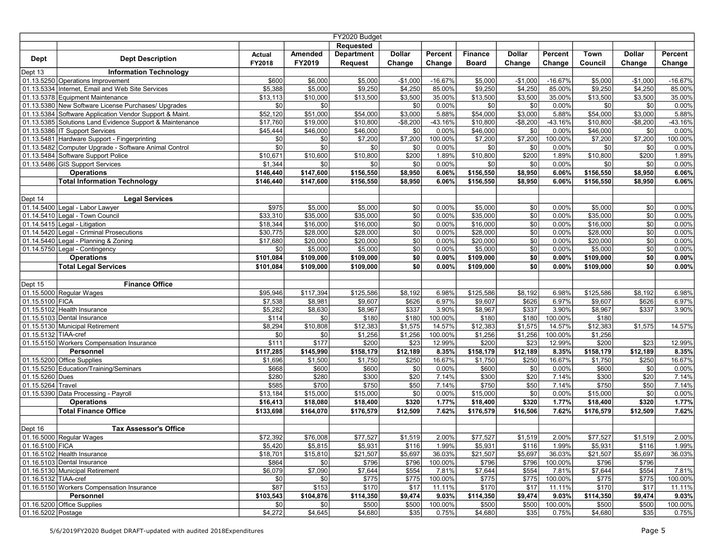| FY2020 Budget        |                                                                                      |                  |                     |                     |                    |                  |                     |                    |                     |                    |                      |                  |
|----------------------|--------------------------------------------------------------------------------------|------------------|---------------------|---------------------|--------------------|------------------|---------------------|--------------------|---------------------|--------------------|----------------------|------------------|
|                      |                                                                                      |                  |                     | Requested           |                    |                  |                     |                    |                     |                    |                      |                  |
| <b>Dept</b>          | <b>Dept Description</b>                                                              | Actual           | Amended             | <b>Department</b>   | <b>Dollar</b>      | Percent          | <b>Finance</b>      | <b>Dollar</b>      | Percent             | Town               | <b>Dollar</b>        | Percent          |
|                      |                                                                                      | FY2018           | FY2019              | <b>Request</b>      | Change             | Change           | <b>Board</b>        | Change             | Change              | Council            | Change               | Change           |
| Dept 13              | <b>Information Technology</b>                                                        |                  |                     |                     |                    |                  |                     |                    |                     |                    |                      |                  |
|                      | 01.13.5250 Operations Improvement                                                    | \$600<br>\$5,388 | \$6,000             | \$5,000             | $-$1,000$          | $-16.67%$        | \$5,000             | $-$1,000$          | $-16.67%$<br>85.00% | \$5,000<br>\$9,250 | $-$1,000$<br>\$4,250 | $-16.67%$        |
|                      | 01.13.5334 Internet, Email and Web Site Services<br>01.13.5378 Equipment Maintenance | \$13,113         | \$5,000<br>\$10,000 | \$9,250<br>\$13,500 | \$4,250<br>\$3,500 | 85.00%<br>35.00% | \$9,250<br>\$13,500 | \$4,250<br>\$3,500 | 35.00%              | \$13,500           | \$3,500              | 85.00%<br>35.00% |
|                      | 01.13.5380 New Software License Purchases/ Upgrades                                  | \$0              | \$0                 |                     | \$0                | 0.00%            | \$0                 | \$0                | 0.00%               | \$0                | \$0                  | 0.00%            |
|                      | 01.13.5384 Software Application Vendor Support & Maint.                              | \$52,120         | \$51,000            | \$54,000            | \$3,000            | 5.88%            | \$54,000            | \$3,000            | 5.88%               | \$54,000           | \$3,000              | 5.88%            |
|                      | 01.13.5385 Solutions Land Evidence Support & Maintenance                             | \$17,760         | \$19,000            | \$10,800            | $-$ \$8,200        | $-43.16%$        | \$10,800            | $-$8,200$          | $-43.16%$           | \$10,800           | $-$ \$8,200          | $-43.16%$        |
|                      | 01.13.5386 IT Support Services                                                       | \$45,444         | \$46,000            | \$46,000            | \$0                | 0.00%            | \$46,000            | \$0                | 0.00%               | \$46,000           | \$0                  | 0.00%            |
|                      | 01.13.5481 Hardware Support - Fingerprinting                                         | \$0              | \$0                 | \$7,200             | \$7,200            | 100.00%          | \$7,200             | \$7,200            | 100.00%             | \$7,200            | \$7,200              | 100.00%          |
|                      | 01.13.5482 Computer Upgrade - Software Animal Control                                | \$0              | \$0                 | \$0                 | \$0                | 0.00%            | \$0                 | \$0                | 0.00%               | \$0                | \$0                  | 0.00%            |
|                      | 01.13.5484 Software Support Police                                                   | \$10,671         | \$10,600            | \$10,800            | \$200              | 1.89%            | \$10,800            | \$200              | 1.89%               | \$10,800           | \$200                | 1.89%            |
|                      | 01.13.5486 GIS Support Services                                                      | \$1,344          | \$0                 | \$0                 | \$0                | 0.00%            | \$0                 | \$0                | 0.00%               | \$0                | \$0                  | 0.00%            |
|                      | <b>Operations</b>                                                                    | \$146,440        | \$147,600           | \$156,550           | \$8,950            | 6.06%            | \$156,550           | \$8,950            | 6.06%               | \$156,550          | \$8,950              | 6.06%            |
|                      | <b>Total Information Technology</b>                                                  | \$146,440        | \$147,600           | \$156,550           | \$8,950            | 6.06%            | \$156,550           | \$8,950            | 6.06%               | \$156,550          | \$8,950              | 6.06%            |
|                      |                                                                                      |                  |                     |                     |                    |                  |                     |                    |                     |                    |                      |                  |
| Dept 14              | <b>Legal Services</b>                                                                |                  |                     |                     |                    |                  |                     |                    |                     |                    |                      |                  |
|                      | 01.14.5400 Legal - Labor Lawyer                                                      | \$975            | \$5,000             | \$5,000             | \$0                | 0.00%            | \$5,000             | \$0                | 0.00%               | \$5,000            | \$0                  | 0.00%            |
|                      | 01.14.5410 Legal - Town Council                                                      | \$33,310         | \$35,000            | \$35,000            | \$0                | 0.00%            | \$35,000            | \$0                | 0.00%               | \$35,000           | \$0                  | 0.00%            |
|                      | 01.14.5415 Legal - Litigation                                                        | \$18,344         | \$16,000            | \$16,000            | \$0                | 0.00%            | \$16,000            | $\overline{30}$    | 0.00%               | \$16,000           | \$0                  | 0.00%            |
|                      | 01.14.5420 Legal - Criminal Prosecutions                                             | \$30,775         | \$28,000            | \$28,000            | $\overline{30}$    | 0.00%            | \$28,000            | $\overline{50}$    | 0.00%               | \$28,000           | \$0                  | 0.00%            |
|                      | 01.14.5440 Legal - Planning & Zoning                                                 | \$17,680         | \$20,000            | \$20,000            | $\overline{50}$    | 0.00%            | \$20,000            | $\overline{50}$    | 0.00%               | \$20,000           | \$0                  | 0.00%            |
|                      | 01.14.5750 Legal - Contingency                                                       | \$0              | \$5,000             | \$5,000             | \$0                | 0.00%            | \$5,000             | \$0                | 0.00%               | \$5,000            | \$0                  | 0.00%            |
|                      | <b>Operations</b>                                                                    | \$101,084        | \$109,000           | \$109,000           | $\overline{50}$    | 0.00%            | \$109,000           | \$0                | 0.00%               | \$109,000          | \$0                  | 0.00%            |
|                      | <b>Total Legal Services</b>                                                          | \$101,084        | \$109,000           | \$109,000           | \$0                | 0.00%            | $\frac{1}{109,000}$ | sol                | 0.00%               | \$109,000          | \$0                  | 0.00%            |
| Dept 15              | <b>Finance Office</b>                                                                |                  |                     |                     |                    |                  |                     |                    |                     |                    |                      |                  |
|                      | 01.15.5000 Regular Wages                                                             | \$95,946         | \$117,394           | \$125,586           | \$8,192            | 6.98%            | \$125,586           | \$8,192            | 6.98%               | \$125,586          | \$8,192              | 6.98%            |
| 01.15.5100 FICA      |                                                                                      | \$7,538          | \$8,981             | \$9,607             | \$626              | 6.97%            | \$9,607             | \$626              | 6.97%               | \$9,607            | \$626                | 6.97%            |
|                      | 01.15.5102 Health Insurance                                                          | \$5,282          | \$8,630             | \$8,967             | \$337              | 3.90%            | \$8,967             | \$337              | 3.90%               | \$8,967            | \$337                | 3.90%            |
|                      | 01.15.5103 Dental Insurance                                                          | \$114            | \$0                 | \$180               | \$180              | 100.00%          | \$180               | \$180              | 100.00%             | \$180              |                      |                  |
|                      | 01.15.5130 Municipal Retirement                                                      | \$8,294          | \$10,808            | \$12,383            | \$1,575            | 14.57%           | \$12,383            | \$1,575            | 14.57%              | \$12,383           | \$1,575              | 14.57%           |
| 01.15.5132 TIAA-cref |                                                                                      | \$0              | \$0                 | \$1,256             | \$1,256            | 100.00%          | \$1,256             | \$1,256            | 100.00%             | \$1,256            |                      |                  |
|                      | 01.15.5150 Workers Compensation Insurance                                            | \$111            | \$177               | \$200               | \$23               | 12.99%           | \$200               | \$23               | 12.99%              | \$200              | \$23                 | 12.99%           |
|                      | Personnel                                                                            | \$117,285        | \$145,990           | \$158,179           | \$12,189           | 8.35%            | \$158,179           | \$12,189           | 8.35%               | \$158,179          | \$12,189             | 8.35%            |
|                      | 01.15.5200 Office Supplies                                                           | \$1,696          | \$1,500             | \$1,750             | \$250              | 16.67%           | \$1,750             | \$250              | 16.67%              | \$1,750            | \$250                | 16.67%           |
|                      | 01.15.5250 Education/Training/Seminars                                               | \$668            | \$600               | \$600               | \$0                | 0.00%            | \$600               | \$0                | 0.00%               | \$600              | \$0                  | 0.00%            |
| 01.15.5260 Dues      |                                                                                      | \$280            | \$280               | \$300               | \$20               | 7.14%            | \$300               | \$20               | 7.14%               | \$300              | \$20                 | 7.14%            |
| 01.15.5264 Travel    |                                                                                      | \$585            | \$700               | \$750               | \$50               | 7.14%            | \$750               | \$50               | 7.14%               | \$750              | \$50                 | 7.14%            |
|                      | 01.15.5390 Data Processing - Payroll                                                 | \$13,184         | \$15,000            | \$15,000            | \$0                | 0.00%            | \$15,000            | \$0                | 0.00%               | \$15,000           | \$0                  | 0.00%            |
|                      | <b>Operations</b>                                                                    | \$16,413         | \$18,080            | \$18,400            | \$320              | 1.77%            | \$18,400            | \$320              | 1.77%               | \$18,400           | \$320                | 1.77%            |
|                      | <b>Total Finance Office</b>                                                          | \$133,698        | \$164,070           | \$176,579           | \$12,509           | 7.62%            | \$176,579           | \$16,506           | 7.62%               | \$176,579          | \$12,509             | 7.62%            |
|                      |                                                                                      |                  |                     |                     |                    |                  |                     |                    |                     |                    |                      |                  |
| Dept 16              | <b>Tax Assessor's Office</b>                                                         |                  |                     |                     |                    |                  |                     |                    |                     |                    |                      |                  |
|                      | 01.16.5000 Regular Wages                                                             | \$72,392         | \$76,008            | \$77,527            | \$1,519            | 2.00%            | \$77,527            | \$1,519            | 2.00%               | \$77,527           | \$1,519              | 2.00%            |
| 01.16.5100 FICA      |                                                                                      | \$5,420          | \$5,815             | \$5,931             | \$116              | 1.99%            | \$5,931             | \$116              | 1.99%               | \$5,931            | \$116                | 1.99%            |
|                      | 01.16.5102 Health Insurance                                                          | \$18,701         | \$15,810            | \$21,507            | \$5,697            | 36.03%           | \$21,507            | \$5,697            | 36.03%              | \$21,507           | \$5,697              | 36.03%           |
|                      | 01.16.5103 Dental Insurance<br>01.16.5130 Municipal Retirement                       | \$864<br>\$6,079 | \$0                 | \$796               | \$796<br>\$554     | 100.00%<br>7.81% | \$796               | \$796<br>\$554     | 100.00%<br>7.81%    | \$796<br>\$7,644   | \$796<br>\$554       | 7.81%            |
| 01.16.5132 TIAA-cref |                                                                                      | \$0              | \$7,090<br>\$0      | \$7,644<br>\$775    | \$775              | 100.00%          | \$7,644<br>\$775    | \$775              | 100.00%             | \$775              | \$775                | 100.00%          |
|                      | 01.16.5150 Workers Compensation Insurance                                            | \$87             | \$153               | \$170               | \$17               | 11.11%           | \$170               | \$17               | 11.11%              | \$170              | \$17                 |                  |
|                      | Personnel                                                                            | \$103,543        | \$104,876           | \$114,350           | \$9,474            | 9.03%            | $\sqrt{114,350}$    | \$9,474            | 9.03%               | \$114,350          | \$9,474              | 11.11%<br>9.03%  |
|                      | 01.16.5200 Office Supplies                                                           | \$0              | \$0                 | \$500               | \$500              | 100.00%          | \$500               | \$500              | 100.00%             | \$500              | \$500                | 100.00%          |
| 01.16.5202 Postage   |                                                                                      | \$4,272          | \$4,645             | \$4,680             | \$35               | 0.75%            | \$4,680             | \$35               | 0.75%               | \$4,680            | \$35                 | 0.75%            |
|                      |                                                                                      |                  |                     |                     |                    |                  |                     |                    |                     |                    |                      |                  |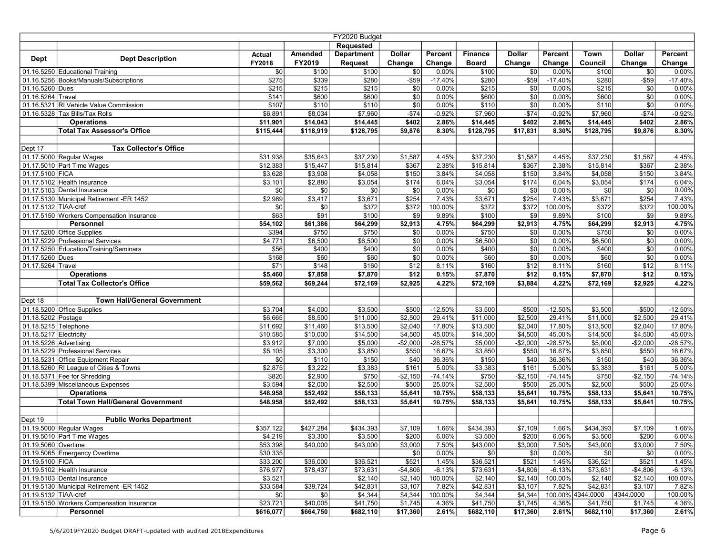| FY2020 Budget            |                                                                        |                |                  |                   |                 |                  |                  |                 |                  |                   |               |                 |
|--------------------------|------------------------------------------------------------------------|----------------|------------------|-------------------|-----------------|------------------|------------------|-----------------|------------------|-------------------|---------------|-----------------|
|                          |                                                                        |                |                  | <b>Requested</b>  |                 |                  |                  |                 |                  |                   |               |                 |
|                          |                                                                        | <b>Actual</b>  | Amended          | <b>Department</b> | <b>Dollar</b>   | Percent          | <b>Finance</b>   | <b>Dollar</b>   | Percent          | Town              | <b>Dollar</b> | Percent         |
| <b>Dept</b>              | <b>Dept Description</b>                                                | FY2018         | FY2019           | <b>Request</b>    | Change          | Change           | <b>Board</b>     | Change          | Change           | Council           | Change        | Change          |
|                          | 01.16.5250 Educational Training                                        | \$0            | \$100            | \$100             | \$0             | 0.00%            | \$100            | \$0             | 0.00%            | \$100             | \$0           | 0.00%           |
|                          | 01.16.5256 Books/Manuals/Subscriptions                                 | \$275          | \$339            | \$280             | $-$ \$59        | $-17.40%$        | \$280            | $-$ \$59        | $-17.40%$        | \$280             | $- $59$       | $-17.40%$       |
| 01.16.5260 Dues          |                                                                        | \$215          | \$215            | \$215             | \$0             | 0.00%            | \$215            | \$0             | 0.00%            | \$215             | \$0           | 0.00%           |
| 01.16.5264 Travel        |                                                                        | \$141          | \$600            | \$600             | $\overline{30}$ | 0.00%            | \$600            | $\overline{30}$ | 0.00%            | \$600             | \$0           | 0.00%           |
|                          | 01.16.5321 RI Vehicle Value Commission                                 | \$107          | \$110            | \$110             | $\overline{50}$ | 0.00%            | \$110            | $\overline{30}$ | 0.00%            | \$110             | \$0           | 0.00%           |
|                          | 01.16.5328 Tax Bills/Tax Rolls                                         | \$6,891        | \$8,034          | \$7,960           | $-$74$          | $-0.92%$         | \$7,960          | $-$74$          | $-0.92%$         | \$7,960           | $-$74$        | $-0.92%$        |
|                          | <b>Operations</b>                                                      | \$11,901       | \$14,043         | \$14,445          | \$402           | 2.86%            | \$14,445         | \$402           | 2.86%            | \$14,445          | \$402         | 2.86%           |
|                          | <b>Total Tax Assessor's Office</b>                                     | \$115,444      | \$118,919        | \$128,795         | \$9,876         | 8.30%            | \$128,795        | \$17,831        | 8.30%            | \$128,795         | \$9,876       | 8.30%           |
|                          |                                                                        |                |                  |                   |                 |                  |                  |                 |                  |                   |               |                 |
| Dept 17                  | <b>Tax Collector's Office</b>                                          |                |                  |                   |                 |                  |                  |                 |                  |                   |               |                 |
|                          | 01.17.5000 Regular Wages                                               | \$31,938       | \$35,643         | \$37,230          | \$1,587         | 4.45%            | \$37,230         | \$1,587         | 4.45%            | \$37,230          | \$1,587       | 4.45%           |
|                          | 01.17.5010 Part Time Wages                                             | \$12,383       | \$15,447         | \$15,814          | \$367           | 2.38%            | \$15,814         | \$367           | 2.38%            | \$15,814          | \$367         | 2.38%           |
| 01.17.5100 FICA          |                                                                        | \$3,628        | \$3,908          | \$4,058           | \$150           | 3.84%            | \$4,058          | \$150           | 3.84%            | \$4,058           | \$150         | 3.84%           |
|                          | 01.17.5102 Health Insurance                                            | \$3,101        | \$2,880          | \$3,054           | \$174           | 6.04%            | \$3,054          | \$174           | 6.04%            | \$3,054           | \$174         | 6.04%           |
|                          | 01.17.5103 Dental Insurance                                            | \$0            | \$0              | \$0               | \$0             | 0.00%            | \$0              | \$0             | 0.00%            | \$0               | \$0           | 0.00%           |
|                          | 01.17.5130 Municipal Retirement -ER 1452                               | \$2,989        | \$3,417          | \$3,671           | \$254           | 7.43%            | \$3,671          | \$254           | 7.43%            | \$3,671           | \$254         | 7.43%           |
| 01.17.5132 TIAA-cref     |                                                                        | \$0            | \$0              | \$372             | \$372           | 100.00%          | \$372            | \$372           | 100.00%          | \$372             | \$372         | 100.00%         |
|                          | 01.17.5150 Workers Compensation Insurance                              | \$63           | \$91             | \$100             | \$9             | 9.89%            | \$100            | \$9             | 9.89%            | \$100             | \$9           | 9.89%           |
|                          | Personnel                                                              | \$54,102       | \$61,386         | \$64,299          | \$2,913         | 4.75%            | \$64,299         | \$2,913         | 4.75%            | \$64,299          | \$2,913       | 4.75%           |
|                          | 01.17.5200 Office Supplies                                             | \$394          | \$750            | \$750             | $\overline{50}$ | 0.00%            | \$750            | $\overline{30}$ | 0.00%            | \$750             | \$0           | 0.00%           |
|                          | 01.17.5229 Professional Services                                       | \$4,771        | \$6,500          | \$6,500           | \$0             | 0.00%            | \$6,500          | $\overline{50}$ | 0.00%            | \$6,500           | \$0           | 0.00%           |
|                          | 01.17.5250 Education/Training/Seminars                                 | \$56           | \$400            | \$400             | \$0             | 0.00%            | \$400            | \$0             | 0.00%            | \$400             | \$0           | 0.00%           |
| 01.17.5260 Dues          |                                                                        | \$168          | \$60             | \$60              | \$0             | 0.00%            | \$60             | \$0             | 0.00%            | \$60              | \$0           | 0.00%           |
| 01.17.5264 Travel        |                                                                        | \$71           | \$148            | \$160             | \$12            | 8.11%            | \$160            | \$12            | 8.11%            | \$160             | \$12          | 8.11%           |
|                          | <b>Operations</b>                                                      | \$5,460        | \$7,858          | \$7,870           | \$12            | 0.15%            | \$7,870          | \$12            | 0.15%            | \$7,870           | \$12          | 0.15%           |
|                          | <b>Total Tax Collector's Office</b>                                    | \$59,562       | \$69,244         | \$72,169          | \$2,925         | 4.22%            | \$72,169         | \$3,884         | 4.22%            | \$72,169          | \$2,925       | 4.22%           |
|                          |                                                                        |                |                  |                   |                 |                  |                  |                 |                  |                   |               |                 |
| Dept 18                  | <b>Town Hall/General Government</b>                                    |                |                  |                   |                 |                  |                  |                 |                  |                   |               |                 |
|                          | 01.18.5200 Office Supplies                                             | \$3,704        | \$4,000          | \$3,500           | $-$ \$500       | $-12.50%$        | \$3,500          | $-$500$         | $-12.50%$        | \$3,500           | $-$500$       | $-12.50%$       |
| 01.18.5202 Postage       |                                                                        | \$6,665        | \$8,500          | \$11,000          | \$2,500         | 29.41%           | \$11,000         | \$2,500         | 29.41%           | \$11,000          | \$2,500       | 29.41%          |
| 01.18.5215 Telephone     |                                                                        | \$11,692       | \$11,460         | \$13,500          | \$2,040         | 17.80%           | \$13,500         | \$2,040         | 17.80%           | \$13,500          | \$2,040       | 17.80%          |
| 01.18.5217 Electricity   |                                                                        | \$10,585       | \$10,000         | \$14,500          | \$4,500         | 45.00%           | \$14,500         | \$4,500         | 45.00%           | \$14,500          | \$4,500       | 45.00%          |
| $01.18.5226$ Advertising |                                                                        | \$3,912        | \$7,000          | \$5,000           | $-$ \$2,000     | $-28.57%$        | \$5,000          | $-$2,000$       | $-28.57%$        | \$5,000           | $-$2,000$     | $-28.57%$       |
|                          | 01.18.5229 Professional Services<br>01.18.5231 Office Equipment Repair | \$5,105        | \$3,300<br>\$110 | \$3,850           | \$550<br>\$40   | 16.67%<br>36.36% | \$3,850          | \$550<br>\$40   | 16.67%<br>36.36% | \$3,850           | \$550         | 16.67%          |
|                          |                                                                        | \$0<br>\$2,875 | \$3,222          | \$150<br>\$3,383  | \$161           | 5.00%            | \$150<br>\$3,383 | \$161           | 5.00%            | \$150             | \$40<br>\$161 | 36.36%<br>5.00% |
|                          | 01.18.5260 RI League of Cities & Towns<br>01.18.5371 Fee for Shredding | \$826          | \$2,900          | \$750             | $-$2,150$       | $-74.14%$        | \$750            | $-$2,150$       | $-74.14%$        | \$3,383<br>\$750  | $-$2,150$     | $-74.14%$       |
|                          | 01.18.5399 Miscellaneous Expenses                                      | \$3,594        | \$2,000          | \$2,500           | \$500           | 25.00%           | \$2,500          | \$500           | 25.00%           | \$2,500           | \$500         | 25.00%          |
|                          | <b>Operations</b>                                                      | \$48,958       | \$52,492         | \$58,133          | \$5,641         | 10.75%           | \$58,133         | \$5,641         | 10.75%           | \$58,133          | \$5,641       | 10.75%          |
|                          | <b>Total Town Hall/General Government</b>                              | \$48,958       | \$52,492         | \$58,133          | \$5,641         | 10.75%           | \$58,133         | \$5,641         | 10.75%           | \$58,133          | \$5,641       | 10.75%          |
|                          |                                                                        |                |                  |                   |                 |                  |                  |                 |                  |                   |               |                 |
| Dept 19                  | <b>Public Works Department</b>                                         |                |                  |                   |                 |                  |                  |                 |                  |                   |               |                 |
|                          | 01.19.5000 Regular Wages                                               | \$357.122      | \$427,284        | \$434,393         | \$7,109         | 1.66%            | \$434,393        | \$7,109         | 1.66%            | \$434,393         | \$7,109       | 1.66%           |
|                          | 01.19.5010 Part Time Wages                                             | \$4,219        | \$3,300          | \$3,500           | \$200           | 6.06%            | \$3,500          | \$200           | 6.06%            | \$3,500           | \$200         | 6.06%           |
| 01.19.5060 Overtime      |                                                                        | \$53,398       | \$40,000         | \$43,000          | \$3,000         | 7.50%            | \$43,000         | \$3,000         | 7.50%            | \$43,000          | \$3,000       | 7.50%           |
|                          | 01.19.5065 Emergency Overtime                                          | \$30,335       |                  |                   | \$0             | 0.00%            | \$0              | \$0             | 0.00%            | \$0               | \$0           | 0.00%           |
| 01.19.5100 FICA          |                                                                        | \$33,200       | \$36,000         | \$36,521          | \$521           | 1.45%            | \$36,521         | \$521           | 1.45%            | \$36,521          | \$521         | 1.45%           |
|                          | 01.19.5102 Health Insurance                                            | \$76,977       | \$78,437         | \$73,631          | $-$4,806$       | $-6.13%$         | \$73,631         | $-$4,806$       | $-6.13%$         | \$73,631          | $-$4,806$     | $-6.13%$        |
|                          | 01.19.5103 Dental Insurance                                            | \$3,521        |                  | \$2,140           | \$2,140         | 100.00%          | \$2,140          | \$2,140         | 100.00%          | \$2,140           | \$2,140       | 100.00%         |
|                          | 01.19.5130 Municipal Retirement -ER 1452                               | \$33,584       | \$39,724         | \$42,831          | \$3,107         | 7.82%            | \$42,831         | \$3,107         | 7.82%            | \$42,831          | \$3,107       | 7.82%           |
| 01.19.5132 TIAA-cref     |                                                                        | \$0            | \$0              | \$4,344           | \$4,344         | 100.00%          | \$4,344          | \$4,344         |                  | 100.00% 4344.0000 | 4344.0000     | 100.00%         |
|                          | 01.19.5150 Workers Compensation Insurance                              | \$23,721       | \$40,005         | \$41,750          | \$1,745         | 4.36%            | \$41,750         | \$1,745         | 4.36%            | \$41,750          | \$1,745       | 4.36%           |
|                          | Personnel                                                              | \$616,077      | \$664,750        | \$682,110         | \$17,360        | 2.61%            | \$682,110        | \$17,360        | 2.61%            | \$682,110         | \$17,360      | 2.61%           |
|                          |                                                                        |                |                  |                   |                 |                  |                  |                 |                  |                   |               |                 |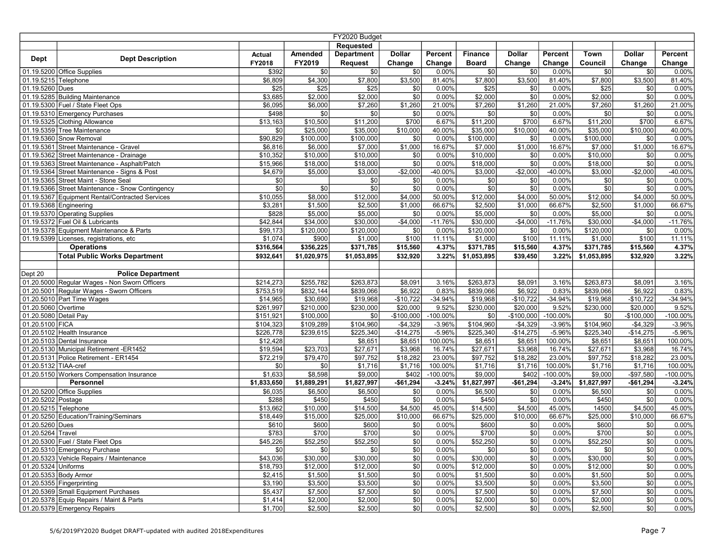| FY2020 Budget          |                                                  |               |                  |                   |                 |             |                |               |            |             |                 |             |
|------------------------|--------------------------------------------------|---------------|------------------|-------------------|-----------------|-------------|----------------|---------------|------------|-------------|-----------------|-------------|
|                        |                                                  |               |                  | <b>Requested</b>  |                 |             |                |               |            |             |                 |             |
|                        |                                                  | <b>Actual</b> | Amended          | <b>Department</b> | <b>Dollar</b>   | Percent     | <b>Finance</b> | <b>Dollar</b> | Percent    | Town        | <b>Dollar</b>   | Percent     |
| <b>Dept</b>            | <b>Dept Description</b>                          | FY2018        | FY2019           | <b>Request</b>    | Change          | Change      | <b>Board</b>   | Change        | Change     | Council     | Change          | Change      |
|                        | 01.19.5200 Office Supplies                       | \$392         | \$0              | \$0               | \$0             | 0.00%       | \$0            | \$0           | 0.00%      | \$0         | \$0             | 0.00%       |
| 01.19.5215 Telephone   |                                                  | \$6,809       | \$4,300          | \$7,800           | \$3,500         | 81.40%      | \$7,800        | \$3,500       | 81.40%     | \$7,800     | \$3,500         | 81.40%      |
| 01.19.5260 Dues        |                                                  | \$25          | $\overline{$25}$ | \$25              | \$0             | 0.00%       | \$25           | \$0           | 0.00%      | \$25        | \$0             | 0.00%       |
|                        | 01.19.5285 Building Maintenance                  | \$3,685       | \$2,000          | \$2,000           | $\overline{30}$ | 0.00%       | \$2,000        | \$0           | 0.00%      | \$2,000     | \$0             | 0.00%       |
|                        | 01.19.5300 Fuel / State Fleet Ops                | \$6,095       | \$6,000          | \$7,260           | \$1,260         | 21.00%      | \$7,260        | \$1,260       | 21.00%     | \$7,260     | \$1,260         | 21.00%      |
|                        | 01.19.5310 Emergency Purchases                   | \$498         | \$0              | 30                | \$0             | 0.00%       | 30             | \$0           | 0.00%      | \$0         | \$0             | 0.00%       |
|                        | 01.19.5325 Clothing Allowance                    | \$13,163      | \$10,500         | \$11,200          | \$700           | 6.67%       | \$11,200       | \$700         | 6.67%      | \$11,200    | \$700           | 6.67%       |
|                        | 01.19.5359 Tree Maintenance                      | \$0           | \$25,000         | \$35,000          | \$10,000        | 40.00%      | \$35,000       | \$10,000      | 40.00%     | \$35,000    | \$10,000        | 40.00%      |
|                        | 01.19.5360 Snow Removal                          | \$90,829      | \$100.000        | \$100,000         | \$0             | 0.00%       | \$100,000      | \$0           | 0.00%      | \$100,000   | \$0             | 0.00%       |
|                        | 01.19.5361 Street Maintenance - Gravel           | \$6,816       | \$6,000          | \$7,000           | \$1,000         | 16.67%      | \$7,000        | \$1,000       | 16.67%     | \$7,000     | \$1,000         | 16.67%      |
|                        | 01.19.5362 Street Maintenance - Drainage         | \$10,352      | \$10,000         | \$10,000          | \$0             | 0.00%       | \$10,000       | \$0           | 0.00%      | \$10,000    | \$0             | 0.00%       |
|                        | 01.19.5363 Street Maintenance - Asphalt/Patch    | \$15,966      | \$18,000         | \$18,000          | \$0             | 0.00%       | \$18,000       | \$0           | 0.00%      | \$18,000    | \$0             | 0.00%       |
|                        | 01.19.5364 Street Maintenance - Signs & Post     | \$4,679       | \$5,000          | \$3,000           | $-$2,000$       | -40.00%     | \$3,000        | $-$2,000$     | -40.00%    | \$3,000     | $-$2,000$       | -40.00%     |
|                        | 01.19.5365 Street Maint - Stone Seal             | \$0           |                  | \$0               | \$0             | 0.00%       | \$0            | \$0           | 0.00%      | \$0         | \$0             | $0.00\%$    |
|                        | 01.19.5366 Street Maintenance - Snow Contingency | \$0           | \$0              | \$0               | \$0             | 0.00%       | \$0            | \$0           | 0.00%      | \$0         | $\overline{30}$ | 0.00%       |
|                        | 01.19.5367 Equipment Rental/Contracted Services  | \$10,055      | \$8,000          | \$12,000          | \$4,000         | 50.00%      | \$12,000       | \$4,000       | 50.00%     | \$12,000    | \$4,000         | 50.00%      |
| 01.19.5368 Engineering |                                                  | \$3,281       | \$1,500          | \$2,500           | \$1,000         | 66.67%      | \$2,500        | \$1,000       | 66.67%     | \$2,500     | \$1,000         | 66.67%      |
|                        | 01.19.5370 Operating Supplies                    | \$828         | \$5,000          | \$5,000           | \$0             | 0.00%       | \$5,000        | \$0           | 0.00%      | \$5,000     | \$0             | 0.00%       |
|                        | 01.19.5372 Fuel Oil & Lubricants                 | \$42,844      | \$34,000         | \$30,000          | $-$4,000$       | $-11.76%$   | \$30,000       | $-$4,000$     | $-11.76%$  | \$30,000    | $-$4,000$       | $-11.76%$   |
|                        | 01.19.5378 Equipment Maintenance & Parts         | \$99,173      | \$120,000        | \$120,000         | \$0             | 0.00%       | \$120,000      | \$0           | 0.00%      | \$120,000   | \$0             | $0.00\%$    |
|                        | 01.19.5399 Licenses, registrations, etc          | \$1,074       | \$900            | \$1,000           | \$100           | 11.11%      | \$1,000        | \$100         | 11.11%     | \$1,000     | \$100           | 11.11%      |
|                        | <b>Operations</b>                                | \$316,564     | \$356,225        | \$371,785         | \$15,560        | 4.37%       | \$371,785      | \$15,560      | 4.37%      | \$371,785   | \$15,560        | 4.37%       |
|                        | <b>Total Public Works Department</b>             | \$932,641     | \$1,020,975      | \$1,053,895       | \$32,920        | 3.22%       | \$1,053,895    | \$39,450      | 3.22%      | \$1,053,895 | \$32,920        | 3.22%       |
|                        |                                                  |               |                  |                   |                 |             |                |               |            |             |                 |             |
| Dept 20                | <b>Police Department</b>                         |               |                  |                   |                 |             |                |               |            |             |                 |             |
|                        | 01.20.5000 Regular Wages - Non Sworn Officers    | \$214,273     | \$255,782        | \$263,873         | \$8,091         | 3.16%       | \$263,873      | \$8,091       | 3.16%      | \$263,873   | \$8,091         | 3.16%       |
|                        | 01.20.5001 Regular Wages - Sworn Officers        | \$753,519     | \$832,144        | \$839,066         | \$6,922         | 0.83%       | \$839,066      | \$6,922       | 0.83%      | \$839,066   | \$6,922         | 0.83%       |
|                        | 01.20.5010 Part Time Wages                       | \$14,965      | \$30,690         | \$19,968          | $-$10,722$      | $-34.94%$   | \$19,968       | $-$10,722$    | $-34.94%$  | \$19,968    | $-$10,722$      | $-34.94%$   |
| 01.20.5060 Overtime    |                                                  | \$261,997     | \$210,000        | \$230,000         | \$20,000        | 9.52%       | \$230,000      | \$20,000      | 9.52%      | \$230,000   | \$20,000        | 9.52%       |
| 01.20.5080 Detail Pay  |                                                  | \$151,921     | \$100,000        | \$0               | $-$100,000$     | $-100.00\%$ | \$0            | $-$100,000$   | $-100.00%$ | \$0         | $-$100,000$     | $-100.00\%$ |
| 01.20.5100 FICA        |                                                  | \$104,323     | \$109,289        | \$104,960         | $-$4,329$       | $-3.96%$    | \$104,960      | $-$4,329$     | $-3.96%$   | \$104,960   | $-$4,329$       | $-3.96%$    |
|                        | 01.20.5102 Health Insurance                      | \$226,778     | \$239,615        | \$225,340         | $-$14,275$      | $-5.96%$    | \$225,340      | $-$14,275$    | $-5.96%$   | \$225,340   | $-$14,275$      | $-5.96%$    |
|                        | 01.20.5103 Dental Insurance                      | \$12,428      |                  | \$8,651           | \$8,651         | 100.00%     | \$8,651        | \$8,651       | 100.00%    | \$8,651     | \$8,651         | 100.00%     |
|                        | 01.20.5130 Municipal Retirement -ER1452          | \$19,594      | \$23,703         | \$27,671          | \$3,968         | 16.74%      | \$27,671       | \$3,968       | 16.74%     | \$27,671    | \$3,968         | 16.74%      |
|                        | 01.20.5131 Police Retirement - ER1454            | \$72,219      | \$79,470         | \$97,752          | \$18,282        | 23.00%      | \$97,752       | \$18,282      | 23.00%     | \$97,752    | \$18,282        | 23.00%      |
| 01.20.5132 TIAA-cref   |                                                  | \$0           | \$0              | \$1,716           | \$1,716         | 100.00%     | \$1,716        | \$1,716       | 100.00%    | \$1,716     | \$1,716         | 100.00%     |
|                        | 01.20.5150 Workers Compensation Insurance        | \$1,633       | \$8,598          | \$9,000           | \$402           | $-100.00\%$ | \$9,000        | \$402         | $-100.00%$ | \$9,000     | $-$97,580$      | -100.00%    |
|                        | Personnel                                        | \$1,833,650   | \$1,889,291      | \$1,827,997       | $-$61,294$      | $-3.24%$    | \$1,827,997    | $- $61,294$   | $-3.24%$   | \$1,827,997 | $- $61,294$     | $-3.24%$    |
|                        | 01.20.5200 Office Supplies                       | \$6,035       | \$6,500          | \$6,500           | \$0             | 0.00%       | \$6,500        | \$0           | 0.00%      | \$6,500     | \$0             | $0.00\%$    |
| 01.20.5202 Postage     |                                                  | \$288         | \$450            | \$450             | \$0             | 0.00%       | \$450          | \$0           | 0.00%      | \$450       | \$0             | 0.00%       |
| 01.20.5215 Telephone   |                                                  | \$13,662      | \$10,000         | \$14,500          | \$4,500         | 45.00%      | \$14,500       | \$4,500       | 45.00%     | 14500       | \$4,500         | 45.00%      |
|                        | 01.20.5250 Education/Training/Seminars           | \$18,449      | \$15,000         | \$25,000          | \$10,000        | 66.67%      | \$25,000       | \$10,000      | 66.67%     | \$25,000    | \$10,000        | 66.67%      |
| 01.20.5260 Dues        |                                                  | \$610         | \$600            | \$600             | \$0             | 0.00%       | \$600          | \$0           | 0.00%      | \$600       | \$0             | 0.00%       |
| 01.20.5264 Travel      |                                                  | \$783         | \$700            | \$700             | \$0             | 0.00%       | \$700          | \$0           | 0.00%      | \$700       | \$0             | 0.00%       |
|                        | 01.20.5300 Fuel / State Fleet Ops                | \$45,226      | \$52,250         | \$52,250          | \$0             | $0.00\%$    | \$52,250       | \$0           | 0.00%      | \$52,250    | \$0             | 0.00%       |
|                        | 01.20.5310 Emergency Purchase                    | \$0           | \$0              | \$0               | \$0             | 0.00%       | \$0            | \$0           | 0.00%      | \$0         | \$0             | 0.00%       |
|                        | 01.20.5323 Vehicle Repairs / Maintenance         | \$43,036      | \$30,000         | \$30,000          | \$0             | 0.00%       | \$30,000       | \$0           | 0.00%      | \$30,000    | \$0             | 0.00%       |
| 01.20.5324 Uniforms    |                                                  | \$18,793      | \$12,000         | \$12,000          | \$0             | 0.00%       | \$12,000       | \$0           | 0.00%      | \$12,000    | \$0             | $0.00\%$    |
| 01.20.5353 Body Armor  |                                                  | \$2,415       | \$1,500          | \$1,500           | \$0             | 0.00%       | \$1,500        | \$0           | 0.00%      | \$1,500     | \$0             | $0.00\%$    |
|                        | 01.20.5355 Fingerprinting                        | \$3,190       | \$3,500          | \$3,500           | \$0             | 0.00%       | \$3,500        | $\frac{6}{3}$ | 0.00%      | \$3,500     | \$0             | 0.00%       |
|                        | 01.20.5369 Small Equipment Purchases             | \$5,437       | \$7,500          | \$7,500           | \$0             | 0.00%       | \$7,500        | \$0           | 0.00%      | \$7,500     | \$0             | 0.00%       |
|                        | 01.20.5378 Equip Repairs / Maint & Parts         | \$1,414       | \$2,000          | \$2,000           | \$0             | $0.00\%$    | \$2,000        | \$0           | 0.00%      | \$2,000     | \$0             | 0.00%       |
|                        | 01.20.5379 Emergency Repairs                     | \$1,700       | \$2,500          | \$2,500           | \$0             | $0.00\%$    | \$2,500        | \$0           | 0.00%      | \$2,500     | \$0             | 0.00%       |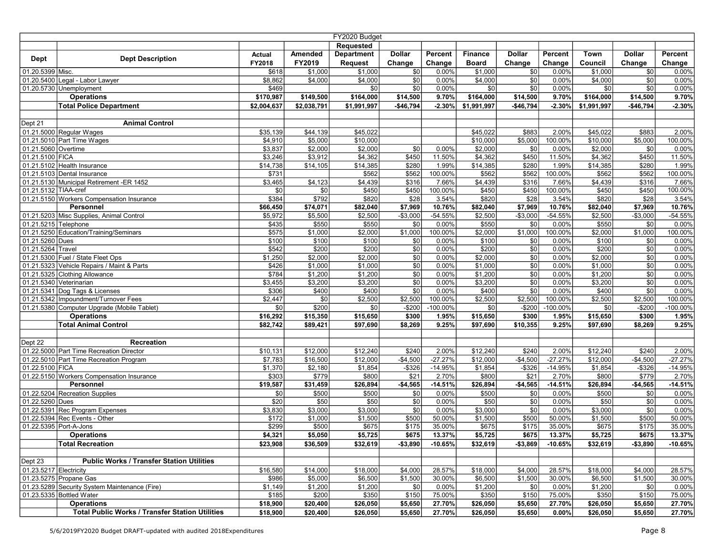| FY2020 Budget          |                                                        |                  |             |                   |                 |            |                |                 |           |             |                   |           |
|------------------------|--------------------------------------------------------|------------------|-------------|-------------------|-----------------|------------|----------------|-----------------|-----------|-------------|-------------------|-----------|
|                        |                                                        |                  |             | <b>Requested</b>  |                 |            |                |                 |           |             |                   |           |
|                        |                                                        | <b>Actual</b>    | Amended     | <b>Department</b> | <b>Dollar</b>   | Percent    | <b>Finance</b> | <b>Dollar</b>   | Percent   | Town        | <b>Dollar</b>     | Percent   |
| <b>Dept</b>            | <b>Dept Description</b>                                | FY2018           | FY2019      | <b>Request</b>    | Change          | Change     | <b>Board</b>   | Change          | Change    | Council     | Change            | Change    |
| 01.20.5399 Misc.       |                                                        | \$618            | \$1,000     | \$1,000           | \$0             | 0.00%      | \$1,000        | \$0             | 0.00%     | \$1,000     | \$0               | 0.00%     |
|                        | 01.20.5400 Legal - Labor Lawyer                        | \$8,862          | \$4,000     | \$4,000           | \$0             | 0.00%      | \$4,000        | $\overline{30}$ | 0.00%     | \$4,000     | \$0               | $0.00\%$  |
|                        | 01.20.5730 Unemployment                                | \$469            |             | \$0               | $\overline{50}$ | 0.00%      | \$0            | \$0             | 0.00%     | \$0         | \$0               | 0.00%     |
|                        | <b>Operations</b>                                      | \$170,987        | \$149,500   | \$164,000         | \$14,500        | 9.70%      | \$164,000      | \$14,500        | 9.70%     | \$164,000   | \$14,500          | 9.70%     |
|                        | <b>Total Police Department</b>                         | \$2,004,637      | \$2,038,791 | \$1,991,997       | $-$46,794$      | $-2.30%$   | \$1,991,997    | $-$46,794$      | $-2.30%$  | \$1,991,997 | $-$46,794$        | $-2.30%$  |
|                        |                                                        |                  |             |                   |                 |            |                |                 |           |             |                   |           |
| Dept 21                | <b>Animal Control</b>                                  |                  |             |                   |                 |            |                |                 |           |             |                   |           |
|                        | 01.21.5000 Regular Wages                               | \$35,139         | \$44,139    | \$45,022          |                 |            | \$45,022       | \$883           | 2.00%     | \$45,022    | \$883             | 2.00%     |
|                        | 01.21.5010 Part Time Wages                             | \$4,910          | \$5,000     | \$10,000          |                 |            | \$10,000       | \$5,000         | 100.00%   | \$10,000    | \$5,000           | 100.00%   |
| 01.21.5060 Overtime    |                                                        | \$3,837          | \$2,000     | \$2,000           | \$0             | 0.00%      | \$2,000        | \$0             | 0.00%     | \$2,000     | \$0               | 0.00%     |
| 01.21.5100 FICA        |                                                        | \$3,246          | \$3,912     | \$4,362           | \$450           | 11.50%     | \$4,362        | \$450           | 11.50%    | \$4,362     | \$450             | 11.50%    |
|                        | 01.21.5102 Health Insurance                            | \$14,738         | \$14,105    | \$14,385          | \$280           | 1.99%      | \$14,385       | \$280           | 1.99%     | \$14,385    | \$280             | 1.99%     |
|                        | 01.21.5103 Dental Insurance                            | \$731            |             | \$562             | \$562           | 100.00%    | \$562          | \$562           | 100.00%   | \$562       | \$562             | 100.00%   |
|                        | 01.21.5130 Municipal Retirement -ER 1452               | \$3,465          | \$4,123     | \$4,439           | \$316           | 7.66%      | \$4,439        | \$316           | 7.66%     | \$4,439     | \$316             | 7.66%     |
| 01.21.5132 TIAA-cref   |                                                        | \$0              | \$0         | \$450             | \$450           | 100.00%    | \$450          | \$450           | 100.00%   | \$450       | \$450             | 100.00%   |
|                        | 01.21.5150 Workers Compensation Insurance              | \$384            | \$792       | \$820             | \$28            | 3.54%      | \$820          | \$28            | 3.54%     | \$820       | \$28              | 3.54%     |
|                        | Personnel                                              | \$66,450         | \$74,071    | \$82,040          | \$7,969         | 10.76%     | \$82,040       | \$7,969         | 10.76%    | \$82,040    | \$7,969           | 10.76%    |
|                        | 01.21.5203 Misc Supplies, Animal Control               | \$5,972          | \$5,500     | \$2,500           | $-$3,000$       | $-54.55%$  | \$2,500        | $-$3,000$       | $-54.55%$ | \$2,500     | $-$3,000$         | $-54.55%$ |
| 01.21.5215 Telephone   |                                                        | \$435            | \$550       | \$550             | $\sqrt{50}$     | 0.00%      | \$550          | \$0             | 0.00%     | \$550       | \$0               | 0.00%     |
|                        | 01.21.5250 Education/Training/Seminars                 | \$575            | \$1,000     | \$2,000           | \$1,000         | 100.00%    | \$2,000        | \$1,000         | 100.00%   | \$2,000     | $\frac{1}{1,000}$ | 100.00%   |
| 01.21.5260 Dues        |                                                        | \$100            | \$100       | \$100             | $ $ \$0         | 0.00%      | \$100          | \$0             | 0.00%     | \$100       | \$0               | 0.00%     |
| 01.21.5264 Travel      |                                                        | \$542            | \$200       | \$200             | $\overline{30}$ | 0.00%      | \$200          | \$0             | 0.00%     | \$200       | \$0               | 0.00%     |
|                        | 01.21.5300 Fuel / State Fleet Ops                      | \$1,250          | \$2,000     | \$2,000           | \$0             | 0.00%      | \$2,000        | \$0             | 0.00%     | \$2,000     | \$0               | $0.00\%$  |
|                        | 01.21.5323 Vehicle Repairs / Maint & Parts             | \$426            | \$1,000     | \$1,000           | $\sqrt{50}$     | 0.00%      | \$1,000        | \$0             | 0.00%     | \$1,000     | \$0               | $0.00\%$  |
|                        | 01.21.5325 Clothing Allowance                          | \$784            | \$1,200     | \$1,200           | \$0             | 0.00%      | \$1,200        | \$0             | 0.00%     | \$1,200     | \$0               | 0.00%     |
|                        | 01.21.5340 Veterinarian                                | \$3,455          | \$3,200     | \$3,200           | $\sqrt{50}$     | 0.00%      | \$3,200        | \$0             | 0.00%     | \$3,200     | \$0               | 0.00%     |
|                        | 01.21.5341 Dog Tags & Licenses                         | \$306            | \$400       | \$400             | $\overline{50}$ | 0.00%      | \$400          | $\overline{30}$ | 0.00%     | \$400       | \$0               | 0.00%     |
|                        | 01.21.5342 Impoundment/Turnover Fees                   | \$2,447          | \$0         | \$2,500           | \$2,500         | 100.00%    | \$2,500        | \$2,500         | 100.00%   | \$2,500     | \$2,500           | 100.00%   |
|                        | 01.21.5380 Computer Upgrade (Mobile Tablet)            | \$0              | \$200       | \$0               | $-$200$         | $-100.00%$ | \$0            | $-$200$         | -100.00%  | \$0         | $-$200$           | -100.00%  |
|                        | <b>Operations</b>                                      | \$16,292         | \$15,350    | \$15,650          | \$300           | 1.95%      | \$15,650       | \$300           | 1.95%     | \$15,650    | \$300             | 1.95%     |
|                        | <b>Total Animal Control</b>                            | \$82,742         | \$89,421    | \$97,690          | \$8,269         | 9.25%      | \$97,690       | \$10,355        | 9.25%     | \$97,690    | \$8,269           | 9.25%     |
|                        |                                                        |                  |             |                   |                 |            |                |                 |           |             |                   |           |
| Dept 22                | <b>Recreation</b>                                      |                  |             |                   |                 |            |                |                 |           |             |                   |           |
|                        | 01.22.5000 Part Time Recreation Director               | \$10,131         | \$12,000    | \$12,240          | \$240           | 2.00%      | \$12,240       | \$240           | 2.00%     | \$12,240    | \$240             | 2.00%     |
|                        | 01.22.5010 Part Time Recreation Program                | \$7,783          | \$16,500    | \$12,000          | $-$4,500$       | $-27.27%$  | \$12,000       | $-$4,500$       | $-27.27%$ | \$12,000    | $-$4,500$         | $-27.27%$ |
| 01.22.5100 FICA        |                                                        | \$1,370          | \$2,180     | \$1,854           | $-$ \$326       | $-14.95%$  | \$1,854        | $-$ \$326       | $-14.95%$ | \$1,854     | $-$ \$326         | $-14.95%$ |
|                        | 01.22.5150 Workers Compensation Insurance              | \$303            | \$779       | \$800             | \$21            | 2.70%      | \$800          | \$21            | 2.70%     | \$800       | \$779             | 2.70%     |
|                        | Personnel                                              | \$19,587         | \$31,459    | \$26,894          | $-$4,565$       | $-14.51%$  | \$26,894       | $-$4,565$       | $-14.51%$ | \$26,894    | $-$4,565$         | $-14.51%$ |
|                        | 01.22.5204 Recreation Supplies                         | \$0              | \$500       | \$500             | \$0             | 0.00%      | \$500          | \$0             | 0.00%     | \$500       | \$0               | 0.00%     |
| 01.22.5260 Dues        |                                                        | $\overline{$20}$ | \$50        | \$50              | $\overline{30}$ | 0.00%      | \$50           | $\overline{30}$ | 0.00%     | \$50        | \$0               | 0.00%     |
|                        | 01.22.5391 Rec Program Expenses                        | \$3,830          | \$3,000     | \$3,000           | $\overline{50}$ | 0.00%      | \$3,000        | $\overline{30}$ | 0.00%     | \$3,000     | \$0               | 0.00%     |
|                        | 01.22.5394 Rec Events - Other                          | \$172            | \$1,000     | \$1,500           | \$500           | 50.00%     | \$1,500        | \$500           | 50.00%    | \$1,500     | \$500             | 50.00%    |
|                        | 01.22.5395 Port-A-Jons                                 | \$299            | \$500       | \$675             | \$175           | 35.00%     | \$675          | \$175           | 35.00%    | \$675       | \$175             | 35.00%    |
|                        | <b>Operations</b>                                      | \$4,321          | \$5,050     | \$5,725           | \$675           | 13.37%     | \$5,725        | \$675           | 13.37%    | \$5,725     | \$675             | 13.37%    |
|                        | <b>Total Recreation</b>                                | \$23,908         | \$36,509    | \$32,619          | $-$ \$3,890     | $-10.65%$  | \$32,619       | $-$3,869$       | $-10.65%$ | \$32,619    | $-$3,890$         | $-10.65%$ |
|                        |                                                        |                  |             |                   |                 |            |                |                 |           |             |                   |           |
| Dept 23                | <b>Public Works / Transfer Station Utilities</b>       |                  |             |                   |                 |            |                |                 |           |             |                   |           |
| 01.23.5217 Electricity |                                                        | \$16,580         | \$14,000    | \$18,000          | \$4,000         | 28.57%     | \$18,000       | \$4,000         | 28.57%    | \$18,000    | \$4,000           | 28.57%    |
|                        | 01.23.5275 Propane Gas                                 | \$986            | \$5,000     | \$6,500           | \$1,500         | 30.00%     | \$6,500        | \$1,500         | 30.00%    | \$6,500     | \$1,500           | 30.00%    |
|                        | 01.23.5289 Security System Maintenance (Fire)          | \$1,149          | \$1,200     | \$1,200           | \$0             | 0.00%      | \$1,200        | \$0             | 0.00%     | \$1,200     | \$0               | 0.00%     |
|                        | 01.23.5335 Bottled Water                               | \$185            | \$200       | \$350             | \$150           | 75.00%     | \$350          | \$150           | 75.00%    | \$350       | \$150             | 75.00%    |
|                        | <b>Operations</b>                                      | \$18,900         | \$20,400    | \$26,050          | \$5,650         | 27.70%     | \$26,050       | \$5,650         | 27.70%    | \$26,050    | \$5,650           | 27.70%    |
|                        | <b>Total Public Works / Transfer Station Utilities</b> | \$18,900         | \$20,400    | \$26,050          | \$5,650         | 27.70%     | \$26,050       | \$5,650         | 0.00%     | \$26,050    | \$5,650           | 27.70%    |
|                        |                                                        |                  |             |                   |                 |            |                |                 |           |             |                   |           |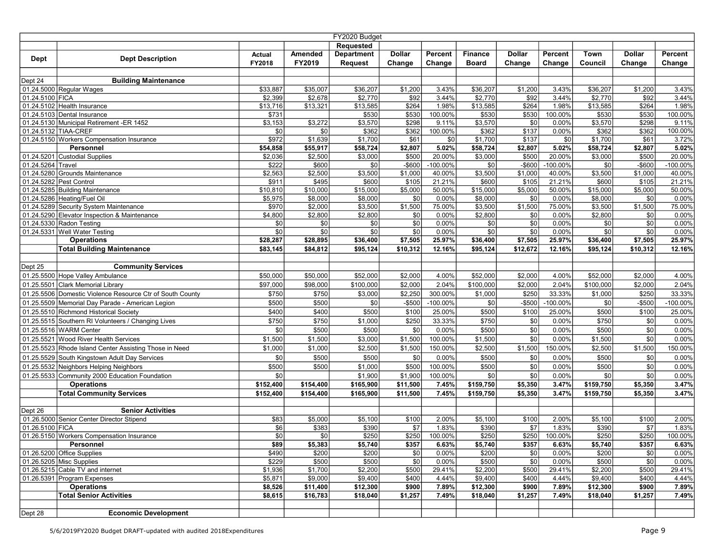| FY2020 Budget     |                                                           |                |           |                   |               |            |                |                 |             |           |               |             |
|-------------------|-----------------------------------------------------------|----------------|-----------|-------------------|---------------|------------|----------------|-----------------|-------------|-----------|---------------|-------------|
|                   |                                                           |                |           | Requested         |               |            |                |                 |             |           |               |             |
|                   |                                                           | Actual         | Amended   | <b>Department</b> | Dollar        | Percent    | <b>Finance</b> | Dollar          | Percent     | Town      | <b>Dollar</b> | Percent     |
| <b>Dept</b>       | <b>Dept Description</b>                                   | FY2018         | FY2019    | <b>Request</b>    | Change        | Change     | <b>Board</b>   | Change          | Change      | Council   | Change        | Change      |
|                   |                                                           |                |           |                   |               |            |                |                 |             |           |               |             |
| Dept 24           | <b>Building Maintenance</b>                               |                |           |                   |               |            |                |                 |             |           |               |             |
|                   | 01.24.5000 Regular Wages                                  | \$33,887       | \$35,007  | \$36,207          | \$1,200       | 3.43%      | \$36,207       | \$1,200         | 3.43%       | \$36,207  | \$1,200       | 3.43%       |
| 01.24.5100 FICA   |                                                           | \$2,399        | \$2,678   | \$2,770           | \$92          | 3.44%      | \$2,770        | \$92            | 3.44%       | \$2,770   | \$92          | 3.44%       |
|                   | 01.24.5102 Health Insurance                               | \$13,716       | \$13,321  | \$13,585          | \$264         | 1.98%      | \$13,585       | \$264           | 1.98%       | \$13,585  | \$264         | 1.98%       |
|                   | 01.24.5103 Dental Insurance                               | \$731          |           | \$530             | \$530         | 100.00%    | \$530          | \$530           | 100.00%     | \$530     | \$530         | 100.00%     |
|                   | 01.24.5130 Municipal Retirement -ER 1452                  | \$3,153        | \$3,272   | \$3,570           | \$298         | 9.11%      | \$3,570        | \$0             | 0.00%       | \$3,570   | \$298         | 9.11%       |
|                   | 01.24.5132 TIAA-CREF                                      | \$0            | \$0       | \$362             | \$362         | 100.00%    | \$362          | \$137           | 0.00%       | \$362     | \$362         | 100.00%     |
|                   | 01.24.5150 Workers Compensation Insurance                 | \$972          | \$1,639   | \$1,700           | \$61          | \$0        | \$1,700        | \$137           | \$0         | \$1,700   | \$61          | 3.72%       |
|                   | Personnel                                                 | \$54,858       | \$55,917  | \$58,724          | \$2,807       | 5.02%      | \$58,724       | \$2,807         | 5.02%       | \$58,724  | \$2,807       | 5.02%       |
|                   | 01.24.5201 Custodial Supplies                             | \$2,036        | \$2,500   | \$3,000           | \$500         | 20.00%     | \$3,000        | \$500           | 20.00%      | \$3,000   | \$500         | 20.00%      |
| 01.24.5264 Travel |                                                           | \$222          | \$600     | \$0               | $-$600$       | -100.00%   | \$0            | $-$600$         | $-100.00\%$ | \$0       | $-$600$       | $-100.00\%$ |
|                   | 01.24.5280 Grounds Maintenance                            | \$2,563        | \$2,500   | \$3,500           | \$1,000       | 40.00%     | \$3,500        | \$1,000         | 40.00%      | \$3,500   | \$1,000       | 40.00%      |
|                   | 01.24.5282 Pest Control                                   | \$911          | \$495     | \$600             | \$105         | 21.21%     | \$600          | \$105           | 21.21%      | \$600     | \$105         | 21.21%      |
|                   | 01.24.5285 Building Maintenance                           | \$10,810       | \$10,000  | \$15,000          | \$5,000       | 50.00%     | \$15,000       | \$5,000         | 50.00%      | \$15,000  | \$5,000       | 50.00%      |
|                   | 01.24.5286 Heating/Fuel Oil                               | \$5,975        | \$8,000   | \$8,000           | \$0           | 0.00%      | \$8,000        | \$0             | 0.00%       | \$8,000   | \$0           | 0.00%       |
|                   | 01.24.5289 Security System Maintenance                    | \$970          | \$2,000   | \$3,500           | \$1,500       | 75.00%     | \$3,500        | \$1,500         | 75.00%      | \$3,500   | \$1,500       | 75.00%      |
|                   | 01.24.5290 Elevator Inspection & Maintenance              | \$4,800        | \$2,800   | \$2,800           | \$0           | 0.00%      | \$2,800        | \$0             | 0.00%       | \$2,800   | \$0           | 0.00%       |
|                   | 01.24.5330 Radon Testing                                  | \$0            | \$0       | \$0               | \$0           | 0.00%      | \$0            | \$0             | 0.00%       | \$0       | \$0           | 0.00%       |
|                   | 01.24.5331 Well Water Testing                             | \$0            | \$0       | \$0               | \$0           | 0.00%      | \$0            | \$0             | 0.00%       | \$0       | \$0           | 0.00%       |
|                   | <b>Operations</b>                                         | \$28,287       | \$28,895  | \$36,400          | \$7,505       | 25.97%     | \$36,400       | \$7,505         | 25.97%      | \$36,400  | \$7,505       | 25.97%      |
|                   | <b>Total Building Maintenance</b>                         | \$83,145       | \$84,812  | \$95,124          | \$10,312      | 12.16%     | \$95,124       | \$12,672        | 12.16%      | \$95,124  | \$10,312      | 12.16%      |
|                   |                                                           |                |           |                   |               |            |                |                 |             |           |               |             |
| Dept 25           | <b>Community Services</b>                                 |                |           |                   |               |            |                |                 |             |           |               |             |
|                   | 01.25.5500 Hope Valley Ambulance                          | \$50,000       | \$50,000  | \$52,000          | \$2,000       | 4.00%      | \$52,000       | \$2,000         | 4.00%       | \$52,000  | \$2,000       | 4.00%       |
|                   | 01.25.5501 Clark Memorial Library                         | \$97,000       | \$98,000  | \$100,000         | \$2,000       | 2.04%      | \$100,000      | \$2,000         | 2.04%       | \$100,000 | \$2,000       | 2.04%       |
|                   | 01.25.5506 Domestic Violence Resource Ctr of South County | \$750          | \$750     | \$3,000           | \$2,250       | 300.00%    | \$1,000        | \$250           | 33.33%      | \$1,000   | \$250         | 33.33%      |
|                   | 01.25.5509 Memorial Day Parade - American Legion          | \$500          | \$500     | \$0               | $-$500$       | $-100.00%$ | \$0            | $-$500$         | -100.00%    | \$0       | $-$500$       | -100.00%    |
|                   | 01.25.5510 Richmond Historical Society                    | \$400          | \$400     | \$500             | \$100         | 25.00%     | \$500          | \$100           | 25.00%      | \$500     | \$100         | 25.00%      |
|                   | 01.25.5515 Southern RI Volunteers / Changing Lives        | \$750          | \$750     | \$1,000           | \$250         | 33.33%     | \$750          | \$0             | 0.00%       | \$750     | \$0           | 0.00%       |
|                   | 01.25.5516 WARM Center                                    | \$0            | \$500     | \$500             | $\frac{6}{3}$ | 0.00%      | \$500          | \$0             | 0.00%       | \$500     | \$0           | 0.00%       |
|                   | 01.25.5521 Wood River Health Services                     | \$1,500        | \$1,500   | \$3,000           | \$1,500       | 100.00%    | \$1,500        | $\overline{30}$ | 0.00%       | \$1,500   | \$0           | 0.00%       |
|                   | 01.25.5523 Rhode Island Center Assisting Those in Need    | \$1,000        | \$1,000   | \$2,500           | \$1,500       | 150.00%    | \$2,500        | \$1,500         | 150.00%     | \$2,500   | \$1,500       | 150.00%     |
|                   | 01.25.5529 South Kingstown Adult Day Services             | \$0            | \$500     | \$500             | \$0           | 0.00%      | \$500          | $\overline{30}$ | 0.00%       | \$500     | \$0           | 0.00%       |
|                   | 01.25.5532 Neighbors Helping Neighbors                    | \$500          | \$500     | \$1,000           | \$500         | 100.00%    | \$500          | $\overline{30}$ | 0.00%       | \$500     | \$0           | 0.00%       |
|                   | 01.25.5533 Community 2000 Education Foundation            | \$0            |           | \$1,900           | \$1,900       | 100.00%    | \$0            | \$0             | 0.00%       | \$0       | \$0           | 0.00%       |
|                   | <b>Operations</b>                                         | \$152,400      | \$154,400 | \$165,900         | \$11,500      | 7.45%      | \$159,750      | \$5,350         | 3.47%       | \$159,750 | \$5,350       | 3.47%       |
|                   | <b>Total Community Services</b>                           | \$152,400      | \$154,400 | \$165,900         | \$11,500      | 7.45%      | \$159,750      | \$5,350         | 3.47%       | \$159,750 | \$5,350       | 3.47%       |
|                   |                                                           |                |           |                   |               |            |                |                 |             |           |               |             |
| Dept 26           | <b>Senior Activities</b>                                  |                |           |                   |               |            |                |                 |             |           |               |             |
|                   | 01.26.5000 Senior Center Director Stipend                 | \$83           | \$5,000   | \$5,100           | \$100         | 2.00%      | \$5,100        | \$100           | 2.00%       | \$5,100   | \$100         | 2.00%       |
| 01.26.5100 FICA   |                                                           | \$6            | \$383     | \$390             | \$7           | 1.83%      | \$390          | \$7             | 1.83%       | \$390     | \$7           | 1.83%       |
|                   | 01.26.5150 Workers Compensation Insurance                 | $\frac{1}{20}$ | \$0       | $\overline{$250}$ | \$250         | 100.00%    | \$250          | \$250           | 100.00%     | \$250     | \$250         | 100.00%     |
|                   | Personnel                                                 | \$89           | \$5,383   | \$5,740           | \$357         | 6.63%      | \$5,740        | \$357           | 6.63%       | \$5,740   | \$357         | 6.63%       |
|                   | $01.26.5200$ Office Supplies                              | \$490          | \$200     | \$200             | \$0           | 0.00%      | \$200          | \$0             | 0.00%       | \$200     | \$0           | $0.00\%$    |
|                   | $01.26.5205$ Misc Supplies                                | \$229          | \$500     | \$500             | \$0           | 0.00%      | \$500          | \$0             | 0.00%       | \$500     | \$0           | $0.00\%$    |
|                   | 01.26.5215 Cable TV and internet                          | \$1,936        | \$1,700   | \$2,200           | \$500         | 29.41%     | \$2,200        | \$500           | 29.41%      | \$2,200   | \$500         | 29.41%      |
|                   | 01.26.5391 Program Expenses                               | \$5,871        | \$9,000   | \$9,400           | \$400         | 4.44%      | \$9,400        | \$400           | 4.44%       | \$9,400   | \$400         | 4.44%       |
|                   | <b>Operations</b>                                         | \$8,526        | \$11,400  | \$12,300          | \$900         | 7.89%      | \$12,300       | \$900           | 7.89%       | \$12,300  | \$900         | 7.89%       |
|                   | <b>Total Senior Activities</b>                            | \$8,615        | \$16,783  | \$18,040          | \$1,257       | 7.49%      | \$18,040       | \$1,257         | 7.49%       | \$18,040  | \$1,257       | 7.49%       |
|                   |                                                           |                |           |                   |               |            |                |                 |             |           |               |             |
| Dept 28           | <b>Economic Development</b>                               |                |           |                   |               |            |                |                 |             |           |               |             |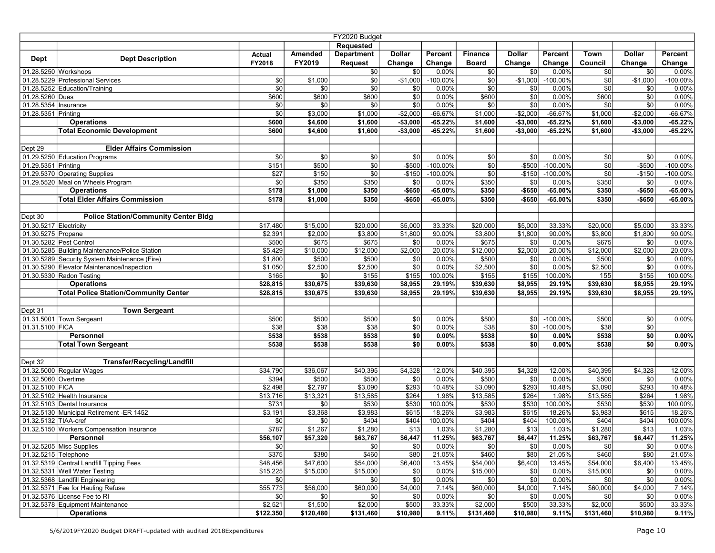| FY2020 Budget          |                                                                           |                      |                      |                    |                        |                    |                      |                        |                           |                    |                        |                        |
|------------------------|---------------------------------------------------------------------------|----------------------|----------------------|--------------------|------------------------|--------------------|----------------------|------------------------|---------------------------|--------------------|------------------------|------------------------|
|                        |                                                                           |                      |                      | Requested          |                        |                    |                      |                        |                           |                    |                        |                        |
| <b>Dept</b>            | <b>Dept Description</b>                                                   | <b>Actual</b>        | Amended              | <b>Department</b>  | <b>Dollar</b>          | Percent            | <b>Finance</b>       | <b>Dollar</b>          | Percent                   | Town               | Dollar                 | Percent                |
|                        |                                                                           | FY2018               | FY2019               | <b>Request</b>     | Change                 | Change             | <b>Board</b>         | Change                 | Change                    | Council            | Change                 | Change                 |
|                        | 01.28.5250 Workshops                                                      |                      |                      | \$0                | \$0                    | 0.00%              | \$0                  | \$0                    | 0.00%                     | \$0                | \$0                    | 0.00%                  |
|                        | 01.28.5229 Professional Services                                          | \$0                  | \$1,000              | \$0]               | $-$1,000$              | $-100.00\%$        | \$0                  | $-$1,000$              | $-100.00\%$               | $\sqrt{50}$        | $-$1,000$              | $-100.00\%$            |
|                        | 01.28.5252 Education/Training                                             | \$0                  | \$0                  | \$0                | $ $ \$0                | 0.00%              | \$0                  | $\overline{50}$        | 0.00%                     | \$0                | \$0                    | 0.00%                  |
| 01.28.5260 Dues        |                                                                           | \$600                | \$600                | \$600              | $\overline{30}$        | 0.00%              | \$600                | $\overline{30}$        | 0.00%                     | \$600              | \$0                    | 0.00%                  |
| 01.28.5354 Insurance   |                                                                           | \$0<br>\$0           | \$0                  | \$0                | $\sqrt{50}$            | 0.00%<br>$-66.67%$ | \$0<br>\$1,000       | $\sqrt{50}$            | 0.00%<br>$-66.67%$        | \$0                | \$0                    | 0.00%                  |
| 01.28.5351 Printing    | <b>Operations</b>                                                         | \$600                | \$3,000<br>\$4,600   | \$1,000<br>\$1,600 | $-$2,000$<br>$-$3,000$ | $-65.22%$          | \$1,600              | $-$2,000$<br>$-$3,000$ | $-65.22%$                 | \$1,000<br>\$1,600 | $-$2,000$<br>$-$3,000$ | $-66.67%$<br>$-65.22%$ |
|                        | <b>Total Economic Development</b>                                         | \$600                | \$4,600              | \$1,600            | $-$3,000$              | $-65.22%$          | \$1,600              | $-$3,000$              | $-65.22%$                 |                    | $-$3,000$              | $-65.22%$              |
|                        |                                                                           |                      |                      |                    |                        |                    |                      |                        |                           | \$1,600            |                        |                        |
| Dept 29                | <b>Elder Affairs Commission</b>                                           |                      |                      |                    |                        |                    |                      |                        |                           |                    |                        |                        |
|                        | 01.29.5250 Education Programs                                             | \$0                  | \$0                  | \$0                | \$0                    | 0.00%              | \$0                  | \$0                    | 0.00%                     | \$0                | \$0                    | 0.00%                  |
| 01.29.5351 Printing    |                                                                           | \$151                | \$500                | \$0                | $-$ \$500              | -100.00%           | \$0                  | $-$500$                | -100.00%                  | \$0                | $-$500$                | -100.00%               |
|                        | 01.29.5370 Operating Supplies                                             | \$27                 | \$150                | \$0                | $-$ \$150              | $-100.00%$         | \$0                  | $-$150$                | $-100.00%$                | \$0                | $-$150$                | $-100.00\%$            |
|                        | 01.29.5520 Meal on Wheels Program                                         | \$0                  | \$350                | \$350              | \$0                    | 0.00%              | \$350                | \$0                    | 0.00%                     | \$350              | \$0                    | 0.00%                  |
|                        | <b>Operations</b>                                                         | \$178                | \$1,000              | \$350              | -\$650                 | $-65.00%$          | \$350                | $- $650$               | $-65.00%$                 | \$350              | $- $650$               | $-65.00%$              |
|                        | <b>Total Elder Affairs Commission</b>                                     | \$178                | \$1,000              | \$350              | -\$650                 | $-65.00%$          | \$350                | -\$650                 | $-65.00%$                 | \$350              | -\$650                 | $-65.00%$              |
|                        |                                                                           |                      |                      |                    |                        |                    |                      |                        |                           |                    |                        |                        |
| Dept 30                | <b>Police Station/Community Center Bldg</b>                               |                      |                      |                    |                        |                    |                      |                        |                           |                    |                        |                        |
| 01.30.5217 Electricity |                                                                           | \$17,480             | \$15,000             | \$20,000           | \$5,000                | 33.33%             | \$20,000             | \$5,000                | 33.33%                    | \$20,000           | \$5,000                | 33.33%                 |
| 01.30.5275 Propane     |                                                                           | \$2,391              | \$2,000              | \$3,800            | \$1,800                | 90.00%             | \$3,800              | \$1,800                | 90.00%                    | \$3,800            | \$1,800                | 90.00%                 |
|                        | 01.30.5282 Pest Control                                                   | \$500                | \$675                | \$675              | \$0                    | 0.00%              | \$675                | \$0                    | 0.00%                     | \$675              | \$0                    | 0.00%                  |
|                        | 01.30.5285 Building Maintenance/Police Station                            | \$5,429              | \$10,000             | \$12,000           | \$2,000                | 20.00%             | \$12,000             | \$2,000                | 20.00%                    | \$12,000           | \$2,000                | 20.00%                 |
|                        | 01.30.5289 Security System Maintenance (Fire)                             | \$1,800              | \$500                | \$500              | $\sqrt{50}$            | 0.00%              | \$500                | \$0                    | 0.00%                     | \$500              | \$0                    | $0.00\%$               |
|                        | 01.30.5290 Elevator Maintenance/Inspection                                | \$1,050              | \$2,500              | \$2,500            | $\sqrt{50}$            | 0.00%              | \$2,500              | \$0                    | 0.00%                     | \$2,500            | $\overline{30}$        | 0.00%                  |
|                        | 01.30.5330 Radon Testing                                                  | \$165                | \$0                  | \$155              | \$155                  | 100.00%            | \$155                | \$155                  | 100.00%                   | $\overline{155}$   | \$155                  | 100.00%                |
|                        | <b>Operations</b>                                                         | \$28,815             | \$30,675             | \$39,630           | \$8,955                | 29.19%             | \$39,630             | \$8,955                | 29.19%                    | \$39,630           | \$8,955                | 29.19%                 |
|                        | <b>Total Police Station/Community Center</b>                              | \$28,815             | \$30,675             | \$39,630           | \$8,955                | 29.19%             | \$39,630             | \$8,955                | 29.19%                    | \$39,630           | \$8,955                | 29.19%                 |
|                        |                                                                           |                      |                      |                    |                        |                    |                      |                        |                           |                    |                        |                        |
| Dept 31                | <b>Town Sergeant</b>                                                      |                      | \$500                |                    |                        |                    |                      |                        |                           | \$500              |                        |                        |
| 01.31.5100 FICA        | 01.31.5001 Town Sergeant                                                  | \$500<br>\$38        | \$38                 | \$500<br>\$38      | \$0<br>$\sqrt{50}$     | 0.00%<br>0.00%     | \$500<br>\$38        | \$0 <br>\$0            | $-100.00\%$<br>$-100.00%$ | \$38               | \$0<br>\$0             | $0.00\%$               |
|                        | Personnel                                                                 | \$538                | \$538                | \$538              | \$0                    | 0.00%              | \$538                | \$0                    | 0.00%                     | \$538              | \$0                    | 0.00%                  |
|                        | <b>Total Town Sergeant</b>                                                | \$538                | \$538                | \$538              | \$0                    | 0.00%              | \$538                | \$0                    | 0.00%                     | \$538              | \$0                    | 0.00%                  |
|                        |                                                                           |                      |                      |                    |                        |                    |                      |                        |                           |                    |                        |                        |
| Dept 32                | <b>Transfer/Recycling/Landfill</b>                                        |                      |                      |                    |                        |                    |                      |                        |                           |                    |                        |                        |
|                        | 01.32.5000 Regular Wages                                                  | \$34,790             | \$36,067             | \$40,395           | \$4,328                | 12.00%             | \$40,395             | \$4,328                | 12.00%                    | \$40,395           | \$4,328                | 12.00%                 |
| 01.32.5060 Overtime    |                                                                           | \$394                | \$500                | \$500              | \$0                    | 0.00%              | \$500                | \$0                    | 0.00%                     | \$500              | \$0                    | 0.00%                  |
| 01.32.5100 FICA        |                                                                           | \$2,498              | $\sqrt{2,797}$       | \$3,090            | \$293                  | 10.48%             | \$3,090              | \$293                  | 10.48%                    | \$3,090            | \$293                  | 10.48%                 |
|                        | 01.32.5102 Health Insurance                                               | \$13,716             | \$13,321             | \$13,585           | \$264                  | 1.98%              | \$13,585             | \$264                  | 1.98%                     | \$13,585           | \$264                  | 1.98%                  |
|                        | 01.32.5103 Dental Insurance                                               | \$731                | \$0                  | \$530              | \$530                  | 100.00%            | \$530                | \$530                  | 100.00%                   | \$530              | \$530                  | 100.00%                |
|                        | 01.32.5130 Municipal Retirement -ER 1452                                  | \$3,191              | \$3,368              | \$3,983            | \$615                  | 18.26%             | \$3,983              | \$615                  | 18.26%                    | \$3,983            | \$615                  | 18.26%                 |
| 01.32.5132 TIAA-cref   |                                                                           | \$0                  | \$0                  | \$404              | \$404                  | 100.00%            | \$404                | \$404                  | 100.00%                   | \$404              | \$404                  | 100.00%                |
|                        | 01.32.5150 Workers Compensation Insurance                                 | \$787                | \$1,267              | \$1,280            | \$13                   | 1.03%              | \$1,280              | \$13                   | 1.03%                     | \$1,280            | \$13                   | 1.03%                  |
|                        | Personnel                                                                 | \$56,107             | \$57,320             | \$63,767           | \$6,447                | 11.25%             | \$63,767             | \$6,447                | 11.25%                    | \$63,767           | \$6,447                | 11.25%                 |
|                        | 01.32.5205 Misc Supplies                                                  | \$0                  |                      | \$0                | \$0                    | 0.00%              | \$0                  | \$0                    | 0.00%                     | \$0                | \$0                    | 0.00%                  |
|                        | 01.32.5215 Telephone                                                      | \$375                | \$380                | \$460              | \$80                   | 21.05%             | \$460                | \$80                   | 21.05%                    | \$460              | \$80                   | 21.05%                 |
|                        | 01.32.5319 Central Landfill Tipping Fees<br>01.32.5331 Well Water Testing | \$48,456<br>\$15,225 | \$47,600<br>\$15,000 | \$54,000           | \$6,400                | 13.45%<br>0.00%    | \$54,000<br>\$15,000 | \$6,400<br>\$0         | 13.45%<br>0.00%           | \$54,000           | \$6,400<br>\$0         | 13.45%                 |
|                        | 01.32.5368 Landfill Engineering                                           | \$0                  |                      | \$15,000<br>\$0    | \$0<br>\$0             | 0.00%              | \$0                  | \$0                    | 0.00%                     | \$15,000<br>\$0    | \$0                    | 0.00%<br>0.00%         |
|                        | 01.32.5371 Fee for Hauling Refuse                                         | \$55,773             | \$56,000             | \$60,000           | \$4,000                | 7.14%              | \$60,000             | \$4,000                | 7.14%                     | \$60,000           | \$4,000                | 7.14%                  |
|                        | 01.32.5376 License Fee to RI                                              | \$0                  | \$0                  | \$0                | \$0                    | 0.00%              | \$0                  | \$0                    | 0.00%                     | \$0                | \$0                    | 0.00%                  |
|                        | 01.32.5378 Equipment Maintenance                                          | \$2,521              | \$1,500              | \$2,000            | \$500                  | 33.33%             | \$2,000              | \$500                  | 33.33%                    | \$2,000            | \$500                  | 33.33%                 |
|                        | <b>Operations</b>                                                         | \$122,350            | \$120,480            | \$131,460          | \$10,980               | 9.11%              | \$131,460            | \$10,980               | 9.11%                     | \$131,460          | \$10,980               | 9.11%                  |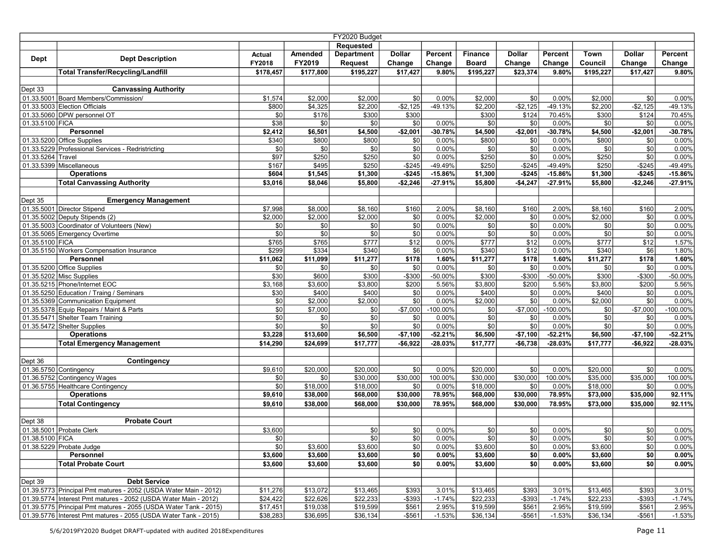|                   |                                                                  |                 |                | FY2020 Budget     |               |                |                |                 |                 |              |              |                 |
|-------------------|------------------------------------------------------------------|-----------------|----------------|-------------------|---------------|----------------|----------------|-----------------|-----------------|--------------|--------------|-----------------|
|                   |                                                                  |                 |                | Requested         |               |                |                |                 |                 |              |              |                 |
| <b>Dept</b>       | <b>Dept Description</b>                                          | Actual          | Amended        | <b>Department</b> | <b>Dollar</b> | Percent        | <b>Finance</b> | <b>Dollar</b>   | Percent         | Town         | Dollar       | Percent         |
|                   |                                                                  | FY2018          | FY2019         | Request           | Change        | Change         | <b>Board</b>   | Change          | Change          | Council      | Change       | Change          |
|                   | <b>Total Transfer/Recycling/Landfill</b>                         | \$178,457       | \$177,800      | \$195,227         | \$17,427      | 9.80%          | \$195,227      | \$23,374        | 9.80%           | \$195,227    | \$17,427     | 9.80%           |
|                   |                                                                  |                 |                |                   |               |                |                |                 |                 |              |              |                 |
| Dept 33           | <b>Canvassing Authority</b>                                      |                 |                |                   |               |                |                |                 |                 |              |              |                 |
|                   | 01.33.5001 Board Members/Commission/                             | \$1,574         | \$2,000        | \$2,000           | \$0           | 0.00%          | \$2,000        | \$0             | 0.00%           | \$2,000      | \$0          | 0.00%           |
|                   | 01.33.5003 Election Officials                                    | \$800           | $\sqrt{4,325}$ | \$2,200           | $-$2,125$     | $-49.13%$      | \$2,200        | $-$2,125$       | -49.13%         | \$2,200      | $-$2,125$    | $-49.13%$       |
| 01.33.5100 FICA   | 01.33.5060 DPW personnel OT                                      | \$0<br>\$38     | \$176<br>\$0   | \$300             | \$300<br>\$0  | 0.00%          | \$300          | \$124<br>\$0    | 70.45%<br>0.00% | \$300<br>\$0 | \$124<br>\$0 | 70.45%<br>0.00% |
|                   | <b>Personnel</b>                                                 | \$2,412         | \$6,501        | \$0<br>\$4,500    | $-$2,001$     | $-30.78%$      | \$0<br>\$4,500 | $-$2,001$       | $-30.78%$       | \$4,500      | $-$2,001$    | $-30.78%$       |
|                   | $01.33.5200$ Office Supplies                                     | \$340           | \$800          | \$800             | \$0           | 0.00%          | \$800          | \$0             | 0.00%           | \$800        | \$0          | 0.00%           |
|                   | 01.33.5229 Professional Services - Redristricting                | \$0             | \$0            | \$0               | \$0           | 0.00%          | \$0            | $\frac{1}{50}$  | 0.00%           | \$0          | \$0          | 0.00%           |
| 01.33.5264 Travel |                                                                  | \$97            | \$250          | \$250             | \$0           | 0.00%          | \$250          | \$0             | 0.00%           | \$250        | \$0          | 0.00%           |
|                   | 01.33.5399 Miscellaneous                                         | \$167           | \$495          | \$250             | $-$245$       | -49.49%        | \$250          | $-$245$         | -49.49%         | \$250        | $-$245$      | -49.49%         |
|                   | <b>Operations</b>                                                | \$604           | \$1,545        | \$1,300           | $-$245$       | $-15.86%$      | \$1,300        | $-$245$         | $-15.86%$       | \$1,300      | $-$245$      | $-15.86%$       |
|                   | <b>Total Canvassing Authority</b>                                | \$3,016         | \$8,046        | \$5,800           | $-$2,246$     | $-27.91%$      | \$5,800        | $-$4,247$       | $-27.91%$       | \$5,800      | $-$2,246$    | $-27.91%$       |
|                   |                                                                  |                 |                |                   |               |                |                |                 |                 |              |              |                 |
| Dept 35           | <b>Emergency Management</b>                                      |                 |                |                   |               |                |                |                 |                 |              |              |                 |
|                   | 01.35.5001 Director Stipend                                      | \$7,998         | \$8,000        | \$8,160           | \$160         | 2.00%          | \$8,160        | \$160           | 2.00%           | \$8,160      | \$160        | 2.00%           |
|                   | 01.35.5002 Deputy Stipends (2)                                   | \$2,000         | \$2,000        | \$2,000           | \$0           | 0.00%          | \$2,000        | \$0             | 0.00%           | \$2,000      | \$0          | 0.00%           |
|                   | 01.35.5003 Coordinator of Volunteers (New)                       | \$0             | \$0            | \$0               | \$0           | 0.00%          | \$0            | $\overline{50}$ | 0.00%           | \$0          | \$0          | 0.00%           |
|                   | 01.35.5065 Emergency Overtime                                    | \$0             | \$0            | \$0               | \$0           | 0.00%          | \$0            | \$0             | 0.00%           | \$0          | \$0          | 0.00%           |
| 01.35.5100 FICA   |                                                                  | \$765           | \$765          | \$777             | \$12          | 0.00%          | \$777          | \$12            | 0.00%           | \$777        | \$12         | 1.57%           |
|                   | 01.35.5150 Workers Compensation Insurance                        | \$299           | \$334          | \$340             | \$6           | 0.00%          | \$340          | \$12            | 0.00%           | \$340        | \$6          | 1.80%           |
|                   | Personnel                                                        | \$11,062        | \$11,099       | \$11,277          | \$178         | 1.60%          | \$11,277       | \$178           | 1.60%           | \$11,277     | \$178        | 1.60%           |
|                   | 01.35.5200 Office Supplies                                       | \$0             | \$0            | \$0               | \$0           | 0.00%          | \$0            | \$0             | 0.00%           | \$0          | \$0          | 0.00%           |
|                   | 01.35.5202 Misc Supplies                                         | \$30            | \$600          | \$300             | $-$300$       | -50.00%        | \$300          | $-$300$         | $-50.00%$       | \$300        | $-$300$      | $-50.00\%$      |
|                   | 01.35.5215 Phone/Internet EOC                                    | \$3,168         | \$3,600        | \$3,800           | \$200         | 5.56%          | \$3,800        | \$200           | 5.56%           | \$3,800      | \$200        | 5.56%           |
|                   | 01.35.5250 Education / Traing / Seminars                         | \$30            | \$400          | \$400             | \$0           | 0.00%          | \$400          | \$0             | 0.00%           | \$400        | \$0          | 0.00%           |
|                   | 01.35.5369 Communication Equipment                               | $\sqrt{6}$      | \$2,000        | \$2,000           | \$0           | 0.00%          | \$2,000        | $\overline{50}$ | 0.00%           | \$2,000      | \$0          | 0.00%           |
|                   | 01.35.5378 Equip Repairs / Maint & Parts                         | $\sqrt{6}$      | \$7,000        | \$0               | $-$7,000$     | $-100.00%$     | \$0            | $-$7,000$       | $-100.00%$      | \$0          | $-$7,000$    | $-100.00\%$     |
|                   | 01.35.5471 Shelter Team Training<br>01.35.5472 Shelter Supplies  | \$0             | \$0<br>\$0     | \$0<br>\$0        | \$0<br>\$0    | 0.00%<br>0.00% | \$0<br>\$0     | \$0<br>\$0      | 0.00%<br>0.00%  | \$0<br>\$0   | \$0<br>\$0   | 0.00%<br>0.00%  |
|                   | <b>Operations</b>                                                | \$0 <br>\$3,228 | \$13,600       | \$6,500           | $-$7,100$     | $-52.21%$      | \$6,500        | $-$7,100$       | $-52.21%$       | \$6,500      | $-$7,100$    | $-52.21%$       |
|                   | <b>Total Emergency Management</b>                                | \$14,290        | \$24,699       | \$17,777          | $-$6,922$     | $-28.03%$      | \$17,777       | $-$6,738$       | $-28.03%$       | \$17,777     | $-$6,922$    | $-28.03%$       |
|                   |                                                                  |                 |                |                   |               |                |                |                 |                 |              |              |                 |
| Dept 36           | Contingency                                                      |                 |                |                   |               |                |                |                 |                 |              |              |                 |
|                   | 01.36.5750 Contingency                                           | \$9,610         | \$20,000       | \$20,000          | \$0           | 0.00%          | \$20,000       | \$0             | 0.00%           | \$20,000     | \$0          | 0.00%           |
|                   | 01.36.5752 Contingency Wages                                     | \$0             | \$0            | \$30,000          | \$30,000      | 100.00%        | \$30,000       | \$30,000        | 100.00%         | \$35,000     | \$35,000     | 100.00%         |
|                   | 01.36.5755 Healthcare Contingency                                | \$0             | \$18,000       | \$18,000          | \$0           | 0.00%          | \$18,000       | \$0             | 0.00%           | \$18,000     | \$0          | $0.00\%$        |
|                   | <b>Operations</b>                                                | \$9,610         | \$38,000       | \$68,000          | \$30,000      | 78.95%         | \$68,000       | \$30,000        | 78.95%          | \$73,000     | \$35,000     | 92.11%          |
|                   | <b>Total Contingency</b>                                         | \$9,610         | \$38,000       | \$68,000          | \$30,000      | 78.95%         | \$68,000       | \$30,000        | 78.95%          | \$73,000     | \$35,000     | 92.11%          |
|                   |                                                                  |                 |                |                   |               |                |                |                 |                 |              |              |                 |
| Dept 38           | <b>Probate Court</b>                                             |                 |                |                   |               |                |                |                 |                 |              |              |                 |
|                   | 01.38.5001 Probate Clerk                                         | \$3,600         |                | \$0               | \$0           | 0.00%          | \$0            | \$0             | 0.00%           | \$0          | \$0          | 0.00%           |
| 01.38.5100   FICA |                                                                  | \$0             |                | \$0               | \$0           | 0.00%          | \$0            | \$0             | $0.00\%$        | <b>\$01</b>  | \$0          | 0.00%           |
|                   | 01.38.5229 Probate Judge                                         | \$0             | \$3,600        | \$3,600           | \$0           | 0.00%          | \$3,600        | \$0             | 0.00%           | \$3,600      | \$0          | 0.00%           |
|                   | Personnel                                                        | \$3,600         | \$3,600        | \$3,600           | \$0           | 0.00%          | \$3,600        | \$0             | 0.00%           | \$3,600      | \$0          | $0.00\%$        |
|                   | Total Probate Court                                              | \$3,600         | \$3,600        | \$3,600           | \$0           | 0.00%          | \$3,600        | \$0             | 0.00%           | \$3,600      | \$0          | $0.00\%$        |
|                   |                                                                  |                 |                |                   |               |                |                |                 |                 |              |              |                 |
| Dept 39           | <b>Debt Service</b>                                              |                 |                |                   |               |                |                |                 |                 |              |              |                 |
|                   | 01.39.5773 Principal Pmt matures - 2052 (USDA Water Main - 2012) | \$11,276        | \$13,072       | \$13,465          | \$393         | 3.01%          | \$13,465       | \$393           | 3.01%           | \$13.465     | \$393        | 3.01%           |
|                   | 01.39.5774 Interest Pmt matures - 2052 (USDA Water Main - 2012)  | \$24,422        | \$22,626       | \$22,233          | $-$ \$393     | $-1.74%$       | \$22,233       | $-$ \$393       | $-1.74%$        | \$22,233     | $-$ \$393    | $-1.74%$        |
|                   | 01.39.5775 Principal Pmt matures - 2055 (USDA Water Tank - 2015) | \$17,451        | \$19,038       | \$19,599          | \$561         | 2.95%          | \$19,599       | \$561           | 2.95%           | \$19,599     | \$561        | 2.95%           |
|                   | 01.39.5776 Interest Pmt matures - 2055 (USDA Water Tank - 2015)  | \$38,283        | \$36,695       | \$36,134          | $-$ \$561     | $-1.53%$       | \$36,134       | $-$ \$561       | $-1.53%$        | \$36,134     | $-$ \$561    | $-1.53%$        |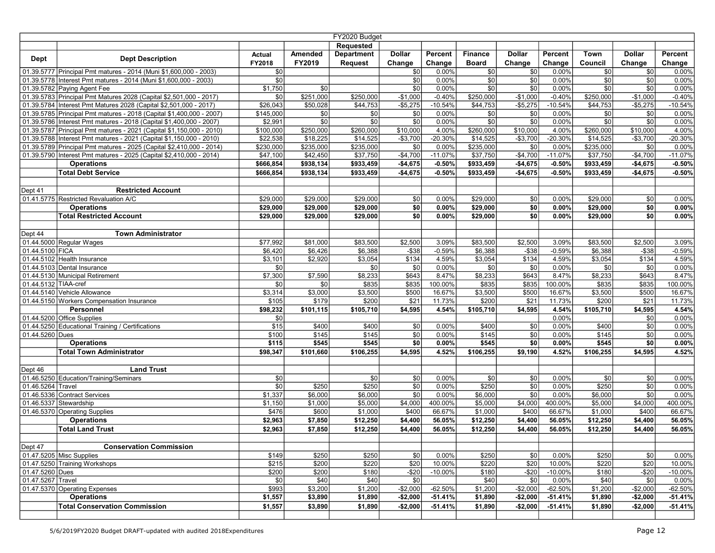|                      | FY2020 Budget                                                         |               |                |                   |               |                |                |               |                |                |               |                   |
|----------------------|-----------------------------------------------------------------------|---------------|----------------|-------------------|---------------|----------------|----------------|---------------|----------------|----------------|---------------|-------------------|
|                      |                                                                       |               |                | <b>Requested</b>  |               |                |                |               |                |                |               |                   |
| <b>Dept</b>          | <b>Dept Description</b>                                               | <b>Actual</b> | Amended        | <b>Department</b> | <b>Dollar</b> | Percent        | <b>Finance</b> | <b>Dollar</b> | Percent        | Town           | <b>Dollar</b> | Percent           |
|                      |                                                                       | FY2018        | FY2019         | Request           | Change        | Change         | <b>Board</b>   | Change        | Change         | Council        | Change        | Change            |
|                      | 01.39.5777 Principal Pmt matures - 2014 (Muni \$1,600,000 - 2003)     | \$0           |                |                   | \$0           | 0.00%          | \$0            | \$0           | 0.00%          | \$0            | \$0           | 0.00%             |
|                      | 01.39.5778   Interest Pmt matures - 2014 (Muni \$1,600,000 - 2003)    | \$0           |                |                   | \$0           | 0.00%          | \$0            | \$0           | 0.00%          | \$0            | \$0           | 0.00%             |
|                      | 01.39.5782 Paying Agent Fee                                           | \$1,750       | \$0            |                   | \$0           | 0.00%          | \$0            | \$0           | 0.00%          | \$0            | \$0           | 0.00%             |
|                      | 01.39.5783 Principal Pmt Matures 2028 (Capital \$2,501,000 - 2017)    | \$0           | \$251,000      | \$250,000         | $-$1,000$     | $-0.40%$       | \$250,000      | $-$1,000$     | $-0.40%$       | \$250,000      | $-$1,000$     | $-0.40%$          |
|                      | 01.39.5784 Interest Pmt Matures 2028 (Capital \$2,501,000 - 2017)     | \$26,043      | \$50,028       | \$44,753          | $-$5,275$     | $-10.54%$      | \$44,753       | $-$5,275$     | $-10.54%$      | \$44,753       | $-$5,275$     | $-10.54%$         |
|                      | 01.39.5785 Principal Pmt matures - 2018 (Capital \$1,400,000 - 2007)  | \$145,000     | \$0            | \$0               | \$0           | 0.00%          | \$0            | \$0           | 0.00%          | \$0            | \$0           | 0.00%             |
|                      | 01.39.5786   Interest Pmt matures - 2018 (Capital \$1,400,000 - 2007) | \$2,991       | \$0            | \$0               | \$0           | 0.00%          | \$0            | \$0           | 0.00%          | \$0            | \$0           | 0.00%             |
|                      | 01.39.5787 Principal Pmt matures - 2021 (Capital \$1,150,000 - 2010)  | \$100,000     | \$250,000      | \$260,000         | \$10,000      | 4.00%          | \$260,000      | \$10,000      | 4.00%          | \$260,000      | \$10,000      | 4.00%             |
|                      | 01.39.5788 Interest Pmt matures - 2021 (Capital \$1,150,000 - 2010)   | \$22,538      | \$18,225       | \$14,525          | $-$3,700$     | $-20.30%$      | \$14,525       | $-$3,700$     | $-20.30%$      | \$14,525       | $-$3,700$     | -20.30%           |
|                      | 01.39.5789 Principal Pmt matures - 2025 (Capital \$2,410,000 - 2014)  | \$230,000     | \$235,000      | \$235,000         | \$0           | 0.00%          | \$235,000      | \$0           | 0.00%          | \$235,000      | \$0           | 0.00%             |
|                      | 01.39.5790   Interest Pmt matures - 2025 (Capital \$2,410,000 - 2014) | \$47,100      | \$42,450       | \$37,750          | $-$4,700$     | $-11.07%$      | \$37,750       | $-$4,700$     | $-11.07%$      | \$37,750       | $-$4,700$     | $-11.07%$         |
|                      | <b>Operations</b>                                                     | \$666,854     | \$938,134      | \$933,459         | $-$4,675$     | $-0.50%$       | \$933,459      | $-$4,675$     | $-0.50%$       | \$933,459      | $-$4,675$     | $-0.50%$          |
|                      | <b>Total Debt Service</b>                                             | \$666,854     | \$938,134      | \$933,459         | $-$4,675$     | $-0.50%$       | \$933,459      | $-$4,675$     | $-0.50%$       | \$933,459      | $-$4,675$     | $-0.50%$          |
|                      |                                                                       |               |                |                   |               |                |                |               |                |                |               |                   |
| Dept 41              | <b>Restricted Account</b>                                             |               |                |                   |               |                |                |               |                |                |               |                   |
|                      | 01.41.5775 Restricted Revaluation A/C                                 | \$29,000      | \$29,000       | \$29,000          | \$0           | 0.00%          | \$29,000       | \$0           | 0.00%          | \$29,000       | \$0           | 0.00%             |
|                      | <b>Operations</b>                                                     | \$29,000      | \$29,000       | \$29,000          | \$0           | 0.00%          | \$29,000       | \$0           | 0.00%          | \$29,000       | \$0           | 0.00%             |
|                      | <b>Total Restricted Account</b>                                       | \$29,000      | \$29,000       | \$29,000          | \$0           | 0.00%          | \$29,000       | \$0           | 0.00%          | \$29,000       | \$0           | 0.00%             |
|                      |                                                                       |               |                |                   |               |                |                |               |                |                |               |                   |
| Dept 44              | <b>Town Administrator</b>                                             |               |                |                   |               |                |                |               |                |                |               |                   |
|                      | 01.44.5000 Regular Wages                                              | \$77,992      | \$81,000       | \$83,500          | \$2,500       | 3.09%          | \$83,500       | \$2,500       | 3.09%          | \$83,500       | \$2,500       | 3.09%             |
| 01.44.5100 FICA      |                                                                       | \$6,420       | \$6,426        | \$6,388           | $-$ \$38      | $-0.59%$       | \$6,388        | $-$ \$38      | $-0.59%$       | \$6,388        | $-$ \$38      | $-0.59%$          |
|                      | 01.44.5102 Health Insurance                                           | \$3,101       | \$2,920        | \$3,054           | \$134         | 4.59%          | \$3,054        | \$134         | 4.59%          | \$3,054        | \$134         | 4.59%             |
|                      | 01.44.5103 Dental Insurance                                           | \$0           |                | \$0               | \$0           | 0.00%          | \$0            | \$0           | 0.00%          | \$0            | \$0           | 0.00%             |
|                      | 01.44.5130 Municipal Retirement                                       | \$7,300       | \$7,590        | \$8,233           | \$643         | 8.47%          | \$8,233        | \$643         | 8.47%          | \$8,233        | \$643         | 8.47%             |
| 01.44.5132 TIAA-cref |                                                                       | \$0           | \$0            | \$835             | \$835         | 100.00%        | \$835          | \$835         | 100.00%        | \$835          | \$835         | 100.00%           |
|                      | 01.44.5140 Vehicle Allowance                                          | \$3,314       | \$3,000        | \$3,500           | \$500         | 16.67%         | \$3,500        | \$500         | 16.67%         | \$3,500        | \$500         | 16.67%            |
|                      | 01.44.5150 Workers Compensation Insurance                             | \$105         | \$179          | \$200             | \$21          | 11.73%         | \$200          | \$21          | 11.73%         | \$200          | \$21          | 11.73%            |
|                      | Personnel                                                             | \$98,232      | \$101,115      | \$105,710         | \$4,595       | 4.54%          | \$105,710      | \$4,595       | 4.54%          | \$105,710      | \$4,595       | 4.54%             |
|                      | 01.44.5200 Office Supplies                                            | \$0           |                |                   |               |                |                |               | 0.00%          |                | \$0           | 0.00%             |
| 01.44.5260 Dues      | 01.44.5250 Educational Training / Certifications                      | \$15<br>\$100 | \$400<br>\$145 | \$400<br>\$145    | \$0<br>\$0    | 0.00%<br>0.00% | \$400<br>\$145 | \$0<br>\$0    | 0.00%<br>0.00% | \$400<br>\$145 | \$0<br>\$0    | $0.00\%$<br>0.00% |
|                      | <b>Operations</b>                                                     | \$115         | \$545          | \$545             | \$0           | $0.00\%$       | \$545          | \$0           | 0.00%          | \$545          | \$0           | $0.00\%$          |
|                      | <b>Total Town Administrator</b>                                       | \$98,347      | \$101,660      | \$106,255         | \$4,595       | 4.52%          | \$106,255      | \$9,190       | 4.52%          | \$106,255      | \$4,595       | 4.52%             |
|                      |                                                                       |               |                |                   |               |                |                |               |                |                |               |                   |
| Dept 46              | <b>Land Trust</b>                                                     |               |                |                   |               |                |                |               |                |                |               |                   |
|                      | 01.46.5250 Education/Training/Seminars                                | \$0           |                | \$0               | \$0           | 0.00%          | \$0            | \$0           | 0.00%          | 30             | \$0           | 0.00%             |
| 01.46.5264 Travel    |                                                                       | \$0           | \$250          | \$250             | \$0           | 0.00%          | \$250          | \$0           | 0.00%          | \$250          | \$0           | 0.00%             |
|                      | 01.46.5336 Contract Services                                          | \$1,337       | \$6,000        | \$6,000           | \$0           | $0.00\%$       | \$6,000        | \$0           | 0.00%          | \$6,000        | \$0           | 0.00%             |
|                      | 01.46.5337 Stewardship                                                | \$1,150       | \$1,000        | \$5,000           | \$4,000       | 400.00%        | \$5,000        | \$4,000       | 400.00%        | \$5,000        | \$4,000       | 400.00%           |
|                      | 01.46.5370 Operating Supplies                                         | \$476         | \$600          | \$1,000           | \$400         | 66.67%         | \$1,000        | \$400         | 66.67%         | \$1,000        | \$400         | 66.67%            |
|                      | <b>Operations</b>                                                     | \$2,963       | \$7,850        | \$12,250          | \$4,400       | 56.05%         | \$12,250       | \$4,400       | 56.05%         | \$12,250       | \$4,400       | 56.05%            |
|                      | <b>Total Land Trust</b>                                               | \$2,963       | \$7,850        | \$12,250          | \$4,400       | 56.05%         | \$12,250       | \$4,400       | 56.05%         | \$12,250       | \$4,400       | 56.05%            |
|                      |                                                                       |               |                |                   |               |                |                |               |                |                |               |                   |
| Dept 47              | <b>Conservation Commission</b>                                        |               |                |                   |               |                |                |               |                |                |               |                   |
|                      | 01.47.5205 Misc Supplies                                              | \$149         | \$250          | \$250             | \$0           | 0.00%          | \$250          | \$0           | 0.00%          | \$250          | \$0           | 0.00%             |
|                      | 01.47.5250 Training Workshops                                         | \$215         | \$200          | \$220             | \$20          | 10.00%         | \$220          | \$20          | 10.00%         | \$220          | \$20          | 10.00%            |
| 01.47.5260 Dues      |                                                                       | \$200         | \$200          | \$180             | $-$20$        | $-10.00\%$     | \$180          | $-$20$        | $-10.00%$      | \$180          | $-$20$        | $-10.00%$         |
| 01.47.5267 Travel    |                                                                       | \$0           | \$40           | \$40              | \$0           |                | \$40           | \$0           | 0.00%          | \$40           | \$0           | 0.00%             |
|                      | 01.47.5370 Operating Expenses                                         | \$993         | \$3,200        | \$1,200           | $-$2,000$     | $-62.50%$      | \$1,200        | $-$2,000$     | $-62.50%$      | \$1,200        | $-$2,000$     | $-62.50%$         |
|                      | <b>Operations</b>                                                     | \$1,557       | \$3,890        | \$1,890           | $-$ \$2,000   | $-51.41\%$     | \$1,890        | $-$2,000$     | $-51.41%$      | \$1,890        | $-$2,000$     | $-51.41%$         |
|                      | <b>Total Conservation Commission</b>                                  | \$1,557       | \$3,890        | \$1,890           | $-$2,000$     | $-51.41%$      | \$1,890        | $-$2,000$     | $-51.41%$      | \$1,890        | $-$2,000$     | $-51.41%$         |
|                      |                                                                       |               |                |                   |               |                |                |               |                |                |               |                   |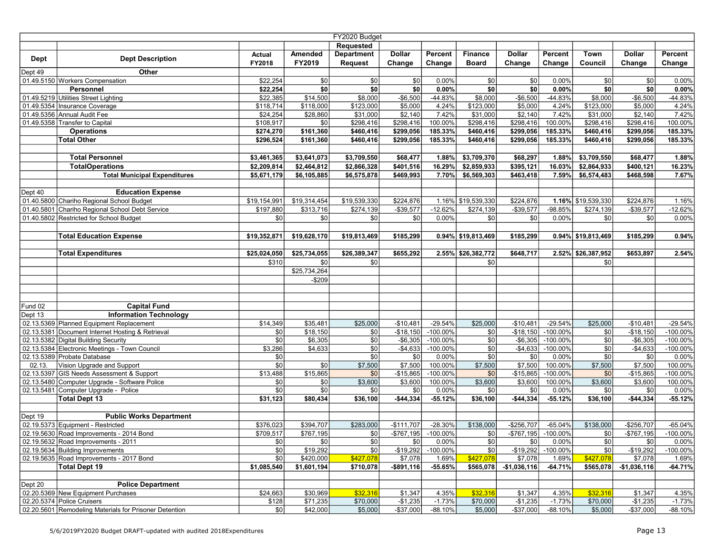|             | FY2020 Budget                                                                |                |              |                   |                  |                     |                    |                  |                      |                    |                  |                      |
|-------------|------------------------------------------------------------------------------|----------------|--------------|-------------------|------------------|---------------------|--------------------|------------------|----------------------|--------------------|------------------|----------------------|
|             |                                                                              |                |              | Requested         |                  |                     |                    |                  |                      |                    |                  |                      |
|             | <b>Dept Description</b>                                                      | Actual         | Amended      | <b>Department</b> | <b>Dollar</b>    | Percent             | <b>Finance</b>     | <b>Dollar</b>    | Percent              | Town               | <b>Dollar</b>    | Percent              |
| <b>Dept</b> |                                                                              | FY2018         | FY2019       | <b>Request</b>    | Change           | Change              | <b>Board</b>       | Change           | Change               | Council            | Change           | Change               |
| Dept 49     | Other                                                                        |                |              |                   |                  |                     |                    |                  |                      |                    |                  |                      |
|             | 01.49.5150 Workers Compensation                                              | \$22,254       | \$0          | \$0               | \$0              | 0.00%               | \$0                | \$0              | 0.00%                | \$0                | \$0              | 0.00%                |
|             | Personnel                                                                    | \$22,254       | \$0          | \$0               | \$0              | 0.00%               | \$0                | $\overline{50}$  | 0.00%                | \$0                | \$0              | $0.00\%$             |
|             | 01.49.5219 Utilities Street Lighting                                         | \$22,385       | \$14,500     | \$8,000           | $-$6,500$        | -44.83%             | \$8,000            | $-$ \$6,500      | -44.83%              | \$8,000            | $-$6,500$        | -44.83%              |
|             | 01.49.5354 Insurance Coverage                                                | \$118,714      | \$118,000    | \$123,000         | \$5,000          | 4.24%               | \$123,000          | \$5,000          | 4.24%                | \$123,000          | \$5,000          | 4.24%                |
|             | 01.49.5356 Annual Audit Fee                                                  | \$24,254       | \$28,860     | \$31,000          | \$2,140          | 7.42%               | \$31,000           | \$2,140          | 7.42%                | \$31,000           | \$2,140          | 7.42%                |
|             | 01.49.5358 Transfer to Capital                                               | \$108,917      | \$0          | \$298,416         | \$298,416        | 100.00%             | \$298,416          | \$298,416        | 100.00%              | \$298,416          | \$298,416        | 100.00%              |
|             | <b>Operations</b>                                                            | \$274,270      | \$161,360    | \$460,416         | \$299,056        | 185.33%             | \$460,416          | \$299,056        | 185.33%              | \$460,416          | \$299,056        | 185.33%              |
|             | <b>Total Other</b>                                                           | \$296.524      | \$161,360    | \$460,416         | \$299,056        | 185.33%             | \$460,416          | \$299,056        | 185.33%              | \$460,416          | \$299,056        | 185.33%              |
|             |                                                                              |                |              |                   |                  |                     |                    |                  |                      |                    |                  |                      |
|             | <b>Total Personnel</b>                                                       | \$3,461,365    | \$3,641,073  | \$3,709,550       | \$68,477         | 1.88%               | \$3,709,370        | \$68,297         | 1.88%                | \$3,709,550        | \$68,477         | 1.88%                |
|             | <b>TotalOperations</b>                                                       | \$2,209,814    | \$2,464,812  | \$2,866,328       | \$401,516        | 16.29%              | \$2,859,933        | \$395,121        | 16.03%               | \$2,864,933        | \$400,121        | 16.23%               |
|             | <b>Total Municipal Expenditures</b>                                          | \$5,671,179    | \$6,105,885  | \$6,575,878       | \$469,993        | 7.70%               | \$6,569,303        | \$463,418        | 7.59%                | \$6,574,483        | \$468,598        | 7.67%                |
|             |                                                                              |                |              |                   |                  |                     |                    |                  |                      |                    |                  |                      |
| Dept 40     | <b>Education Expense</b>                                                     |                |              |                   |                  |                     |                    |                  |                      |                    |                  |                      |
|             | 01.40.5800 Chariho Regional School Budget                                    | \$19,154,991   | \$19,314,454 | \$19,539,330      | \$224,876        |                     | 1.16% \$19,539,330 | \$224,876        |                      | 1.16% \$19,539,330 | \$224,876        | 1.16%                |
|             | 01.40.5801 Chariho Regional School Debt Service                              | \$197,880      | \$313,716    | \$274,139         | $-$ \$39,577     | $-12.62%$           | \$274,139          | $- $39,577$      | -98.85%              | \$274,139          | $-$39,577$       | $-12.62%$            |
|             | 01.40.5802 Restricted for School Budget                                      | \$0            | \$0          | \$0               | \$0              | 0.00%               | \$0                | \$0              | 0.00%                | \$0                | \$0              | 0.00%                |
|             |                                                                              |                |              |                   |                  |                     |                    |                  |                      |                    |                  |                      |
|             | <b>Total Education Expense</b>                                               | \$19,352,871   | \$19,628,170 | \$19,813,469      | \$185,299        |                     | 0.94% \$19,813,469 | \$185,299        |                      | 0.94% \$19,813,469 | \$185,299        | 0.94%                |
|             |                                                                              |                |              |                   |                  |                     |                    |                  |                      |                    |                  |                      |
|             | <b>Total Expenditures</b>                                                    | \$25,024,050   | \$25,734,055 | \$26,389,347      | \$655,292        |                     | 2.55% \$26,382,772 | \$648,717        |                      | 2.52% \$26,387,952 | \$653,897        | 2.54%                |
|             |                                                                              | \$310          | <b>\$0</b>   | \$0               |                  |                     | \$0                |                  |                      | \$0                |                  |                      |
|             |                                                                              |                | \$25,734,264 |                   |                  |                     |                    |                  |                      |                    |                  |                      |
|             |                                                                              |                | $-$209$      |                   |                  |                     |                    |                  |                      |                    |                  |                      |
|             |                                                                              |                |              |                   |                  |                     |                    |                  |                      |                    |                  |                      |
|             |                                                                              |                |              |                   |                  |                     |                    |                  |                      |                    |                  |                      |
| Fund 02     | <b>Capital Fund</b>                                                          |                |              |                   |                  |                     |                    |                  |                      |                    |                  |                      |
| Dept 13     | <b>Information Technology</b>                                                |                |              |                   |                  |                     |                    |                  |                      |                    |                  |                      |
|             | 02.13.5369 Planned Equipment Replacement                                     | \$14,349       | \$35,481     | \$25,000          | $-$10,481$       | $-29.54%$           | \$25,000           | $-$10,481$       | $-29.54%$            | \$25,000           | $-$10,481$       | $-29.54%$            |
|             | 02.13.5381 Document Internet Hosting & Retrieval                             | \$0            | \$18,150     | \$0               | -\$18,150        | $-100.00%$          | \$0                | $-$18,150$       | $-100.00\%$          | \$0                | $-$18,150$       | $-100.00\%$          |
|             | 02.13.5382 Digital Building Security                                         | \$0            | \$6,305      | \$0               | $-$ \$6,305      | $-100.00\%$         | \$0                | $-$ \$6,305      | $-100.00\%$          |                    | $-$6,305$        | -100.00%             |
|             | 02.13.5384 Electronic Meetings - Town Council<br>02.13.5389 Probate Database | \$3,286<br>\$0 | \$4,633      | \$0<br>\$0        | $-$4,633$<br>\$0 | $-100.00%$<br>0.00% | \$0<br>\$0         | $-$4,633$<br>\$0 | $-100.00\%$<br>0.00% | \$0<br>\$0         | $-$4,633$<br>\$0 | $-100.00\%$<br>0.00% |
| 02.13.      | Vision Upgrade and Support                                                   | \$0            | \$0          | \$7,500           | \$7,500          | 100.00%             | \$7,500            | \$7,500          | 100.00%              | \$7,500            | \$7,500          | 100.00%              |
|             | 02.13.5397 GIS Needs Assessment & Support                                    | \$13,488       | \$15,865     | \$0               | $-$15,865$       | $-100.00\%$         | \$0                | $-$ \$15,865     | $-100.00%$           | \$0                | $-$15,865$       | $-100.00\%$          |
|             | 02.13.5480 Computer Upgrade - Software Police                                | \$0            | \$0          | \$3,600           | \$3,600          | 100.00%             | \$3,600            | \$3,600          | 100.00%              | \$3,600            | \$3,600          | 100.00%              |
|             | 02.13.5481 Computer Upgrade - Police                                         | \$0            | \$0          | \$0               | \$0              | 0.00%               | \$0                | \$0              | 0.00%                | \$0                | \$0              | 0.00%                |
|             | <b>Total Dept 13</b>                                                         | \$31,123       | \$80,434     | \$36,100          | $-$44,334$       | $-55.12%$           | \$36,100           | $-$44,334$       | $-55.12%$            | \$36,100           | $-$44,334$       | $-55.12%$            |
|             |                                                                              |                |              |                   |                  |                     |                    |                  |                      |                    |                  |                      |
| Dept 19     | <b>Public Works Department</b>                                               |                |              |                   |                  |                     |                    |                  |                      |                    |                  |                      |
|             | 02.19.5373 Equipment - Restricted                                            | \$376,023      | \$394,707    | \$283,000         | $-$111,707$      | $-28.30%$           | \$138,000          | $-$256,707$      | $-65.04%$            | \$138,000          | $-$256,707$      | $-65.04%$            |
|             | 02.19.5630 Road Improvements - 2014 Bond                                     | \$709,517      | \$767,195    | \$0               | $-$ \$767,195    | $-100.00\%$         | \$0                | $-$ \$767,195    | $-100.00\%$          | \$0                | $-$767,195$      | $-100.00\%$          |
|             | 02.19.5632 Road Improvements - 2011                                          | \$0            | \$0          | \$0               | \$0              | 0.00%               | \$0                | \$0              | 0.00%                | \$0                | \$0              | 0.00%                |
|             | 02.19.5634 Building Improvements                                             | \$0            | \$19,292     | $\frac{6}{3}$     | $-$19,292$       | -100.00%            | \$0                | $-$ \$19,292     | -100.00%             | \$0                | $-$19,292$       | $-100.00\%$          |
|             | 02.19.5635 Road Improvements - 2017 Bond                                     | \$0            | \$420,000    | \$427,078         | \$7,078          | 1.69%               | \$427,078          | \$7,078          | 1.69%                | \$427,078          | \$7,078          | 1.69%                |
|             | Total Dept 19                                                                | \$1,085,540    | \$1,601,194  | \$710,078         | $-$ \$891,116    | $-55.65%$           | \$565,078          | $-$1,036,116$    | $-64.71%$            | \$565,078          | $-$1,036,116$    | $-64.71%$            |
|             |                                                                              |                |              |                   |                  |                     |                    |                  |                      |                    |                  |                      |
| Dept 20     | <b>Police Department</b>                                                     |                |              |                   |                  |                     |                    |                  |                      |                    |                  |                      |
|             | 02.20.5369 New Equipment Purchases                                           | \$24,663       | \$30,969     | \$32,316          | \$1,347          | 4.35%               | \$32,316           | \$1,347          | 4.35%                | \$32,316           | \$1,347          | 4.35%                |
|             | 02.20.5374 Police Cruisers                                                   | \$128          | \$71,235     | \$70,000          | $-$1,235$        | $-1.73%$            | \$70,000           | $-$1,235$        | $-1.73%$             | \$70,000           | $-$1,235$        | $-1.73%$             |
|             | 02.20.5601 Remodeling Materials for Prisoner Detention                       | \$0            | \$42,000     | \$5,000           | $-$ \$37,000     | $-88.10%$           | \$5,000            | $-$ \$37,000     | $-88.10\%$           | \$5,000            | $-$37,000$       | $-88.10%$            |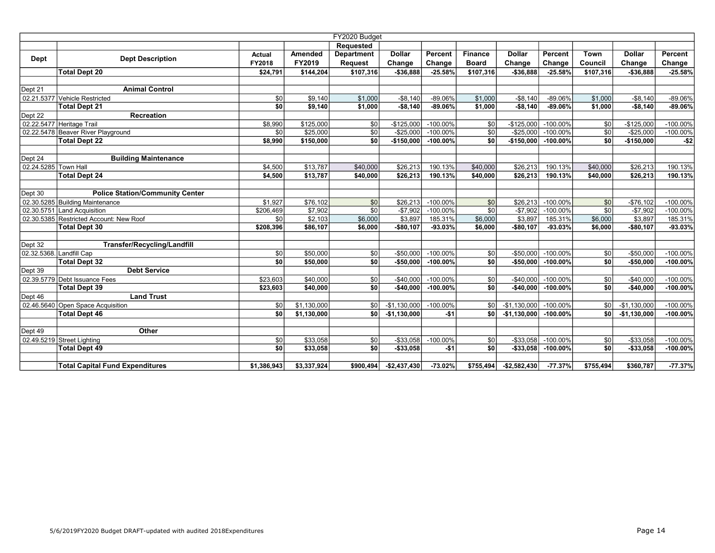|                      | FY2020 Budget                           |               |             |                   |               |             |                 |               |             |           |               |             |
|----------------------|-----------------------------------------|---------------|-------------|-------------------|---------------|-------------|-----------------|---------------|-------------|-----------|---------------|-------------|
|                      |                                         |               |             | <b>Requested</b>  |               |             |                 |               |             |           |               |             |
|                      |                                         | <b>Actual</b> | Amended     | <b>Department</b> | <b>Dollar</b> | Percent     | <b>Finance</b>  | <b>Dollar</b> | Percent     | Town      | <b>Dollar</b> | Percent     |
| Dept                 | <b>Dept Description</b>                 | FY2018        | FY2019      | Request           | Change        | Change      | <b>Board</b>    | Change        | Change      | Council   | Change        | Change      |
|                      | <b>Total Dept 20</b>                    | \$24.791      | \$144.204   | \$107,316         | $-$ \$36,888  | $-25.58%$   | \$107,316       | $-$36.888$    | $-25.58%$   | \$107.316 | $-$36.888$    | $-25.58%$   |
|                      |                                         |               |             |                   |               |             |                 |               |             |           |               |             |
| Dept 21              | <b>Animal Control</b>                   |               |             |                   |               |             |                 |               |             |           |               |             |
|                      | 02.21.5377 Vehicle Restricted           | \$0           | \$9,140     | \$1,000           | $-$8,140$     | -89.06%     | \$1,000         | $-$8,140$     | $-89.06%$   | \$1,000   | $-$8,140$     | -89.06%     |
|                      | <b>Total Dept 21</b>                    | sol           | \$9,140     | \$1,000           | $-$ \$8,140   | -89.06%     | \$1,000         | $-$8,140$     | $-89.06%$   | \$1,000   | $-$8,140$     | $-89.06%$   |
| Dept 22              | Recreation                              |               |             |                   |               |             |                 |               |             |           |               |             |
|                      | 02.22.5477 Heritage Trail               | \$8,990       | \$125,000   | \$0               | $-$125,000$   | $-100.00%$  | \$0             | $-$125,000$   | $-100.00%$  | \$0       | $-$125,000$   | $-100.00\%$ |
|                      | 02.22.5478 Beaver River Playground      | \$0           | \$25,000    | \$0               | $-$ \$25,000  | $-100.00\%$ | \$0             | $-$25,000$    | $-100.00\%$ | \$0       | $-$25,000$    | $-100.00\%$ |
|                      | <b>Total Dept 22</b>                    | \$8,990       | \$150,000   | \$0               | $-$150,000$   | $-100.00\%$ | \$0             | $-$150,000$   | $-100.00%$  | sol       | $-$150,000$   | $- $2$      |
|                      |                                         |               |             |                   |               |             |                 |               |             |           |               |             |
| Dept 24              | <b>Building Maintenance</b>             |               |             |                   |               |             |                 |               |             |           |               |             |
| 02.24.5285 Town Hall |                                         | \$4,500       | \$13,787    | \$40,000          | \$26,213      | 190.13%     | \$40,000        | \$26,213      | 190.13%     | \$40,000  | \$26,213      | 190.13%     |
|                      | <b>Total Dept 24</b>                    | \$4,500       | \$13,787    | \$40,000          | \$26,213      | 190.13%     | \$40,000        | \$26,213      | 190.13%     | \$40,000  | \$26,213      | 190.13%     |
|                      |                                         |               |             |                   |               |             |                 |               |             |           |               |             |
| Dept 30              | <b>Police Station/Community Center</b>  |               |             |                   |               |             |                 |               |             |           |               |             |
|                      | 02.30.5285 Building Maintenance         | \$1,927       | \$76,102    | \$0               | \$26,213      | $-100.00\%$ | \$0             | \$26,213      | $-100.00%$  | \$0       | $-$76,102$    | $-100.00\%$ |
|                      | 02.30.5751 Land Acquisition             | \$206,469     | \$7,902     | \$0               | $-$7,902$     | $-100.00%$  | $\overline{30}$ | $-$7,902$     | $-100.00%$  | \$0       | $-$7,902$     | $-100.00\%$ |
|                      | 02.30.5385 Restricted Account: New Roof | \$0           | \$2,103     | \$6,000           | \$3,897       | 185.31%     | \$6,000         | \$3,897       | 185.31%     | \$6,000   | \$3,897       | 185.31%     |
|                      | <b>Total Dept 30</b>                    | \$208,396     | \$86,107    | \$6,000           | $-$80,107$    | $-93.03%$   | \$6,000         | $-$80,107$    | -93.03%     | \$6,000   | $-$80,107$    | $-93.03%$   |
|                      |                                         |               |             |                   |               |             |                 |               |             |           |               |             |
| Dept 32              | <b>Transfer/Recycling/Landfill</b>      |               |             |                   |               |             |                 |               |             |           |               |             |
|                      | 02.32.5368. Landfill Cap                | \$0           | \$50,000    | \$0               | $-$ \$50,000  | $-100.00%$  | 30              | $-$50,000$    | $-100.00\%$ | 30        | $-$50,000$    | $-100.00\%$ |
|                      | <b>Total Dept 32</b>                    | sol           | \$50,000    | \$0               | $-$50,000$    | $-100.00\%$ | \$0             | $-$50,000$    | $-100.00\%$ | sol       | $-$50,000$    | $-100.00\%$ |
| Dept 39              | <b>Debt Service</b>                     |               |             |                   |               |             |                 |               |             |           |               |             |
|                      | 02.39.5779 Debt Issuance Fees           | \$23,603      | \$40,000    | \$0               | $-$ \$40,000  | $-100.00%$  | \$0l            | $-$40,000$    | $-100.00\%$ | \$0       | $-$40,000$    | $-100.00\%$ |
|                      | <b>Total Dept 39</b>                    | \$23,603      | \$40,000    | \$0               | $-$40,000$    | $-100.00%$  | \$0             | $-$40,000$    | $-100.00%$  | sol       | $-$40,000$    | $-100.00\%$ |
| Dept 46              | <b>Land Trust</b>                       |               |             |                   |               |             |                 |               |             |           |               |             |
|                      | 02.46.5640 Open Space Acquisition       | \$0           | \$1,130,000 | \$0 <sub>1</sub>  | $-$1,130,000$ | $-100.00\%$ | \$0             | $-$1,130,000$ | $-100.00\%$ | \$0       | $-$1,130,000$ | $-100.00\%$ |
|                      | <b>Total Dept 46</b>                    | sol           | \$1,130,000 | sol               | $-$1,130,000$ | $-51$       | \$O I           | $-$1,130,000$ | $-100.00%$  | so l      | $-$1,130,000$ | $-100.00\%$ |
|                      |                                         |               |             |                   |               |             |                 |               |             |           |               |             |
| Dept 49              | Other                                   |               |             |                   |               |             |                 |               |             |           |               |             |
|                      | 02.49.5219 Street Lighting              | \$0           | \$33,058    | \$0               | $-$ \$33,058  | $-100.00\%$ | \$0             | $-$ \$33,058  | $-100.00\%$ | \$0       | $-$33,058$    | $-100.00\%$ |
|                      | <b>Total Dept 49</b>                    | sol           | \$33,058    | \$0               | $-$ \$33,058  | $-$1$       | \$0             | $-$ \$33,058  | $-100.00\%$ | sol       | $-$33,058$    | $-100.00\%$ |
|                      |                                         |               |             |                   |               |             |                 |               |             |           |               |             |
|                      | <b>Total Capital Fund Expenditures</b>  | \$1,386,943   | \$3,337,924 | \$900,494         | $-$2,437,430$ | $-73.02%$   | \$755,494       | $-$2,582,430$ | $-77.37%$   | \$755,494 | \$360,787     | $-77.37%$   |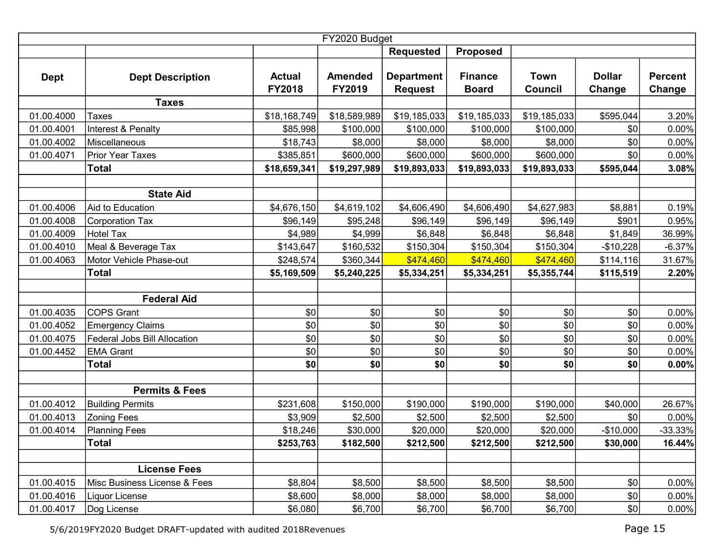|             | FY2020 Budget                |                                |                          |                                     |                                |                               |                         |                          |  |  |  |  |
|-------------|------------------------------|--------------------------------|--------------------------|-------------------------------------|--------------------------------|-------------------------------|-------------------------|--------------------------|--|--|--|--|
|             |                              |                                |                          | <b>Requested</b>                    | <b>Proposed</b>                |                               |                         |                          |  |  |  |  |
| <b>Dept</b> | <b>Dept Description</b>      | <b>Actual</b><br><b>FY2018</b> | <b>Amended</b><br>FY2019 | <b>Department</b><br><b>Request</b> | <b>Finance</b><br><b>Board</b> | <b>Town</b><br><b>Council</b> | <b>Dollar</b><br>Change | <b>Percent</b><br>Change |  |  |  |  |
|             | <b>Taxes</b>                 |                                |                          |                                     |                                |                               |                         |                          |  |  |  |  |
| 01.00.4000  | Taxes                        | \$18,168,749                   | \$18,589,989             | \$19,185,033                        | \$19,185,033                   | \$19,185,033                  | \$595,044               | 3.20%                    |  |  |  |  |
| 01.00.4001  | Interest & Penalty           | \$85,998                       | \$100,000                | \$100,000                           | \$100,000                      | \$100,000                     | \$0                     | 0.00%                    |  |  |  |  |
| 01.00.4002  | Miscellaneous                | \$18,743                       | \$8,000                  | \$8,000                             | \$8,000                        | \$8,000                       | \$0                     | 0.00%                    |  |  |  |  |
| 01.00.4071  | Prior Year Taxes             | \$385,851                      | \$600,000                | \$600,000                           | \$600,000                      | \$600,000                     | \$0                     | 0.00%                    |  |  |  |  |
|             | <b>Total</b>                 | \$18,659,341                   | \$19,297,989             | \$19,893,033                        | \$19,893,033                   | \$19,893,033                  | \$595,044               | 3.08%                    |  |  |  |  |
|             |                              |                                |                          |                                     |                                |                               |                         |                          |  |  |  |  |
|             | <b>State Aid</b>             |                                |                          |                                     |                                |                               |                         |                          |  |  |  |  |
| 01.00.4006  | Aid to Education             | \$4,676,150                    | \$4,619,102              | \$4,606,490                         | \$4,606,490                    | \$4,627,983                   | \$8,881                 | 0.19%                    |  |  |  |  |
| 01.00.4008  | <b>Corporation Tax</b>       | \$96,149                       | \$95,248                 | \$96,149                            | \$96,149                       | \$96,149                      | \$901                   | 0.95%                    |  |  |  |  |
| 01.00.4009  | <b>Hotel Tax</b>             | \$4,989                        | \$4,999                  | \$6,848                             | \$6,848                        | \$6,848                       | \$1,849                 | 36.99%                   |  |  |  |  |
| 01.00.4010  | Meal & Beverage Tax          | \$143,647                      | \$160,532                | \$150,304                           | \$150,304                      | \$150,304                     | $-$10,228$              | $-6.37%$                 |  |  |  |  |
| 01.00.4063  | Motor Vehicle Phase-out      | \$248,574                      | \$360,344                | \$474,460                           | \$474,460                      | \$474,460                     | \$114,116               | 31.67%                   |  |  |  |  |
|             | <b>Total</b>                 | \$5,169,509                    | \$5,240,225              | \$5,334,251                         | \$5,334,251                    | \$5,355,744                   | \$115,519               | 2.20%                    |  |  |  |  |
|             |                              |                                |                          |                                     |                                |                               |                         |                          |  |  |  |  |
|             | <b>Federal Aid</b>           |                                |                          |                                     |                                |                               |                         |                          |  |  |  |  |
| 01.00.4035  | <b>COPS Grant</b>            | \$0                            | \$0                      | \$0                                 | 30                             | \$0                           | \$0                     | 0.00%                    |  |  |  |  |
| 01.00.4052  | <b>Emergency Claims</b>      | \$0                            | \$0                      | \$0                                 | 10                             | \$0                           | \$0                     | 0.00%                    |  |  |  |  |
| 01.00.4075  | Federal Jobs Bill Allocation | \$0                            | \$0                      | \$0                                 | 30                             | \$0                           | \$0                     | 0.00%                    |  |  |  |  |
| 01.00.4452  | <b>EMA Grant</b>             | \$0                            | \$0                      | \$0                                 | $ 10\rangle$                   | \$0                           | \$0                     | 0.00%                    |  |  |  |  |
|             | <b>Total</b>                 | \$0                            | \$0                      | \$0                                 | \$0                            | \$0                           | \$0                     | 0.00%                    |  |  |  |  |
|             |                              |                                |                          |                                     |                                |                               |                         |                          |  |  |  |  |
|             | <b>Permits &amp; Fees</b>    |                                |                          |                                     |                                |                               |                         |                          |  |  |  |  |
| 01.00.4012  | <b>Building Permits</b>      | \$231,608                      | \$150,000                | \$190,000                           | \$190,000                      | \$190,000                     | \$40,000                | 26.67%                   |  |  |  |  |
| 01.00.4013  | <b>Zoning Fees</b>           | \$3,909                        | \$2,500                  | \$2,500                             | \$2,500                        | \$2,500                       | \$0                     | 0.00%                    |  |  |  |  |
| 01.00.4014  | Planning Fees                | \$18,246                       | \$30,000                 | \$20,000                            | \$20,000                       | \$20,000                      | $-$10,000$              | $-33.33%$                |  |  |  |  |
|             | <b>Total</b>                 | \$253,763                      | \$182,500                | \$212,500                           | \$212,500                      | \$212,500                     | \$30,000                | 16.44%                   |  |  |  |  |
|             |                              |                                |                          |                                     |                                |                               |                         |                          |  |  |  |  |
|             | <b>License Fees</b>          |                                |                          |                                     |                                |                               |                         |                          |  |  |  |  |
| 01.00.4015  | Misc Business License & Fees | \$8,804                        | \$8,500                  | \$8,500                             | \$8,500                        | \$8,500                       | \$0                     | 0.00%                    |  |  |  |  |
| 01.00.4016  | Liquor License               | \$8,600                        | \$8,000                  | \$8,000                             | \$8,000                        | \$8,000                       | \$0                     | 0.00%                    |  |  |  |  |
| 01.00.4017  | Dog License                  | \$6,080                        | \$6,700                  | \$6,700                             | \$6,700                        | \$6,700                       | \$0                     | 0.00%                    |  |  |  |  |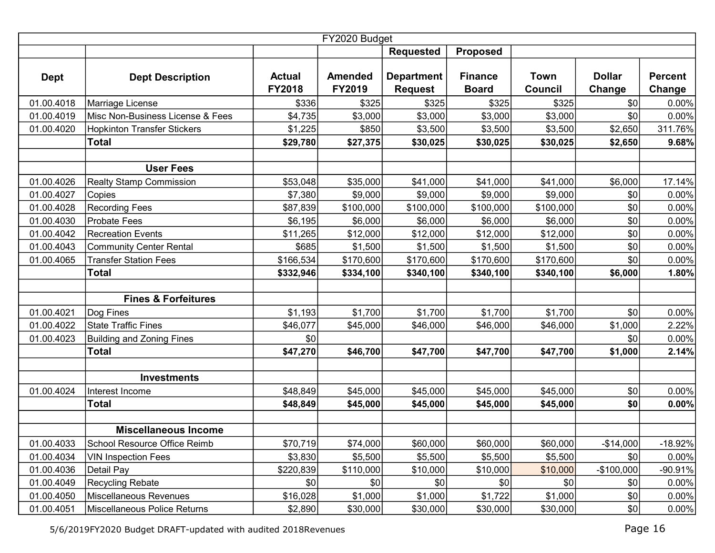| FY2020 Budget |                                    |                         |                          |                                     |                                |                        |                         |                          |  |  |  |
|---------------|------------------------------------|-------------------------|--------------------------|-------------------------------------|--------------------------------|------------------------|-------------------------|--------------------------|--|--|--|
|               |                                    |                         |                          | <b>Requested</b>                    | <b>Proposed</b>                |                        |                         |                          |  |  |  |
| <b>Dept</b>   | <b>Dept Description</b>            | <b>Actual</b><br>FY2018 | <b>Amended</b><br>FY2019 | <b>Department</b><br><b>Request</b> | <b>Finance</b><br><b>Board</b> | Town<br><b>Council</b> | <b>Dollar</b><br>Change | <b>Percent</b><br>Change |  |  |  |
| 01.00.4018    | Marriage License                   | \$336                   | \$325                    | \$325                               | \$325                          | \$325                  | \$0                     | 0.00%                    |  |  |  |
| 01.00.4019    | Misc Non-Business License & Fees   | \$4,735                 | \$3,000                  | \$3,000                             | \$3,000                        | \$3,000                | \$0                     | 0.00%                    |  |  |  |
| 01.00.4020    | <b>Hopkinton Transfer Stickers</b> | \$1,225                 | \$850                    | \$3,500                             | \$3,500                        | \$3,500                | \$2,650                 | 311.76%                  |  |  |  |
|               | <b>Total</b>                       | \$29,780                | \$27,375                 | \$30,025                            | \$30,025                       | \$30,025               | \$2,650                 | 9.68%                    |  |  |  |
|               |                                    |                         |                          |                                     |                                |                        |                         |                          |  |  |  |
|               | <b>User Fees</b>                   |                         |                          |                                     |                                |                        |                         |                          |  |  |  |
| 01.00.4026    | <b>Realty Stamp Commission</b>     | \$53,048                | \$35,000                 | \$41,000                            | \$41,000                       | \$41,000               | \$6,000                 | 17.14%                   |  |  |  |
| 01.00.4027    | Copies                             | \$7,380                 | \$9,000                  | \$9,000                             | \$9,000                        | \$9,000                | \$0                     | 0.00%                    |  |  |  |
| 01.00.4028    | <b>Recording Fees</b>              | \$87,839                | \$100,000                | \$100,000                           | \$100,000                      | \$100,000              | \$0                     | 0.00%                    |  |  |  |
| 01.00.4030    | <b>Probate Fees</b>                | \$6,195                 | \$6,000                  | \$6,000                             | \$6,000                        | \$6,000                | \$0                     | 0.00%                    |  |  |  |
| 01.00.4042    | <b>Recreation Events</b>           | \$11,265                | \$12,000                 | \$12,000                            | \$12,000                       | \$12,000               | \$0                     | 0.00%                    |  |  |  |
| 01.00.4043    | <b>Community Center Rental</b>     | \$685                   | \$1,500                  | \$1,500                             | \$1,500                        | \$1,500                | \$0                     | 0.00%                    |  |  |  |
| 01.00.4065    | <b>Transfer Station Fees</b>       | \$166,534               | \$170,600                | \$170,600                           | \$170,600                      | \$170,600              | \$0                     | 0.00%                    |  |  |  |
|               | <b>Total</b>                       | \$332,946               | \$334,100                | \$340,100                           | \$340,100                      | \$340,100              | \$6,000                 | 1.80%                    |  |  |  |
|               |                                    |                         |                          |                                     |                                |                        |                         |                          |  |  |  |
|               | <b>Fines &amp; Forfeitures</b>     |                         |                          |                                     |                                |                        |                         |                          |  |  |  |
| 01.00.4021    | Dog Fines                          | \$1,193                 | \$1,700                  | \$1,700                             | \$1,700                        | \$1,700                | \$0                     | 0.00%                    |  |  |  |
| 01.00.4022    | <b>State Traffic Fines</b>         | \$46,077                | \$45,000                 | \$46,000                            | \$46,000                       | \$46,000               | \$1,000                 | 2.22%                    |  |  |  |
| 01.00.4023    | <b>Building and Zoning Fines</b>   | \$0                     |                          |                                     |                                |                        | \$0                     | 0.00%                    |  |  |  |
|               | <b>Total</b>                       | \$47,270                | \$46,700                 | \$47,700                            | \$47,700                       | \$47,700               | \$1,000                 | 2.14%                    |  |  |  |
|               |                                    |                         |                          |                                     |                                |                        |                         |                          |  |  |  |
|               | <b>Investments</b>                 |                         |                          |                                     |                                |                        |                         |                          |  |  |  |
| 01.00.4024    | Interest Income                    | \$48,849                | \$45,000                 | \$45,000                            | \$45,000                       | \$45,000               | \$0                     | 0.00%                    |  |  |  |
|               | <b>Total</b>                       | \$48,849                | \$45,000                 | \$45,000                            | \$45,000                       | \$45,000               | \$0                     | 0.00%                    |  |  |  |
|               |                                    |                         |                          |                                     |                                |                        |                         |                          |  |  |  |
|               | <b>Miscellaneous Income</b>        |                         |                          |                                     |                                |                        |                         |                          |  |  |  |
| 01.00.4033    | School Resource Office Reimb       | \$70,719                | \$74,000                 | \$60,000                            | \$60,000                       | \$60,000               | $-$14,000$              | $-18.92%$                |  |  |  |
| 01.00.4034    | <b>VIN Inspection Fees</b>         | \$3,830                 | \$5,500                  | \$5,500                             | \$5,500                        | \$5,500                | \$0                     | $0.00\%$                 |  |  |  |
| 01.00.4036    | Detail Pay                         | \$220,839               | \$110,000                | \$10,000                            | \$10,000                       | \$10,000               | $-$100,000$             | $-90.91%$                |  |  |  |
| 01.00.4049    | <b>Recycling Rebate</b>            | \$0                     | \$0                      | \$0                                 | \$0                            | \$0                    | \$0                     | 0.00%                    |  |  |  |
| 01.00.4050    | Miscellaneous Revenues             | \$16,028                | \$1,000                  | \$1,000                             | \$1,722                        | \$1,000                | \$0                     | 0.00%                    |  |  |  |
| 01.00.4051    | Miscellaneous Police Returns       | \$2,890                 | \$30,000                 | \$30,000                            | \$30,000                       | \$30,000               | \$0                     | 0.00%                    |  |  |  |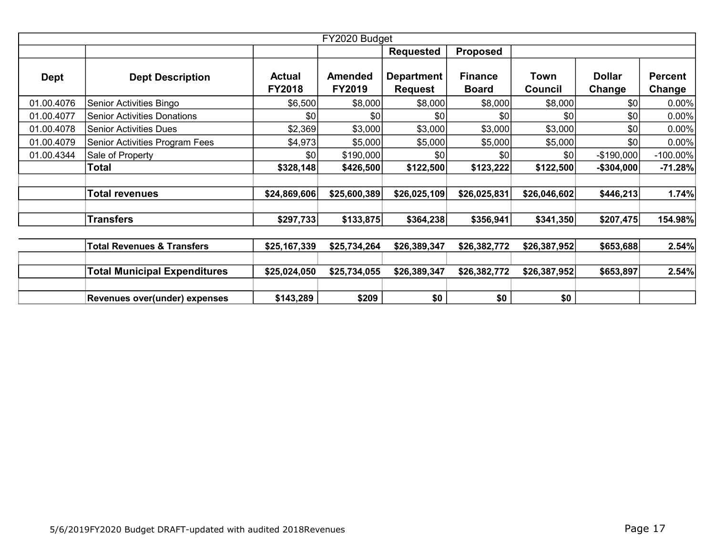| FY2020 Budget |                                       |                                |                          |                                     |                                |                 |                         |                          |  |  |  |
|---------------|---------------------------------------|--------------------------------|--------------------------|-------------------------------------|--------------------------------|-----------------|-------------------------|--------------------------|--|--|--|
|               |                                       |                                |                          | <b>Requested</b>                    | <b>Proposed</b>                |                 |                         |                          |  |  |  |
| <b>Dept</b>   | <b>Dept Description</b>               | <b>Actual</b><br><b>FY2018</b> | <b>Amended</b><br>FY2019 | <b>Department</b><br><b>Request</b> | <b>Finance</b><br><b>Board</b> | Town<br>Council | <b>Dollar</b><br>Change | <b>Percent</b><br>Change |  |  |  |
| 01.00.4076    | Senior Activities Bingo               | \$6,500                        | \$8,000                  | \$8,000                             | \$8,000                        | \$8,000         | \$0                     | 0.00%                    |  |  |  |
| 01.00.4077    | <b>Senior Activities Donations</b>    | \$0                            | \$0                      | \$0                                 | \$0                            | \$0             | \$0                     | 0.00%                    |  |  |  |
| 01.00.4078    | <b>Senior Activities Dues</b>         | \$2,369                        | \$3,000                  | \$3,000                             | \$3,000                        | \$3,000         | \$0                     | 0.00%                    |  |  |  |
| 01.00.4079    | Senior Activities Program Fees        | \$4,973                        | \$5,000                  | \$5,000                             | \$5,000                        | \$5,000         | \$0                     | 0.00%                    |  |  |  |
| 01.00.4344    | Sale of Property                      | \$0                            | \$190,000                | \$0                                 | \$0                            | \$0             | $-$ \$190,000           | $-100.00\%$              |  |  |  |
|               | Total                                 | \$328,148                      | \$426,500                | \$122,500                           | \$123,222                      | \$122,500       | $-$304,000$             | $-71.28%$                |  |  |  |
|               |                                       |                                |                          |                                     |                                |                 |                         |                          |  |  |  |
|               | <b>Total revenues</b>                 | \$24,869,606                   | \$25,600,389             | \$26,025,109                        | \$26,025,831                   | \$26,046,602    | \$446,213               | 1.74%                    |  |  |  |
|               |                                       |                                |                          |                                     |                                |                 |                         |                          |  |  |  |
|               | <b>Transfers</b>                      | \$297,733                      | \$133,875                | \$364,238                           | \$356,941                      | \$341,350       | \$207,475               | 154.98%                  |  |  |  |
|               |                                       |                                |                          |                                     |                                |                 |                         |                          |  |  |  |
|               | <b>Total Revenues &amp; Transfers</b> | \$25,167,339                   | \$25,734,264             | \$26,389,347                        | \$26,382,772                   | \$26,387,952    | \$653,688               | 2.54%                    |  |  |  |
|               |                                       |                                |                          |                                     |                                |                 |                         |                          |  |  |  |
|               | <b>Total Municipal Expenditures</b>   | \$25,024,050                   | \$25,734,055             | \$26,389,347                        | \$26,382,772                   | \$26,387,952    | \$653,897               | 2.54%                    |  |  |  |
|               |                                       |                                |                          |                                     |                                |                 |                         |                          |  |  |  |
|               | Revenues over(under) expenses         | \$143,289                      | \$209                    | \$0                                 | \$0                            | \$0             |                         |                          |  |  |  |